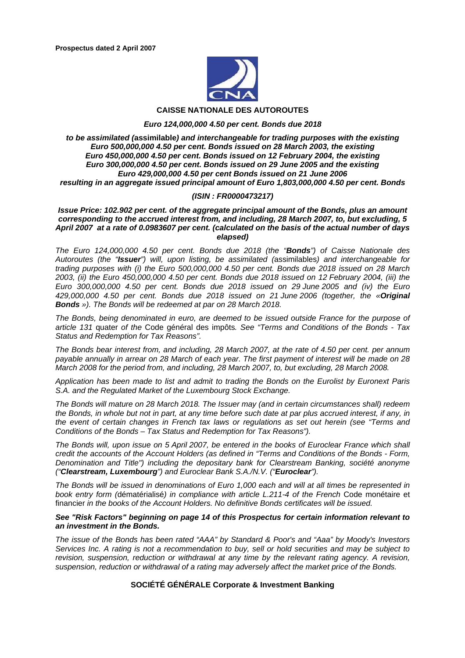

#### **CAISSE NATIONALE DES AUTOROUTES**

#### *Euro 124,000,000 4.50 per cent. Bonds due 2018*

*to be assimilated (***assimilable***) and interchangeable for trading purposes with the existing Euro 500,000,000 4.50 per cent. Bonds issued on 28 March 2003, the existing Euro 450,000,000 4.50 per cent. Bonds issued on 12 February 2004, the existing Euro 300,000,000 4.50 per cent. Bonds issued on 29 June 2005 and the existing Euro 429,000,000 4.50 per cent Bonds issued on 21 June 2006 resulting in an aggregate issued principal amount of Euro 1,803,000,000 4.50 per cent. Bonds* 

#### *(ISIN : FR0000473217)*

*Issue Price: 102.902 per cent. of the aggregate principal amount of the Bonds, plus an amount corresponding to the accrued interest from, and including, 28 March 2007, to, but excluding, 5 April 2007 at a rate of 0.0983607 per cent. (calculated on the basis of the actual number of days elapsed)* 

*The Euro 124,000,000 4.50 per cent. Bonds due 2018 (the "Bonds") of Caisse Nationale des Autoroutes (the "Issuer") will, upon listing, be assimilated (*assimilables*) and interchangeable for trading purposes with (i) the Euro 500,000,000 4.50 per cent. Bonds due 2018 issued on 28 March 2003, (ii) the Euro 450,000,000 4.50 per cent. Bonds due 2018 issued on 12 February 2004, (iii) the Euro 300,000,000 4.50 per cent. Bonds due 2018 issued on 29 June 2005 and (iv) the Euro 429,000,000 4.50 per cent. Bonds due 2018 issued on 21 June 2006 (together, the «Original Bonds »). The Bonds will be redeemed at par on 28 March 2018.* 

*The Bonds, being denominated in euro, are deemed to be issued outside France for the purpose of article 131* quater *of the* Code général des impôts*. See "Terms and Conditions of the Bonds - Tax Status and Redemption for Tax Reasons".* 

*The Bonds bear interest from, and including, 28 March 2007, at the rate of 4.50 per cent. per annum payable annually in arrear on 28 March of each year. The first payment of interest will be made on 28 March 2008 for the period from, and including, 28 March 2007, to, but excluding, 28 March 2008.* 

*Application has been made to list and admit to trading the Bonds on the Eurolist by Euronext Paris S.A. and the Regulated Market of the Luxembourg Stock Exchange.* 

*The Bonds will mature on 28 March 2018. The Issuer may (and in certain circumstances shall) redeem the Bonds, in whole but not in part, at any time before such date at par plus accrued interest, if any, in the event of certain changes in French tax laws or regulations as set out herein (see "Terms and Conditions of the Bonds – Tax Status and Redemption for Tax Reasons").* 

*The Bonds will, upon issue on 5 April 2007, be entered in the books of Euroclear France which shall credit the accounts of the Account Holders (as defined in "Terms and Conditions of the Bonds - Form, Denomination and Title") including the depositary bank for Clearstream Banking, société anonyme ("Clearstream, Luxembourg") and Euroclear Bank S.A./N.V. ("Euroclear").* 

*The Bonds will be issued in denominations of Euro 1,000 each and will at all times be represented in book entry form (*dématérialisé*) in compliance with article L.211-4 of the French* Code monétaire et financier *in the books of the Account Holders. No definitive Bonds certificates will be issued.* 

#### *See "Risk Factors" beginning on page 14 of this Prospectus for certain information relevant to an investment in the Bonds.*

*The issue of the Bonds has been rated "AAA" by Standard & Poor's and "Aaa" by Moody's Investors Services Inc. A rating is not a recommendation to buy, sell or hold securities and may be subject to*  revision, suspension, reduction or withdrawal at any time by the relevant rating agency. A revision, *suspension, reduction or withdrawal of a rating may adversely affect the market price of the Bonds.* 

## **SOCIÉTÉ GÉNÉRALE Corporate & Investment Banking**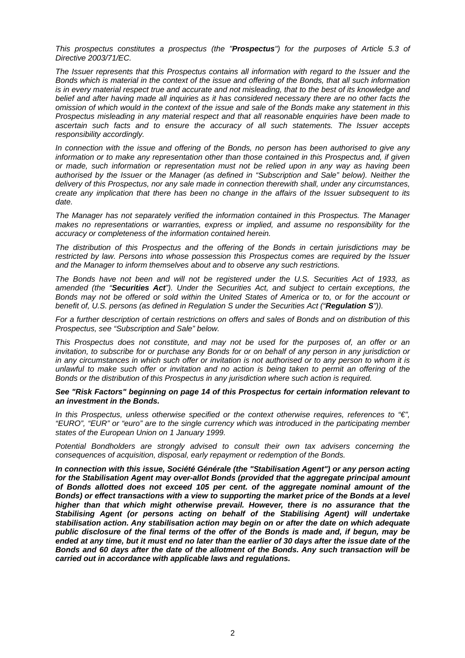*This prospectus constitutes a prospectus (the "Prospectus") for the purposes of Article 5.3 of Directive 2003/71/EC.* 

*The Issuer represents that this Prospectus contains all information with regard to the Issuer and the Bonds which is material in the context of the issue and offering of the Bonds, that all such information is in every material respect true and accurate and not misleading, that to the best of its knowledge and belief and after having made all inquiries as it has considered necessary there are no other facts the omission of which would in the context of the issue and sale of the Bonds make any statement in this Prospectus misleading in any material respect and that all reasonable enquiries have been made to ascertain such facts and to ensure the accuracy of all such statements. The Issuer accepts responsibility accordingly.* 

*In connection with the issue and offering of the Bonds, no person has been authorised to give any information or to make any representation other than those contained in this Prospectus and, if given or made, such information or representation must not be relied upon in any way as having been authorised by the Issuer or the Manager (as defined in "Subscription and Sale" below). Neither the delivery of this Prospectus, nor any sale made in connection therewith shall, under any circumstances, create any implication that there has been no change in the affairs of the Issuer subsequent to its date.* 

*The Manager has not separately verified the information contained in this Prospectus. The Manager makes no representations or warranties, express or implied, and assume no responsibility for the accuracy or completeness of the information contained herein.* 

*The distribution of this Prospectus and the offering of the Bonds in certain jurisdictions may be restricted by law. Persons into whose possession this Prospectus comes are required by the Issuer and the Manager to inform themselves about and to observe any such restrictions.* 

*The Bonds have not been and will not be registered under the U.S. Securities Act of 1933, as amended (the "Securities Act"). Under the Securities Act, and subject to certain exceptions, the Bonds may not be offered or sold within the United States of America or to, or for the account or benefit of, U.S. persons (as defined in Regulation S under the Securities Act ("Regulation S")).* 

*For a further description of certain restrictions on offers and sales of Bonds and on distribution of this Prospectus, see "Subscription and Sale" below.* 

*This Prospectus does not constitute, and may not be used for the purposes of, an offer or an invitation, to subscribe for or purchase any Bonds for or on behalf of any person in any jurisdiction or in any circumstances in which such offer or invitation is not authorised or to any person to whom it is unlawful to make such offer or invitation and no action is being taken to permit an offering of the Bonds or the distribution of this Prospectus in any jurisdiction where such action is required.* 

#### *See "Risk Factors" beginning on page 14 of this Prospectus for certain information relevant to an investment in the Bonds.*

*In this Prospectus, unless otherwise specified or the context otherwise requires, references to "€", "EURO", "EUR" or "euro" are to the single currency which was introduced in the participating member states of the European Union on 1 January 1999.* 

*Potential Bondholders are strongly advised to consult their own tax advisers concerning the consequences of acquisition, disposal, early repayment or redemption of the Bonds.* 

*In connection with this issue, Société Générale (the "Stabilisation Agent") or any person acting for the Stabilisation Agent may over-allot Bonds (provided that the aggregate principal amount of Bonds allotted does not exceed 105 per cent. of the aggregate nominal amount of the Bonds) or effect transactions with a view to supporting the market price of the Bonds at a level higher than that which might otherwise prevail. However, there is no assurance that the Stabilising Agent (or persons acting on behalf of the Stabilising Agent) will undertake stabilisation action. Any stabilisation action may begin on or after the date on which adequate public disclosure of the final terms of the offer of the Bonds is made and, if begun, may be ended at any time, but it must end no later than the earlier of 30 days after the issue date of the Bonds and 60 days after the date of the allotment of the Bonds. Any such transaction will be carried out in accordance with applicable laws and regulations.*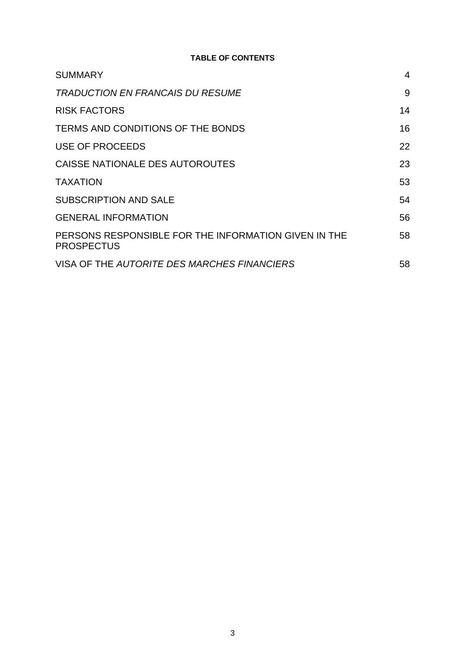## **TABLE OF CONTENTS**

| <b>SUMMARY</b>                                                            | 4  |
|---------------------------------------------------------------------------|----|
| <b>TRADUCTION EN FRANCAIS DU RESUME</b>                                   | 9  |
| <b>RISK FACTORS</b>                                                       | 14 |
| TERMS AND CONDITIONS OF THE BONDS                                         | 16 |
| USE OF PROCEEDS                                                           | 22 |
| CAISSE NATIONALE DES AUTOROUTES                                           | 23 |
| <b>TAXATION</b>                                                           | 53 |
| <b>SUBSCRIPTION AND SALE</b>                                              | 54 |
| <b>GENERAL INFORMATION</b>                                                | 56 |
| PERSONS RESPONSIBLE FOR THE INFORMATION GIVEN IN THE<br><b>PROSPECTUS</b> | 58 |
| VISA OF THE AUTORITE DES MARCHES FINANCIERS                               | 58 |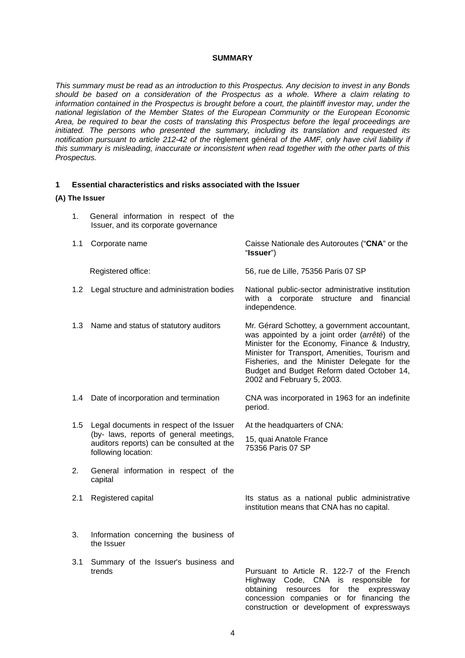#### **SUMMARY**

*This summary must be read as an introduction to this Prospectus. Any decision to invest in any Bonds should be based on a consideration of the Prospectus as a whole. Where a claim relating to information contained in the Prospectus is brought before a court, the plaintiff investor may, under the national legislation of the Member States of the European Community or the European Economic Area, be required to bear the costs of translating this Prospectus before the legal proceedings are initiated. The persons who presented the summary, including its translation and requested its notification pursuant to article 212-42 of the* règlement général *of the AMF, only have civil liability if this summary is misleading, inaccurate or inconsistent when read together with the other parts of this Prospectus.* 

### **1 Essential characteristics and risks associated with the Issuer**

#### **(A) The Issuer**

- 1. General information in respect of the Issuer, and its corporate governance
- 1.1 Corporate name Caisse Nationale des Autoroutes ("**CNA**" or the "**Issuer**")

independence.

Registered office: 56, rue de Lille, 75356 Paris 07 SP

1.2 Legal structure and administration bodies National public-sector administrative institution

1.3 Name and status of statutory auditors Mr. Gérard Schottey, a government accountant,

was appointed by a joint order (*arrêté*) of the Minister for the Economy, Finance & Industry, Minister for Transport, Amenities, Tourism and Fisheries, and the Minister Delegate for the Budget and Budget Reform dated October 14, 2002 and February 5, 2003.

At the headquarters of CNA: 15, quai Anatole France 75356 Paris 07 SP

with a corporate structure and financial

- 1.4 Date of incorporation and termination CNA was incorporated in 1963 for an indefinite period.
	- 1.5 Legal documents in respect of the Issuer (by- laws, reports of general meetings, auditors reports) can be consulted at the following location:
- 2. General information in respect of the capital
- 

2.1 Registered capital **Its status as a national public administrative** institution means that CNA has no capital.

- 3. Information concerning the business of the Issuer
- 3.1 Summary of the Issuer's business and trends Pursuant to Article R. 122-7 of the French

Highway Code, CNA is responsible for obtaining resources for the expressway concession companies or for financing the construction or development of expressways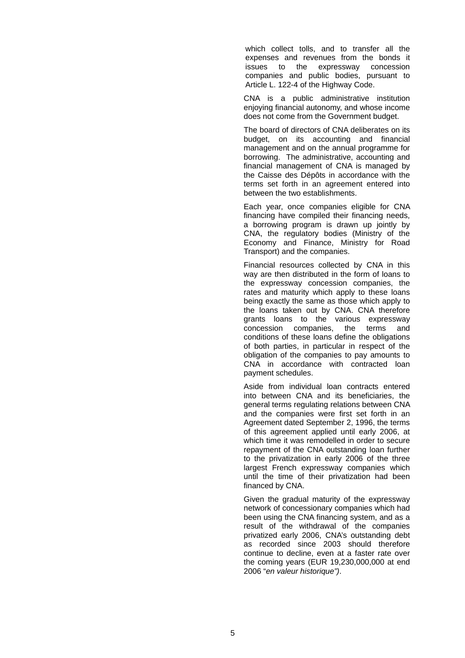which collect tolls, and to transfer all the expenses and revenues from the bonds it<br>issues to the expressway concession to the expressway concession companies and public bodies, pursuant to Article L. 122-4 of the Highway Code.

CNA is a public administrative institution enjoying financial autonomy, and whose income does not come from the Government budget.

The board of directors of CNA deliberates on its budget, on its accounting and financial management and on the annual programme for borrowing. The administrative, accounting and financial management of CNA is managed by the Caisse des Dépôts in accordance with the terms set forth in an agreement entered into between the two establishments.

Each year, once companies eligible for CNA financing have compiled their financing needs, a borrowing program is drawn up jointly by CNA, the regulatory bodies (Ministry of the Economy and Finance, Ministry for Road Transport) and the companies.

Financial resources collected by CNA in this way are then distributed in the form of loans to the expressway concession companies, the rates and maturity which apply to these loans being exactly the same as those which apply to the loans taken out by CNA. CNA therefore grants loans to the various expressway concession companies, the terms and conditions of these loans define the obligations of both parties, in particular in respect of the obligation of the companies to pay amounts to CNA in accordance with contracted loan payment schedules.

Aside from individual loan contracts entered into between CNA and its beneficiaries, the general terms regulating relations between CNA and the companies were first set forth in an Agreement dated September 2, 1996, the terms of this agreement applied until early 2006, at which time it was remodelled in order to secure repayment of the CNA outstanding loan further to the privatization in early 2006 of the three largest French expressway companies which until the time of their privatization had been financed by CNA.

Given the gradual maturity of the expressway network of concessionary companies which had been using the CNA financing system, and as a result of the withdrawal of the companies privatized early 2006, CNA's outstanding debt as recorded since 2003 should therefore continue to decline, even at a faster rate over the coming years (EUR 19,230,000,000 at end 2006 "*en valeur historique")*.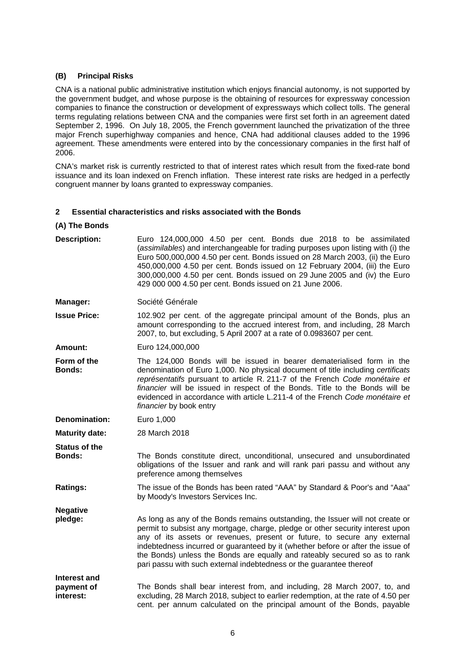## **(B) Principal Risks**

CNA is a national public administrative institution which enjoys financial autonomy, is not supported by the government budget, and whose purpose is the obtaining of resources for expressway concession companies to finance the construction or development of expressways which collect tolls. The general terms regulating relations between CNA and the companies were first set forth in an agreement dated September 2, 1996. On July 18, 2005, the French government launched the privatization of the three major French superhighway companies and hence, CNA had additional clauses added to the 1996 agreement. These amendments were entered into by the concessionary companies in the first half of 2006.

CNA's market risk is currently restricted to that of interest rates which result from the fixed-rate bond issuance and its loan indexed on French inflation. These interest rate risks are hedged in a perfectly congruent manner by loans granted to expressway companies.

#### **2 Essential characteristics and risks associated with the Bonds**

#### **(A) The Bonds**

| <b>Description:</b> | Euro 124,000,000 4.50 per cent. Bonds due 2018 to be assimilated                  |
|---------------------|-----------------------------------------------------------------------------------|
|                     | (assimilables) and interchangeable for trading purposes upon listing with (i) the |
|                     | Euro 500,000,000 4.50 per cent. Bonds issued on 28 March 2003, (ii) the Euro      |
|                     | 450,000,000 4.50 per cent. Bonds issued on 12 February 2004, (iii) the Euro       |
|                     | 300,000,000 4.50 per cent. Bonds issued on 29 June 2005 and (iv) the Euro         |
|                     | 429 000 000 4.50 per cent. Bonds issued on 21 June 2006.                          |

**Manager:** Société Générale

**Issue Price:** 102.902 per cent. of the aggregate principal amount of the Bonds, plus an amount corresponding to the accrued interest from, and including, 28 March 2007, to, but excluding, 5 April 2007 at a rate of 0.0983607 per cent.

**Amount:** Euro 124,000,000

**Form of the Bonds:**  The 124,000 Bonds will be issued in bearer dematerialised form in the denomination of Euro 1,000. No physical document of title including *certificats représentatifs* pursuant to article R. 211-7 of the French *Code monétaire et financier* will be issued in respect of the Bonds. Title to the Bonds will be evidenced in accordance with article L.211-4 of the French *Code monétaire et financier* by book entry

**Denomination:** Euro 1,000

**Interest and** 

**Maturity date:** 28 March 2018

**Status of the Bonds:** The Bonds constitute direct, unconditional, unsecured and unsubordinated obligations of the Issuer and rank and will rank pari passu and without any preference among themselves

**Ratings:** The issue of the Bonds has been rated "AAA" by Standard & Poor's and "Aaa" by Moody's Investors Services Inc.

**Negative pledge:**  As long as any of the Bonds remains outstanding, the Issuer will not create or permit to subsist any mortgage, charge, pledge or other security interest upon any of its assets or revenues, present or future, to secure any external indebtedness incurred or guaranteed by it (whether before or after the issue of the Bonds) unless the Bonds are equally and rateably secured so as to rank pari passu with such external indebtedness or the guarantee thereof

**payment of interest:**  The Bonds shall bear interest from, and including, 28 March 2007, to, and excluding, 28 March 2018, subject to earlier redemption, at the rate of 4.50 per cent. per annum calculated on the principal amount of the Bonds, payable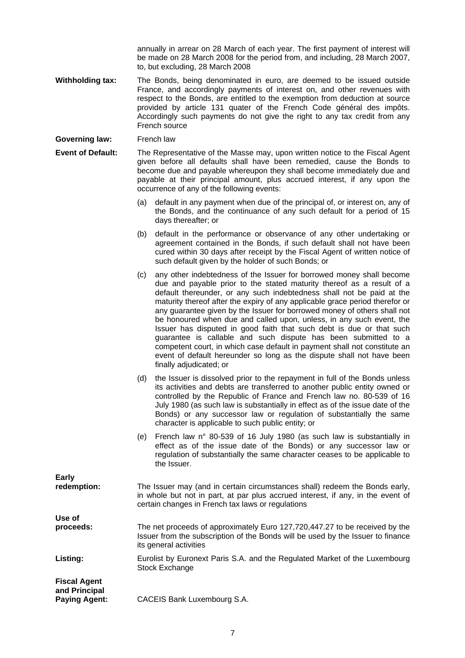annually in arrear on 28 March of each year. The first payment of interest will be made on 28 March 2008 for the period from, and including, 28 March 2007, to, but excluding, 28 March 2008

**Withholding tax:** The Bonds, being denominated in euro, are deemed to be issued outside France, and accordingly payments of interest on, and other revenues with respect to the Bonds, are entitled to the exemption from deduction at source provided by article 131 quater of the French Code général des impôts. Accordingly such payments do not give the right to any tax credit from any French source

**Governing law:** French law

**Event of Default:** The Representative of the Masse may, upon written notice to the Fiscal Agent given before all defaults shall have been remedied, cause the Bonds to become due and payable whereupon they shall become immediately due and payable at their principal amount, plus accrued interest, if any upon the occurrence of any of the following events:

- (a) default in any payment when due of the principal of, or interest on, any of the Bonds, and the continuance of any such default for a period of 15 days thereafter; or
- (b) default in the performance or observance of any other undertaking or agreement contained in the Bonds, if such default shall not have been cured within 30 days after receipt by the Fiscal Agent of written notice of such default given by the holder of such Bonds; or
- (c) any other indebtedness of the Issuer for borrowed money shall become due and payable prior to the stated maturity thereof as a result of a default thereunder, or any such indebtedness shall not be paid at the maturity thereof after the expiry of any applicable grace period therefor or any guarantee given by the Issuer for borrowed money of others shall not be honoured when due and called upon, unless, in any such event, the Issuer has disputed in good faith that such debt is due or that such guarantee is callable and such dispute has been submitted to a competent court, in which case default in payment shall not constitute an event of default hereunder so long as the dispute shall not have been finally adjudicated; or
- (d) the Issuer is dissolved prior to the repayment in full of the Bonds unless its activities and debts are transferred to another public entity owned or controlled by the Republic of France and French law no. 80-539 of 16 July 1980 (as such law is substantially in effect as of the issue date of the Bonds) or any successor law or regulation of substantially the same character is applicable to such public entity; or
- (e) French law n° 80-539 of 16 July 1980 (as such law is substantially in effect as of the issue date of the Bonds) or any successor law or regulation of substantially the same character ceases to be applicable to the Issuer.

| redemption: | The Issuer may (and in certain circumstances shall) redeem the Bonds early,     |
|-------------|---------------------------------------------------------------------------------|
|             | in whole but not in part, at par plus accrued interest, if any, in the event of |
|             | certain changes in French tax laws or regulations                               |

**Use of** 

**Early** 

**proceeds:** The net proceeds of approximately Euro 127,720,447.27 to be received by the Issuer from the subscription of the Bonds will be used by the Issuer to finance its general activities

**Listing:** Eurolist by Euronext Paris S.A. and the Regulated Market of the Luxembourg Stock Exchange

**Fiscal Agent and Principal Paying Agent:** 

CACEIS Bank Luxembourg S.A.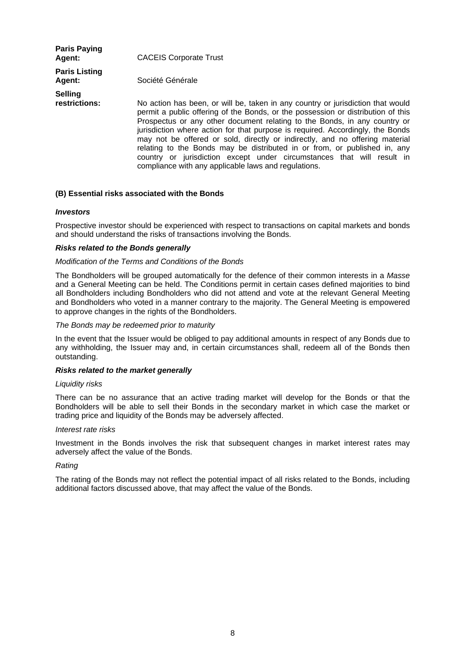| <b>Paris Paying</b><br>Agent:   | <b>CACEIS Corporate Trust</b>                                                                                                                                                                                                                                                                                                                                                                                                                                                                                                                                                                                                     |
|---------------------------------|-----------------------------------------------------------------------------------------------------------------------------------------------------------------------------------------------------------------------------------------------------------------------------------------------------------------------------------------------------------------------------------------------------------------------------------------------------------------------------------------------------------------------------------------------------------------------------------------------------------------------------------|
| <b>Paris Listing</b><br>Agent:  | Société Générale                                                                                                                                                                                                                                                                                                                                                                                                                                                                                                                                                                                                                  |
| <b>Selling</b><br>restrictions: | No action has been, or will be, taken in any country or jurisdiction that would<br>permit a public offering of the Bonds, or the possession or distribution of this<br>Prospectus or any other document relating to the Bonds, in any country or<br>jurisdiction where action for that purpose is required. Accordingly, the Bonds<br>may not be offered or sold, directly or indirectly, and no offering material<br>relating to the Bonds may be distributed in or from, or published in, any<br>country or jurisdiction except under circumstances that will result in<br>compliance with any applicable laws and regulations. |

#### **(B) Essential risks associated with the Bonds**

#### *Investors*

Prospective investor should be experienced with respect to transactions on capital markets and bonds and should understand the risks of transactions involving the Bonds.

#### *Risks related to the Bonds generally*

## *Modification of the Terms and Conditions of the Bonds*

The Bondholders will be grouped automatically for the defence of their common interests in a *Masse* and a General Meeting can be held. The Conditions permit in certain cases defined majorities to bind all Bondholders including Bondholders who did not attend and vote at the relevant General Meeting and Bondholders who voted in a manner contrary to the majority. The General Meeting is empowered to approve changes in the rights of the Bondholders.

#### *The Bonds may be redeemed prior to maturity*

In the event that the Issuer would be obliged to pay additional amounts in respect of any Bonds due to any withholding, the Issuer may and, in certain circumstances shall, redeem all of the Bonds then outstanding.

#### *Risks related to the market generally*

#### *Liquidity risks*

There can be no assurance that an active trading market will develop for the Bonds or that the Bondholders will be able to sell their Bonds in the secondary market in which case the market or trading price and liquidity of the Bonds may be adversely affected.

#### *Interest rate risks*

Investment in the Bonds involves the risk that subsequent changes in market interest rates may adversely affect the value of the Bonds.

#### *Rating*

The rating of the Bonds may not reflect the potential impact of all risks related to the Bonds, including additional factors discussed above, that may affect the value of the Bonds.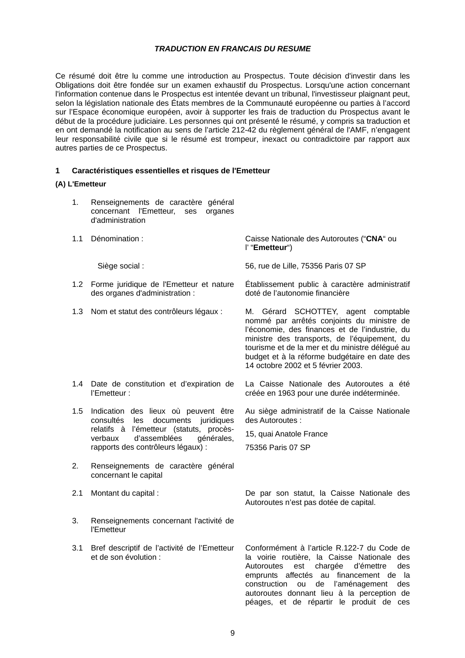## *TRADUCTION EN FRANCAIS DU RESUME*

Ce résumé doit être lu comme une introduction au Prospectus. Toute décision d'investir dans les Obligations doit être fondée sur un examen exhaustif du Prospectus. Lorsqu'une action concernant l'information contenue dans le Prospectus est intentée devant un tribunal, l'investisseur plaignant peut, selon la législation nationale des États membres de la Communauté européenne ou parties à l'accord sur l'Espace économique européen, avoir à supporter les frais de traduction du Prospectus avant le début de la procédure judiciaire. Les personnes qui ont présenté le résumé, y compris sa traduction et en ont demandé la notification au sens de l'article 212-42 du règlement général de l'AMF, n'engagent leur responsabilité civile que si le résumé est trompeur, inexact ou contradictoire par rapport aux autres parties de ce Prospectus.

l' "**Emetteur**")

des Autoroutes :

75356 Paris 07 SP

15, quai Anatole France

#### **1 Caractéristiques essentielles et risques de l'Emetteur**

#### **(A) L'Emetteur**

- 1. Renseignements de caractère général concernant l'Emetteur, ses organes d'administration
- 1.1 Dénomination : Caisse Nationale des Autoroutes ("**CNA**" ou

Siège social : 56, rue de Lille, 75356 Paris 07 SP

- 1.2 Forme juridique de l'Emetteur et nature des organes d'administration :
- 1.3 Nom et statut des contrôleurs légaux : M. Gérard SCHOTTEY, agent comptable

1.4 Date de constitution et d'expiration de l'Emetteur :

- 1.5 Indication des lieux où peuvent être consultés les documents juridiques relatifs à l'émetteur (statuts, procèsverbaux d'assemblées générales, rapports des contrôleurs légaux) :
- 2. Renseignements de caractère général concernant le capital
- 
- 3. Renseignements concernant l'activité de l'Emetteur
- 3.1 Bref descriptif de l'activité de l'Emetteur et de son évolution :

2.1 Montant du capital : De par son statut, la Caisse Nationale des Autoroutes n'est pas dotée de capital.

Établissement public à caractère administratif

nommé par arrêtés conjoints du ministre de l'économie, des finances et de l'industrie, du ministre des transports, de l'équipement, du tourisme et de la mer et du ministre délégué au budget et à la réforme budgétaire en date des

La Caisse Nationale des Autoroutes a été créée en 1963 pour une durée indéterminée.

Au siège administratif de la Caisse Nationale

doté de l'autonomie financière

14 octobre 2002 et 5 février 2003.

Conformément à l'article R.122-7 du Code de la voirie routière, la Caisse Nationale des Autoroutes est chargée d'émettre des emprunts affectés au financement de la construction ou de l'aménagement des autoroutes donnant lieu à la perception de péages, et de répartir le produit de ces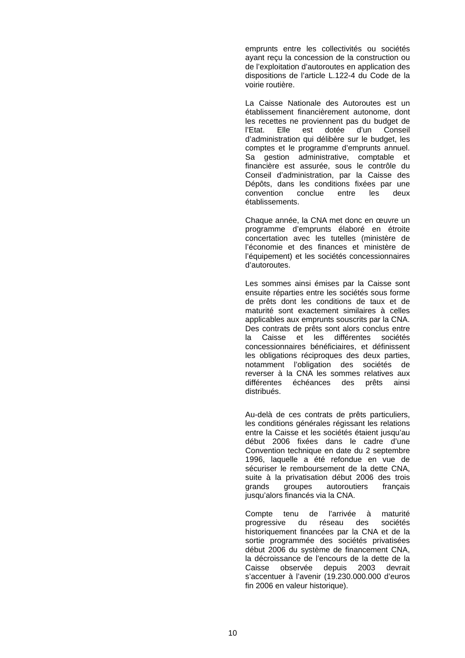emprunts entre les collectivités ou sociétés ayant reçu la concession de la construction ou de l'exploitation d'autoroutes en application des dispositions de l'article L.122-4 du Code de la voirie routière.

La Caisse Nationale des Autoroutes est un établissement financièrement autonome, dont les recettes ne proviennent pas du budget de<br>l'Etat. Elle est dotée d'un Conseil l'Etat. Elle est dotée d'un Conseil d'administration qui délibère sur le budget, les comptes et le programme d'emprunts annuel. Sa gestion administrative, comptable et financière est assurée, sous le contrôle du Conseil d'administration, par la Caisse des Dépôts, dans les conditions fixées par une convention conclue entre les deux établissements.

Chaque année, la CNA met donc en œuvre un programme d'emprunts élaboré en étroite concertation avec les tutelles (ministère de l'économie et des finances et ministère de l'équipement) et les sociétés concessionnaires d'autoroutes.

Les sommes ainsi émises par la Caisse sont ensuite réparties entre les sociétés sous forme de prêts dont les conditions de taux et de maturité sont exactement similaires à celles applicables aux emprunts souscrits par la CNA. Des contrats de prêts sont alors conclus entre la Caisse et les différentes sociétés concessionnaires bénéficiaires, et définissent les obligations réciproques des deux parties, notamment l'obligation des sociétés de reverser à la CNA les sommes relatives aux différentes échéances des prêts ainsi distribués.

Au-delà de ces contrats de prêts particuliers, les conditions générales régissant les relations entre la Caisse et les sociétés étaient jusqu'au début 2006 fixées dans le cadre d'une Convention technique en date du 2 septembre 1996, laquelle a été refondue en vue de sécuriser le remboursement de la dette CNA, suite à la privatisation début 2006 des trois grands groupes autoroutiers français jusqu'alors financés via la CNA.

Compte tenu de l'arrivée à maturité progressive du réseau des sociétés historiquement financées par la CNA et de la sortie programmée des sociétés privatisées début 2006 du système de financement CNA, la décroissance de l'encours de la dette de la Caisse observée depuis 2003 devrait s'accentuer à l'avenir (19.230.000.000 d'euros fin 2006 en valeur historique).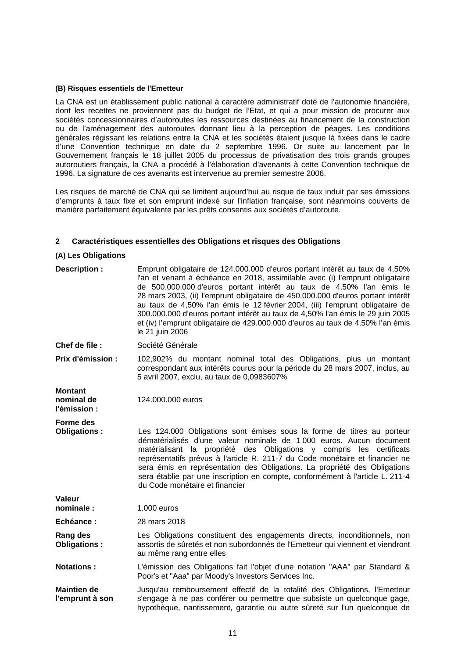#### **(B) Risques essentiels de l'Emetteur**

La CNA est un établissement public national à caractère administratif doté de l'autonomie financière, dont les recettes ne proviennent pas du budget de l'Etat, et qui a pour mission de procurer aux sociétés concessionnaires d'autoroutes les ressources destinées au financement de la construction ou de l'aménagement des autoroutes donnant lieu à la perception de péages. Les conditions générales régissant les relations entre la CNA et les sociétés étaient jusque là fixées dans le cadre d'une Convention technique en date du 2 septembre 1996. Or suite au lancement par le Gouvernement français le 18 juillet 2005 du processus de privatisation des trois grands groupes autoroutiers français, la CNA a procédé à l'élaboration d'avenants à cette Convention technique de 1996. La signature de ces avenants est intervenue au premier semestre 2006.

Les risques de marché de CNA qui se limitent aujourd'hui au risque de taux induit par ses émissions d'emprunts à taux fixe et son emprunt indexé sur l'inflation française, sont néanmoins couverts de manière parfaitement équivalente par les prêts consentis aux sociétés d'autoroute.

#### **2 Caractéristiques essentielles des Obligations et risques des Obligations**

#### **(A) Les Obligations**

| Description:                                 | Emprunt obligataire de 124.000.000 d'euros portant intérêt au taux de 4,50%<br>l'an et venant à échéance en 2018, assimilable avec (i) l'emprunt obligataire<br>de 500.000.000 d'euros portant intérêt au taux de 4,50% l'an émis le<br>28 mars 2003, (ii) l'emprunt obligataire de 450.000.000 d'euros portant intérêt<br>au taux de 4,50% l'an émis le 12 février 2004, (iii) l'emprunt obligataire de<br>300.000.000 d'euros portant intérêt au taux de 4,50% l'an émis le 29 juin 2005<br>et (iv) l'emprunt obligataire de 429.000.000 d'euros au taux de 4,50% l'an émis<br>le 21 juin 2006 |
|----------------------------------------------|--------------------------------------------------------------------------------------------------------------------------------------------------------------------------------------------------------------------------------------------------------------------------------------------------------------------------------------------------------------------------------------------------------------------------------------------------------------------------------------------------------------------------------------------------------------------------------------------------|
| Chef de file :                               | Société Générale                                                                                                                                                                                                                                                                                                                                                                                                                                                                                                                                                                                 |
| Prix d'émission :                            | 102,902% du montant nominal total des Obligations, plus un montant<br>correspondant aux intérêts courus pour la période du 28 mars 2007, inclus, au<br>5 avril 2007, exclu, au taux de 0,0983607%                                                                                                                                                                                                                                                                                                                                                                                                |
| <b>Montant</b><br>nominal de<br>l'émission : | 124.000.000 euros                                                                                                                                                                                                                                                                                                                                                                                                                                                                                                                                                                                |
| <b>Forme des</b><br>Obligations:             | Les 124.000 Obligations sont émises sous la forme de titres au porteur<br>dématérialisés d'une valeur nominale de 1 000 euros. Aucun document<br>matérialisant la propriété des Obligations y compris les certificats<br>représentatifs prévus à l'article R. 211-7 du Code monétaire et financier ne<br>sera émis en représentation des Obligations. La propriété des Obligations<br>sera établie par une inscription en compte, conformément à l'article L. 211-4<br>du Code monétaire et financier                                                                                            |
| <b>Valeur</b><br>nominale:                   | 1.000 euros                                                                                                                                                                                                                                                                                                                                                                                                                                                                                                                                                                                      |
| Echéance :                                   | 28 mars 2018                                                                                                                                                                                                                                                                                                                                                                                                                                                                                                                                                                                     |
| Rang des<br>Obligations:                     | Les Obligations constituent des engagements directs, inconditionnels, non<br>assortis de sûretés et non subordonnés de l'Emetteur qui viennent et viendront<br>au même rang entre elles                                                                                                                                                                                                                                                                                                                                                                                                          |
| <b>Notations:</b>                            | L'émission des Obligations fait l'objet d'une notation "AAA" par Standard &<br>Poor's et "Aaa" par Moody's Investors Services Inc.                                                                                                                                                                                                                                                                                                                                                                                                                                                               |
| <b>Maintien de</b><br>l'emprunt à son        | Jusqu'au remboursement effectif de la totalité des Obligations, l'Emetteur<br>s'engage à ne pas conférer ou permettre que subsiste un quelconque gage,<br>hypothèque, nantissement, garantie ou autre sûreté sur l'un quelconque de                                                                                                                                                                                                                                                                                                                                                              |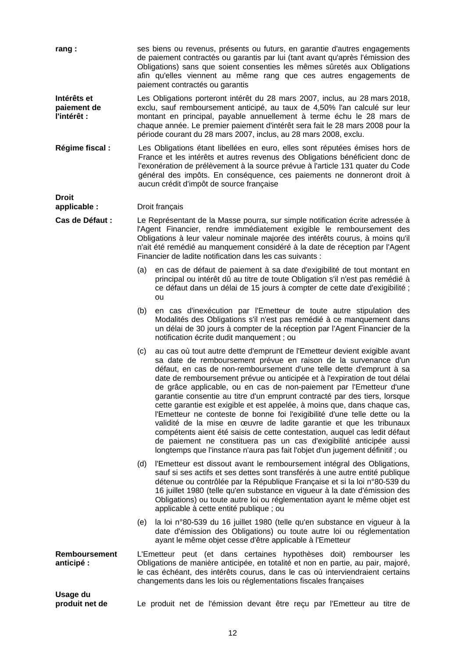- **rang :** ses biens ou revenus, présents ou futurs, en garantie d'autres engagements de paiement contractés ou garantis par lui (tant avant qu'après l'émission des Obligations) sans que soient consenties les mêmes sûretés aux Obligations afin qu'elles viennent au même rang que ces autres engagements de paiement contractés ou garantis
- **Intérêts et paiement de l'intérêt :**  Les Obligations porteront intérêt du 28 mars 2007, inclus, au 28 mars 2018, exclu, sauf remboursement anticipé, au taux de 4,50% l'an calculé sur leur montant en principal, payable annuellement à terme échu le 28 mars de chaque année. Le premier paiement d'intérêt sera fait le 28 mars 2008 pour la période courant du 28 mars 2007, inclus, au 28 mars 2008, exclu.
- **Régime fiscal :** Les Obligations étant libellées en euro, elles sont réputées émises hors de France et les intérêts et autres revenus des Obligations bénéficient donc de l'exonération de prélèvement à la source prévue à l'article 131 quater du Code général des impôts. En conséquence, ces paiements ne donneront droit à aucun crédit d'impôt de source française

**Droit** 

**applicable :** Droit français

**Cas de Défaut :** Le Représentant de la Masse pourra, sur simple notification écrite adressée à l'Agent Financier, rendre immédiatement exigible le remboursement des Obligations à leur valeur nominale majorée des intérêts courus, à moins qu'il n'ait été remédié au manquement considéré à la date de réception par l'Agent Financier de ladite notification dans les cas suivants :

- (a) en cas de défaut de paiement à sa date d'exigibilité de tout montant en principal ou intérêt dû au titre de toute Obligation s'il n'est pas remédié à ce défaut dans un délai de 15 jours à compter de cette date d'exigibilité ; ou
- (b) en cas d'inexécution par l'Emetteur de toute autre stipulation des Modalités des Obligations s'il n'est pas remédié à ce manquement dans un délai de 30 jours à compter de la réception par l'Agent Financier de la notification écrite dudit manquement ; ou
- (c) au cas où tout autre dette d'emprunt de l'Emetteur devient exigible avant sa date de remboursement prévue en raison de la survenance d'un défaut, en cas de non-remboursement d'une telle dette d'emprunt à sa date de remboursement prévue ou anticipée et à l'expiration de tout délai de grâce applicable, ou en cas de non-paiement par l'Emetteur d'une garantie consentie au titre d'un emprunt contracté par des tiers, lorsque cette garantie est exigible et est appelée, à moins que, dans chaque cas, l'Emetteur ne conteste de bonne foi l'exigibilité d'une telle dette ou la validité de la mise en œuvre de ladite garantie et que les tribunaux compétents aient été saisis de cette contestation, auquel cas ledit défaut de paiement ne constituera pas un cas d'exigibilité anticipée aussi longtemps que l'instance n'aura pas fait l'objet d'un jugement définitif ; ou
- (d) l'Emetteur est dissout avant le remboursement intégral des Obligations, sauf si ses actifs et ses dettes sont transférés à une autre entité publique détenue ou contrôlée par la République Française et si la loi n°80-539 du 16 juillet 1980 (telle qu'en substance en vigueur à la date d'émission des Obligations) ou toute autre loi ou réglementation ayant le même objet est applicable à cette entité publique ; ou
- (e) la loi n°80-539 du 16 juillet 1980 (telle qu'en substance en vigueur à la date d'émission des Obligations) ou toute autre loi ou réglementation ayant le même objet cesse d'être applicable à l'Emetteur
- **Remboursement anticipé :**  L'Emetteur peut (et dans certaines hypothèses doit) rembourser les Obligations de manière anticipée, en totalité et non en partie, au pair, majoré, le cas échéant, des intérêts courus, dans le cas où interviendraient certains changements dans les lois ou réglementations fiscales françaises

| Usage du       |  |  |  |  |                                                                          |  |  |
|----------------|--|--|--|--|--------------------------------------------------------------------------|--|--|
| produit net de |  |  |  |  | Le produit net de l'émission devant être reçu par l'Emetteur au titre de |  |  |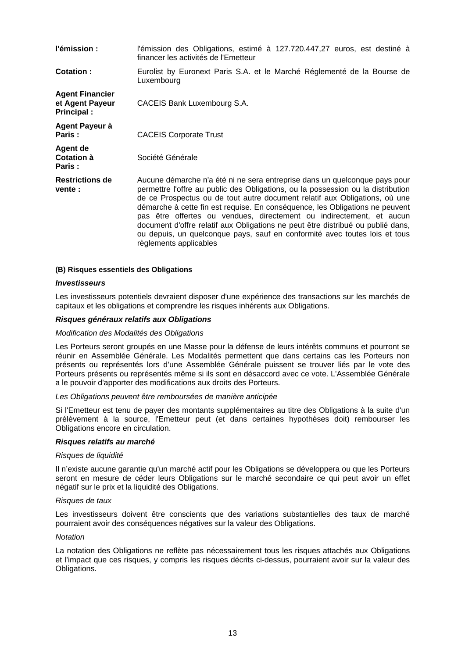| l'émission :                                            | l'émission des Obligations, estimé à 127.720.447,27 euros, est destiné à<br>financer les activités de l'Emetteur                                                                                                                                                                                                                                                                                                                                                                                                                                                                                |
|---------------------------------------------------------|-------------------------------------------------------------------------------------------------------------------------------------------------------------------------------------------------------------------------------------------------------------------------------------------------------------------------------------------------------------------------------------------------------------------------------------------------------------------------------------------------------------------------------------------------------------------------------------------------|
| Cotation:                                               | Eurolist by Euronext Paris S.A. et le Marché Réglementé de la Bourse de<br>Luxembourg                                                                                                                                                                                                                                                                                                                                                                                                                                                                                                           |
| <b>Agent Financier</b><br>et Agent Payeur<br>Principal: | CACEIS Bank Luxembourg S.A.                                                                                                                                                                                                                                                                                                                                                                                                                                                                                                                                                                     |
| Agent Payeur à<br>Paris:                                | <b>CACEIS Corporate Trust</b>                                                                                                                                                                                                                                                                                                                                                                                                                                                                                                                                                                   |
| Agent de<br><b>Cotation à</b><br>Paris:                 | Société Générale                                                                                                                                                                                                                                                                                                                                                                                                                                                                                                                                                                                |
| <b>Restrictions de</b><br>vente :                       | Aucune démarche n'a été ni ne sera entreprise dans un quelconque pays pour<br>permettre l'offre au public des Obligations, ou la possession ou la distribution<br>de ce Prospectus ou de tout autre document relatif aux Obligations, où une<br>démarche à cette fin est requise. En conséquence, les Obligations ne peuvent<br>pas être offertes ou vendues, directement ou indirectement, et aucun<br>document d'offre relatif aux Obligations ne peut être distribué ou publié dans,<br>ou depuis, un quelconque pays, sauf en conformité avec toutes lois et tous<br>règlements applicables |

#### **(B) Risques essentiels des Obligations**

#### *Investisseurs*

Les investisseurs potentiels devraient disposer d'une expérience des transactions sur les marchés de capitaux et les obligations et comprendre les risques inhérents aux Obligations.

#### *Risques généraux relatifs aux Obligations*

#### *Modification des Modalités des Obligations*

Les Porteurs seront groupés en une Masse pour la défense de leurs intérêts communs et pourront se réunir en Assemblée Générale. Les Modalités permettent que dans certains cas les Porteurs non présents ou représentés lors d'une Assemblée Générale puissent se trouver liés par le vote des Porteurs présents ou représentés même si ils sont en désaccord avec ce vote. L'Assemblée Générale a le pouvoir d'apporter des modifications aux droits des Porteurs.

*Les Obligations peuvent être remboursées de manière anticipée*

Si l'Emetteur est tenu de payer des montants supplémentaires au titre des Obligations à la suite d'un prélèvement à la source, l'Emetteur peut (et dans certaines hypothèses doit) rembourser les Obligations encore en circulation.

#### *Risques relatifs au marché*

#### *Risques de liquidité*

Il n'existe aucune garantie qu'un marché actif pour les Obligations se développera ou que les Porteurs seront en mesure de céder leurs Obligations sur le marché secondaire ce qui peut avoir un effet négatif sur le prix et la liquidité des Obligations.

### *Risques de taux*

Les investisseurs doivent être conscients que des variations substantielles des taux de marché pourraient avoir des conséquences négatives sur la valeur des Obligations.

#### *Notation*

La notation des Obligations ne reflète pas nécessairement tous les risques attachés aux Obligations et l'impact que ces risques, y compris les risques décrits ci-dessus, pourraient avoir sur la valeur des Obligations.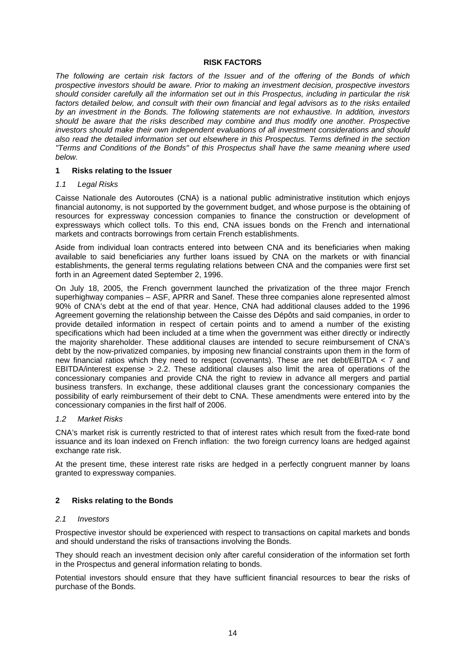## **RISK FACTORS**

*The following are certain risk factors of the Issuer and of the offering of the Bonds of which prospective investors should be aware. Prior to making an investment decision, prospective investors should consider carefully all the information set out in this Prospectus, including in particular the risk*  factors detailed below, and consult with their own financial and legal advisors as to the risks entailed *by an investment in the Bonds. The following statements are not exhaustive. In addition, investors should be aware that the risks described may combine and thus modify one another. Prospective investors should make their own independent evaluations of all investment considerations and should also read the detailed information set out elsewhere in this Prospectus. Terms defined in the section "Terms and Conditions of the Bonds" of this Prospectus shall have the same meaning where used below.* 

## **1 Risks relating to the Issuer**

#### *1.1 Legal Risks*

Caisse Nationale des Autoroutes (CNA) is a national public administrative institution which enjoys financial autonomy, is not supported by the government budget, and whose purpose is the obtaining of resources for expressway concession companies to finance the construction or development of expressways which collect tolls. To this end, CNA issues bonds on the French and international markets and contracts borrowings from certain French establishments.

Aside from individual loan contracts entered into between CNA and its beneficiaries when making available to said beneficiaries any further loans issued by CNA on the markets or with financial establishments, the general terms regulating relations between CNA and the companies were first set forth in an Agreement dated September 2, 1996.

On July 18, 2005, the French government launched the privatization of the three major French superhighway companies – ASF, APRR and Sanef. These three companies alone represented almost 90% of CNA's debt at the end of that year. Hence, CNA had additional clauses added to the 1996 Agreement governing the relationship between the Caisse des Dépôts and said companies, in order to provide detailed information in respect of certain points and to amend a number of the existing specifications which had been included at a time when the government was either directly or indirectly the majority shareholder. These additional clauses are intended to secure reimbursement of CNA's debt by the now-privatized companies, by imposing new financial constraints upon them in the form of new financial ratios which they need to respect (covenants). These are net debt/EBITDA < 7 and EBITDA/interest expense > 2.2. These additional clauses also limit the area of operations of the concessionary companies and provide CNA the right to review in advance all mergers and partial business transfers. In exchange, these additional clauses grant the concessionary companies the possibility of early reimbursement of their debt to CNA. These amendments were entered into by the concessionary companies in the first half of 2006.

#### *1.2 Market Risks*

CNA's market risk is currently restricted to that of interest rates which result from the fixed-rate bond issuance and its loan indexed on French inflation: the two foreign currency loans are hedged against exchange rate risk.

At the present time, these interest rate risks are hedged in a perfectly congruent manner by loans granted to expressway companies.

## **2 Risks relating to the Bonds**

## *2.1 Investors*

Prospective investor should be experienced with respect to transactions on capital markets and bonds and should understand the risks of transactions involving the Bonds.

They should reach an investment decision only after careful consideration of the information set forth in the Prospectus and general information relating to bonds.

Potential investors should ensure that they have sufficient financial resources to bear the risks of purchase of the Bonds.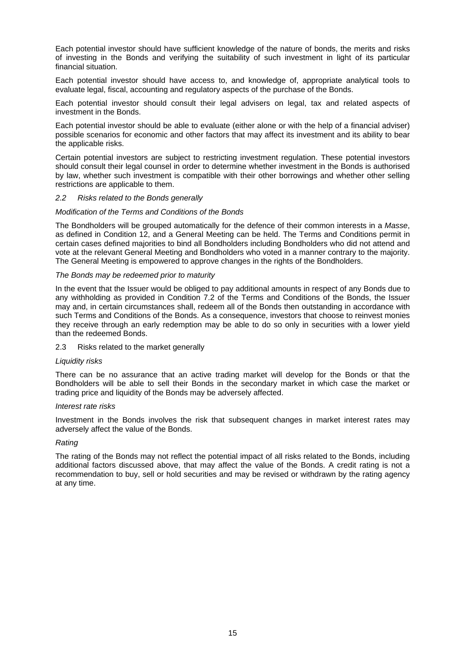Each potential investor should have sufficient knowledge of the nature of bonds, the merits and risks of investing in the Bonds and verifying the suitability of such investment in light of its particular financial situation.

Each potential investor should have access to, and knowledge of, appropriate analytical tools to evaluate legal, fiscal, accounting and regulatory aspects of the purchase of the Bonds.

Each potential investor should consult their legal advisers on legal, tax and related aspects of investment in the Bonds.

Each potential investor should be able to evaluate (either alone or with the help of a financial adviser) possible scenarios for economic and other factors that may affect its investment and its ability to bear the applicable risks.

Certain potential investors are subject to restricting investment regulation. These potential investors should consult their legal counsel in order to determine whether investment in the Bonds is authorised by law, whether such investment is compatible with their other borrowings and whether other selling restrictions are applicable to them.

#### *2.2 Risks related to the Bonds generally*

## *Modification of the Terms and Conditions of the Bonds*

The Bondholders will be grouped automatically for the defence of their common interests in a *Masse*, as defined in Condition 12, and a General Meeting can be held. The Terms and Conditions permit in certain cases defined majorities to bind all Bondholders including Bondholders who did not attend and vote at the relevant General Meeting and Bondholders who voted in a manner contrary to the majority. The General Meeting is empowered to approve changes in the rights of the Bondholders.

#### *The Bonds may be redeemed prior to maturity*

In the event that the Issuer would be obliged to pay additional amounts in respect of any Bonds due to any withholding as provided in Condition 7.2 of the Terms and Conditions of the Bonds, the Issuer may and, in certain circumstances shall, redeem all of the Bonds then outstanding in accordance with such Terms and Conditions of the Bonds. As a consequence, investors that choose to reinvest monies they receive through an early redemption may be able to do so only in securities with a lower yield than the redeemed Bonds.

#### 2.3 Risks related to the market generally

## *Liquidity risks*

There can be no assurance that an active trading market will develop for the Bonds or that the Bondholders will be able to sell their Bonds in the secondary market in which case the market or trading price and liquidity of the Bonds may be adversely affected.

#### *Interest rate risks*

Investment in the Bonds involves the risk that subsequent changes in market interest rates may adversely affect the value of the Bonds.

## *Rating*

The rating of the Bonds may not reflect the potential impact of all risks related to the Bonds, including additional factors discussed above, that may affect the value of the Bonds. A credit rating is not a recommendation to buy, sell or hold securities and may be revised or withdrawn by the rating agency at any time.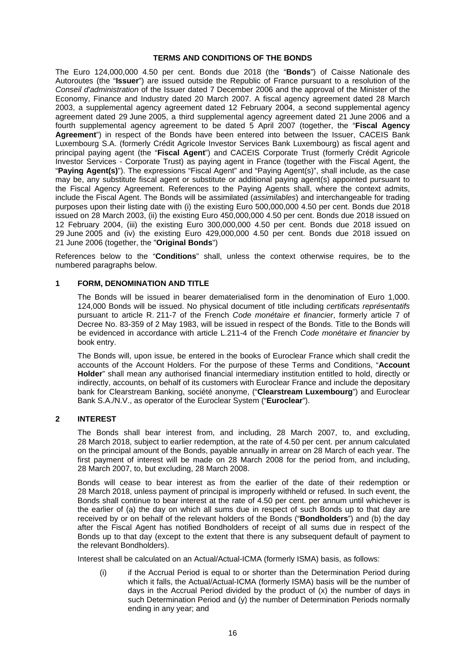### **TERMS AND CONDITIONS OF THE BONDS**

The Euro 124,000,000 4.50 per cent. Bonds due 2018 (the "**Bonds**") of Caisse Nationale des Autoroutes (the "**Issuer**") are issued outside the Republic of France pursuant to a resolution of the *Conseil d'administration* of the Issuer dated 7 December 2006 and the approval of the Minister of the Economy, Finance and Industry dated 20 March 2007. A fiscal agency agreement dated 28 March 2003, a supplemental agency agreement dated 12 February 2004, a second supplemental agency agreement dated 29 June 2005, a third supplemental agency agreement dated 21 June 2006 and a fourth supplemental agency agreement to be dated 5 April 2007 (together, the "**Fiscal Agency Agreement**") in respect of the Bonds have been entered into between the Issuer, CACEIS Bank Luxembourg S.A. (formerly Crédit Agricole Investor Services Bank Luxembourg) as fiscal agent and principal paying agent (the "**Fiscal Agent**") and CACEIS Corporate Trust (formerly Crédit Agricole Investor Services - Corporate Trust) as paying agent in France (together with the Fiscal Agent, the "**Paying Agent(s)**"). The expressions "Fiscal Agent" and "Paying Agent(s)", shall include, as the case may be, any substitute fiscal agent or substitute or additional paying agent(s) appointed pursuant to the Fiscal Agency Agreement. References to the Paying Agents shall, where the context admits, include the Fiscal Agent. The Bonds will be assimilated (*assimilables*) and interchangeable for trading purposes upon their listing date with (i) the existing Euro 500,000,000 4.50 per cent. Bonds due 2018 issued on 28 March 2003, (ii) the existing Euro 450,000,000 4.50 per cent. Bonds due 2018 issued on 12 February 2004, (iii) the existing Euro 300,000,000 4.50 per cent. Bonds due 2018 issued on 29 June 2005 and (iv) the existing Euro 429,000,000 4.50 per cent. Bonds due 2018 issued on 21 June 2006 (together, the "**Original Bonds**")

References below to the "**Conditions**" shall, unless the context otherwise requires, be to the numbered paragraphs below.

## **1 FORM, DENOMINATION AND TITLE**

The Bonds will be issued in bearer dematerialised form in the denomination of Euro 1,000. 124,000 Bonds will be issued. No physical document of title including *certificats représentatifs* pursuant to article R. 211-7 of the French *Code monétaire et financier*, formerly article 7 of Decree No. 83-359 of 2 May 1983, will be issued in respect of the Bonds. Title to the Bonds will be evidenced in accordance with article L.211-4 of the French *Code monétaire et financier* by book entry.

The Bonds will, upon issue, be entered in the books of Euroclear France which shall credit the accounts of the Account Holders. For the purpose of these Terms and Conditions, "**Account Holder**" shall mean any authorised financial intermediary institution entitled to hold, directly or indirectly, accounts, on behalf of its customers with Euroclear France and include the depositary bank for Clearstream Banking, société anonyme, ("**Clearstream Luxembourg**") and Euroclear Bank S.A./N.V., as operator of the Euroclear System ("**Euroclear**").

#### **2 INTEREST**

The Bonds shall bear interest from, and including, 28 March 2007, to, and excluding, 28 March 2018, subject to earlier redemption, at the rate of 4.50 per cent. per annum calculated on the principal amount of the Bonds, payable annually in arrear on 28 March of each year. The first payment of interest will be made on 28 March 2008 for the period from, and including, 28 March 2007, to, but excluding, 28 March 2008.

Bonds will cease to bear interest as from the earlier of the date of their redemption or 28 March 2018, unless payment of principal is improperly withheld or refused. In such event, the Bonds shall continue to bear interest at the rate of 4.50 per cent. per annum until whichever is the earlier of (a) the day on which all sums due in respect of such Bonds up to that day are received by or on behalf of the relevant holders of the Bonds ("**Bondholders**") and (b) the day after the Fiscal Agent has notified Bondholders of receipt of all sums due in respect of the Bonds up to that day (except to the extent that there is any subsequent default of payment to the relevant Bondholders).

Interest shall be calculated on an Actual/Actual-ICMA (formerly ISMA) basis, as follows:

(i) if the Accrual Period is equal to or shorter than the Determination Period during which it falls, the Actual/Actual-ICMA (formerly ISMA) basis will be the number of days in the Accrual Period divided by the product of (x) the number of days in such Determination Period and (y) the number of Determination Periods normally ending in any year; and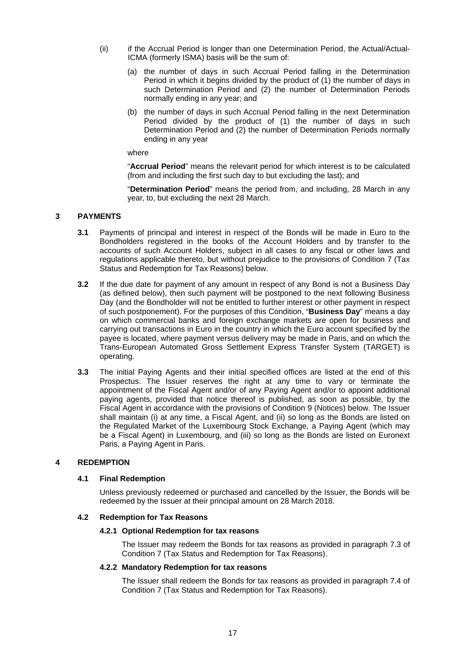- (ii) if the Accrual Period is longer than one Determination Period, the Actual/Actual-ICMA (formerly ISMA) basis will be the sum of:
	- (a) the number of days in such Accrual Period falling in the Determination Period in which it begins divided by the product of (1) the number of days in such Determination Period and (2) the number of Determination Periods normally ending in any year; and
	- (b) the number of days in such Accrual Period falling in the next Determination Period divided by the product of (1) the number of days in such Determination Period and (2) the number of Determination Periods normally ending in any year

#### where

"**Accrual Period**" means the relevant period for which interest is to be calculated (from and including the first such day to but excluding the last); and

"**Determination Period**" means the period from, and including, 28 March in any year, to, but excluding the next 28 March.

## **3 PAYMENTS**

- **3.1** Payments of principal and interest in respect of the Bonds will be made in Euro to the Bondholders registered in the books of the Account Holders and by transfer to the accounts of such Account Holders, subject in all cases to any fiscal or other laws and regulations applicable thereto, but without prejudice to the provisions of Condition 7 (Tax Status and Redemption for Tax Reasons) below.
- **3.2** If the due date for payment of any amount in respect of any Bond is not a Business Day (as defined below), then such payment will be postponed to the next following Business Day (and the Bondholder will not be entitled to further interest or other payment in respect of such postponement). For the purposes of this Condition, "**Business Day**" means a day on which commercial banks and foreign exchange markets are open for business and carrying out transactions in Euro in the country in which the Euro account specified by the payee is located, where payment versus delivery may be made in Paris, and on which the Trans-European Automated Gross Settlement Express Transfer System (TARGET) is operating.
- **3.3** The initial Paying Agents and their initial specified offices are listed at the end of this Prospectus. The Issuer reserves the right at any time to vary or terminate the appointment of the Fiscal Agent and/or of any Paying Agent and/or to appoint additional paying agents, provided that notice thereof is published, as soon as possible, by the Fiscal Agent in accordance with the provisions of Condition 9 (Notices) below. The Issuer shall maintain (i) at any time, a Fiscal Agent, and (ii) so long as the Bonds are listed on the Regulated Market of the Luxembourg Stock Exchange, a Paying Agent (which may be a Fiscal Agent) in Luxembourg, and (iii) so long as the Bonds are listed on Euronext Paris, a Paying Agent in Paris.

#### **4 REDEMPTION**

#### **4.1 Final Redemption**

Unless previously redeemed or purchased and cancelled by the Issuer, the Bonds will be redeemed by the Issuer at their principal amount on 28 March 2018.

#### **4.2 Redemption for Tax Reasons**

### **4.2.1 Optional Redemption for tax reasons**

 The Issuer may redeem the Bonds for tax reasons as provided in paragraph 7.3 of Condition 7 (Tax Status and Redemption for Tax Reasons).

## **4.2.2 Mandatory Redemption for tax reasons**

 The Issuer shall redeem the Bonds for tax reasons as provided in paragraph 7.4 of Condition 7 (Tax Status and Redemption for Tax Reasons).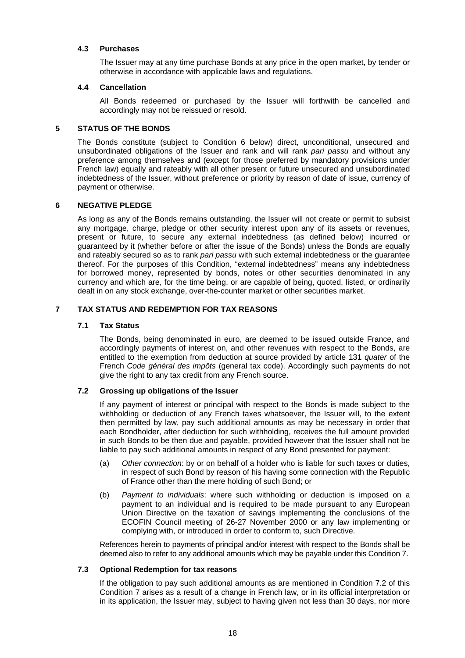## **4.3 Purchases**

The Issuer may at any time purchase Bonds at any price in the open market, by tender or otherwise in accordance with applicable laws and regulations.

## **4.4 Cancellation**

All Bonds redeemed or purchased by the Issuer will forthwith be cancelled and accordingly may not be reissued or resold.

## **5 STATUS OF THE BONDS**

The Bonds constitute (subject to Condition 6 below) direct, unconditional, unsecured and unsubordinated obligations of the Issuer and rank and will rank *pari passu* and without any preference among themselves and (except for those preferred by mandatory provisions under French law) equally and rateably with all other present or future unsecured and unsubordinated indebtedness of the Issuer, without preference or priority by reason of date of issue, currency of payment or otherwise.

## **6 NEGATIVE PLEDGE**

As long as any of the Bonds remains outstanding, the Issuer will not create or permit to subsist any mortgage, charge, pledge or other security interest upon any of its assets or revenues, present or future, to secure any external indebtedness (as defined below) incurred or guaranteed by it (whether before or after the issue of the Bonds) unless the Bonds are equally and rateably secured so as to rank *pari passu* with such external indebtedness or the guarantee thereof. For the purposes of this Condition, "external indebtedness" means any indebtedness for borrowed money, represented by bonds, notes or other securities denominated in any currency and which are, for the time being, or are capable of being, quoted, listed, or ordinarily dealt in on any stock exchange, over-the-counter market or other securities market.

## **7 TAX STATUS AND REDEMPTION FOR TAX REASONS**

### **7.1 Tax Status**

The Bonds, being denominated in euro, are deemed to be issued outside France, and accordingly payments of interest on, and other revenues with respect to the Bonds, are entitled to the exemption from deduction at source provided by article 131 *quater* of the French *Code général des impôts* (general tax code). Accordingly such payments do not give the right to any tax credit from any French source.

## **7.2 Grossing up obligations of the Issuer**

If any payment of interest or principal with respect to the Bonds is made subject to the withholding or deduction of any French taxes whatsoever, the Issuer will, to the extent then permitted by law, pay such additional amounts as may be necessary in order that each Bondholder, after deduction for such withholding, receives the full amount provided in such Bonds to be then due and payable, provided however that the Issuer shall not be liable to pay such additional amounts in respect of any Bond presented for payment:

- (a) *Other connection*: by or on behalf of a holder who is liable for such taxes or duties, in respect of such Bond by reason of his having some connection with the Republic of France other than the mere holding of such Bond; or
- (b) *Payment to individuals*: where such withholding or deduction is imposed on a payment to an individual and is required to be made pursuant to any European Union Directive on the taxation of savings implementing the conclusions of the ECOFIN Council meeting of 26-27 November 2000 or any law implementing or complying with, or introduced in order to conform to, such Directive.

References herein to payments of principal and/or interest with respect to the Bonds shall be deemed also to refer to any additional amounts which may be payable under this Condition 7.

#### **7.3 Optional Redemption for tax reasons**

If the obligation to pay such additional amounts as are mentioned in Condition 7.2 of this Condition 7 arises as a result of a change in French law, or in its official interpretation or in its application, the Issuer may, subject to having given not less than 30 days, nor more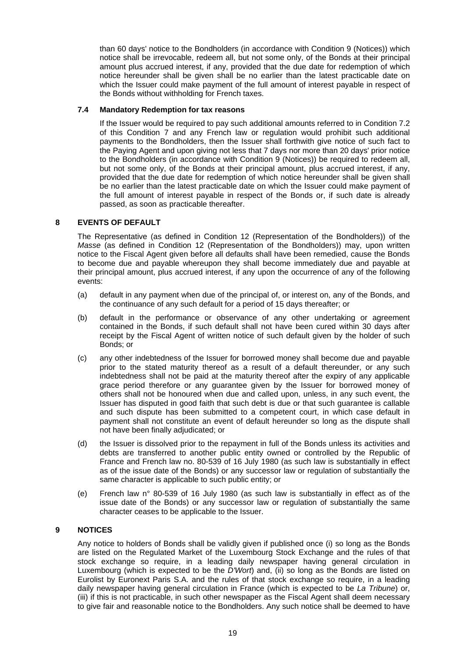than 60 days' notice to the Bondholders (in accordance with Condition 9 (Notices)) which notice shall be irrevocable, redeem all, but not some only, of the Bonds at their principal amount plus accrued interest, if any, provided that the due date for redemption of which notice hereunder shall be given shall be no earlier than the latest practicable date on which the Issuer could make payment of the full amount of interest payable in respect of the Bonds without withholding for French taxes.

## **7.4 Mandatory Redemption for tax reasons**

If the Issuer would be required to pay such additional amounts referred to in Condition 7.2 of this Condition 7 and any French law or regulation would prohibit such additional payments to the Bondholders, then the Issuer shall forthwith give notice of such fact to the Paying Agent and upon giving not less that 7 days nor more than 20 days' prior notice to the Bondholders (in accordance with Condition 9 (Notices)) be required to redeem all, but not some only, of the Bonds at their principal amount, plus accrued interest, if any, provided that the due date for redemption of which notice hereunder shall be given shall be no earlier than the latest practicable date on which the Issuer could make payment of the full amount of interest payable in respect of the Bonds or, if such date is already passed, as soon as practicable thereafter.

## **8 EVENTS OF DEFAULT**

The Representative (as defined in Condition 12 (Representation of the Bondholders)) of the *Masse* (as defined in Condition 12 (Representation of the Bondholders)) may, upon written notice to the Fiscal Agent given before all defaults shall have been remedied, cause the Bonds to become due and payable whereupon they shall become immediately due and payable at their principal amount, plus accrued interest, if any upon the occurrence of any of the following events:

- (a) default in any payment when due of the principal of, or interest on, any of the Bonds, and the continuance of any such default for a period of 15 days thereafter; or
- (b) default in the performance or observance of any other undertaking or agreement contained in the Bonds, if such default shall not have been cured within 30 days after receipt by the Fiscal Agent of written notice of such default given by the holder of such Bonds; or
- (c) any other indebtedness of the Issuer for borrowed money shall become due and payable prior to the stated maturity thereof as a result of a default thereunder, or any such indebtedness shall not be paid at the maturity thereof after the expiry of any applicable grace period therefore or any guarantee given by the Issuer for borrowed money of others shall not be honoured when due and called upon, unless, in any such event, the Issuer has disputed in good faith that such debt is due or that such guarantee is callable and such dispute has been submitted to a competent court, in which case default in payment shall not constitute an event of default hereunder so long as the dispute shall not have been finally adjudicated; or
- (d) the Issuer is dissolved prior to the repayment in full of the Bonds unless its activities and debts are transferred to another public entity owned or controlled by the Republic of France and French law no. 80-539 of 16 July 1980 (as such law is substantially in effect as of the issue date of the Bonds) or any successor law or regulation of substantially the same character is applicable to such public entity; or
- (e) French law n° 80-539 of 16 July 1980 (as such law is substantially in effect as of the issue date of the Bonds) or any successor law or regulation of substantially the same character ceases to be applicable to the Issuer.

## **9 NOTICES**

Any notice to holders of Bonds shall be validly given if published once (i) so long as the Bonds are listed on the Regulated Market of the Luxembourg Stock Exchange and the rules of that stock exchange so require, in a leading daily newspaper having general circulation in Luxembourg (which is expected to be the *D'Wort*) and, (ii) so long as the Bonds are listed on Eurolist by Euronext Paris S.A. and the rules of that stock exchange so require, in a leading daily newspaper having general circulation in France (which is expected to be *La Tribune*) or, (iii) if this is not practicable, in such other newspaper as the Fiscal Agent shall deem necessary to give fair and reasonable notice to the Bondholders. Any such notice shall be deemed to have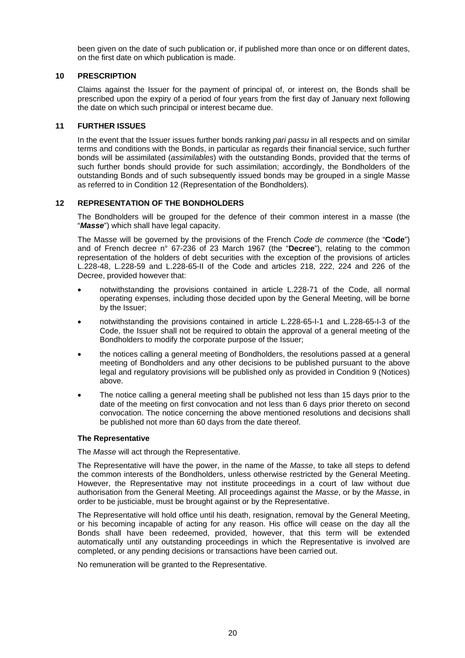been given on the date of such publication or, if published more than once or on different dates, on the first date on which publication is made.

## **10 PRESCRIPTION**

Claims against the Issuer for the payment of principal of, or interest on, the Bonds shall be prescribed upon the expiry of a period of four years from the first day of January next following the date on which such principal or interest became due.

## **11 FURTHER ISSUES**

In the event that the Issuer issues further bonds ranking *pari passu* in all respects and on similar terms and conditions with the Bonds, in particular as regards their financial service, such further bonds will be assimilated (*assimilables*) with the outstanding Bonds, provided that the terms of such further bonds should provide for such assimilation; accordingly, the Bondholders of the outstanding Bonds and of such subsequently issued bonds may be grouped in a single Masse as referred to in Condition 12 (Representation of the Bondholders).

## **12 REPRESENTATION OF THE BONDHOLDERS**

The Bondholders will be grouped for the defence of their common interest in a masse (the "*Masse*") which shall have legal capacity.

The Masse will be governed by the provisions of the French *Code de commerce* (the "**Code**") and of French decree n° 67-236 of 23 March 1967 (the "**Decree**"), relating to the common representation of the holders of debt securities with the exception of the provisions of articles L.228-48, L.228-59 and L.228-65-II of the Code and articles 218, 222, 224 and 226 of the Decree, provided however that:

- notwithstanding the provisions contained in article L.228-71 of the Code, all normal operating expenses, including those decided upon by the General Meeting, will be borne by the Issuer;
- notwithstanding the provisions contained in article L.228-65-I-1 and L.228-65-I-3 of the Code, the Issuer shall not be required to obtain the approval of a general meeting of the Bondholders to modify the corporate purpose of the Issuer;
- the notices calling a general meeting of Bondholders, the resolutions passed at a general meeting of Bondholders and any other decisions to be published pursuant to the above legal and regulatory provisions will be published only as provided in Condition 9 (Notices) above.
- The notice calling a general meeting shall be published not less than 15 days prior to the date of the meeting on first convocation and not less than 6 days prior thereto on second convocation. The notice concerning the above mentioned resolutions and decisions shall be published not more than 60 days from the date thereof.

#### **The Representative**

The *Masse* will act through the Representative.

The Representative will have the power, in the name of the *Masse*, to take all steps to defend the common interests of the Bondholders, unless otherwise restricted by the General Meeting. However, the Representative may not institute proceedings in a court of law without due authorisation from the General Meeting. All proceedings against the *Masse*, or by the *Masse*, in order to be justiciable, must be brought against or by the Representative.

The Representative will hold office until his death, resignation, removal by the General Meeting, or his becoming incapable of acting for any reason. His office will cease on the day all the Bonds shall have been redeemed, provided, however, that this term will be extended automatically until any outstanding proceedings in which the Representative is involved are completed, or any pending decisions or transactions have been carried out.

No remuneration will be granted to the Representative.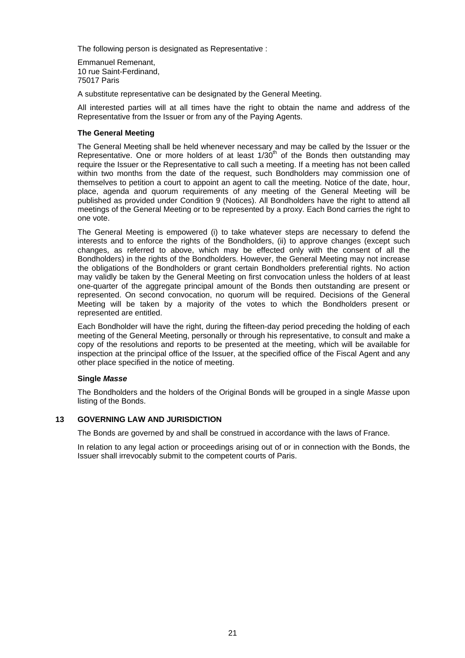The following person is designated as Representative :

Emmanuel Remenant, 10 rue Saint-Ferdinand, 75017 Paris

A substitute representative can be designated by the General Meeting.

All interested parties will at all times have the right to obtain the name and address of the Representative from the Issuer or from any of the Paying Agents.

## **The General Meeting**

The General Meeting shall be held whenever necessary and may be called by the Issuer or the Representative. One or more holders of at least  $1/30<sup>th</sup>$  of the Bonds then outstanding may require the Issuer or the Representative to call such a meeting. If a meeting has not been called within two months from the date of the request, such Bondholders may commission one of themselves to petition a court to appoint an agent to call the meeting. Notice of the date, hour, place, agenda and quorum requirements of any meeting of the General Meeting will be published as provided under Condition 9 (Notices). All Bondholders have the right to attend all meetings of the General Meeting or to be represented by a proxy. Each Bond carries the right to one vote.

The General Meeting is empowered (i) to take whatever steps are necessary to defend the interests and to enforce the rights of the Bondholders, (ii) to approve changes (except such changes, as referred to above, which may be effected only with the consent of all the Bondholders) in the rights of the Bondholders. However, the General Meeting may not increase the obligations of the Bondholders or grant certain Bondholders preferential rights. No action may validly be taken by the General Meeting on first convocation unless the holders of at least one-quarter of the aggregate principal amount of the Bonds then outstanding are present or represented. On second convocation, no quorum will be required. Decisions of the General Meeting will be taken by a majority of the votes to which the Bondholders present or represented are entitled.

Each Bondholder will have the right, during the fifteen-day period preceding the holding of each meeting of the General Meeting, personally or through his representative, to consult and make a copy of the resolutions and reports to be presented at the meeting, which will be available for inspection at the principal office of the Issuer, at the specified office of the Fiscal Agent and any other place specified in the notice of meeting.

## **Single** *Masse*

The Bondholders and the holders of the Original Bonds will be grouped in a single *Masse* upon listing of the Bonds.

## **13 GOVERNING LAW AND JURISDICTION**

The Bonds are governed by and shall be construed in accordance with the laws of France.

In relation to any legal action or proceedings arising out of or in connection with the Bonds, the Issuer shall irrevocably submit to the competent courts of Paris.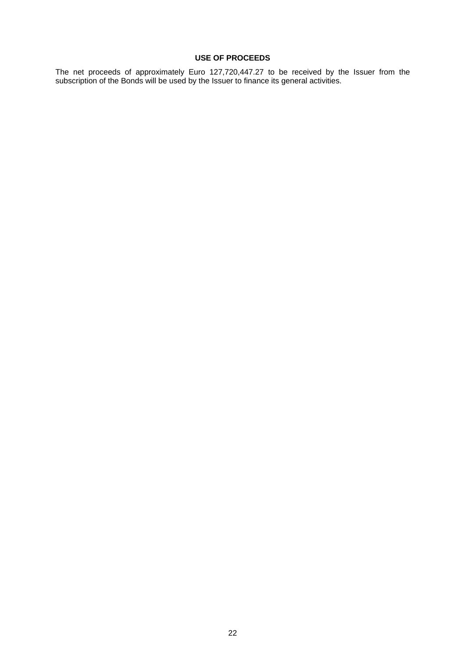## **USE OF PROCEEDS**

The net proceeds of approximately Euro 127,720,447.27 to be received by the Issuer from the subscription of the Bonds will be used by the Issuer to finance its general activities.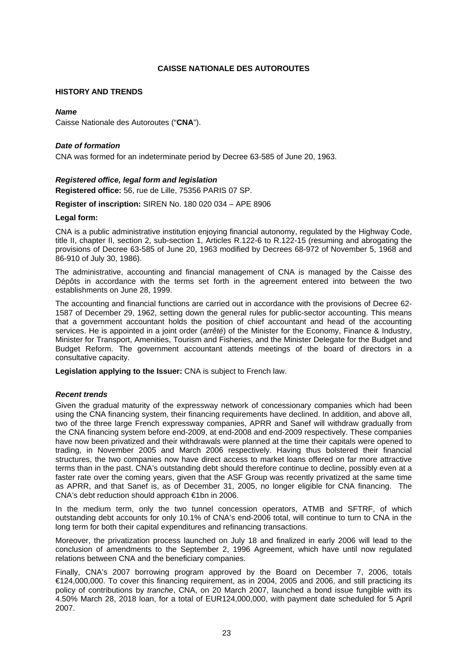## **CAISSE NATIONALE DES AUTOROUTES**

### **HISTORY AND TRENDS**

## *Name*

Caisse Nationale des Autoroutes ("**CNA**").

## *Date of formation*

CNA was formed for an indeterminate period by Decree 63-585 of June 20, 1963.

## *Registered office, legal form and legislation*

**Registered office:** 56, rue de Lille, 75356 PARIS 07 SP.

**Register of inscription:** SIREN No. 180 020 034 – APE 8906

#### **Legal form:**

CNA is a public administrative institution enjoying financial autonomy, regulated by the Highway Code, title II, chapter II, section 2, sub-section 1, Articles R.122-6 to R.122-15 (resuming and abrogating the provisions of Decree 63-585 of June 20, 1963 modified by Decrees 68-972 of November 5, 1968 and 86-910 of July 30, 1986).

The administrative, accounting and financial management of CNA is managed by the Caisse des Dépôts in accordance with the terms set forth in the agreement entered into between the two establishments on June 28, 1999.

The accounting and financial functions are carried out in accordance with the provisions of Decree 62- 1587 of December 29, 1962, setting down the general rules for public-sector accounting. This means that a government accountant holds the position of chief accountant and head of the accounting services. He is appointed in a joint order (*arrêté*) of the Minister for the Economy, Finance & Industry, Minister for Transport, Amenities, Tourism and Fisheries, and the Minister Delegate for the Budget and Budget Reform. The government accountant attends meetings of the board of directors in a consultative capacity.

**Legislation applying to the Issuer:** CNA is subject to French law.

#### *Recent trends*

Given the gradual maturity of the expressway network of concessionary companies which had been using the CNA financing system, their financing requirements have declined. In addition, and above all, two of the three large French expressway companies, APRR and Sanef will withdraw gradually from the CNA financing system before end-2009, at end-2008 and end-2009 respectively. These companies have now been privatized and their withdrawals were planned at the time their capitals were opened to trading, in November 2005 and March 2006 respectively. Having thus bolstered their financial structures, the two companies now have direct access to market loans offered on far more attractive terms than in the past. CNA's outstanding debt should therefore continue to decline, possibly even at a faster rate over the coming years, given that the ASF Group was recently privatized at the same time as APRR, and that Sanef is, as of December 31, 2005, no longer eligible for CNA financing. The CNA's debt reduction should approach €1bn in 2006.

In the medium term, only the two tunnel concession operators, ATMB and SFTRF, of which outstanding debt accounts for only 10.1% of CNA's end-2006 total, will continue to turn to CNA in the long term for both their capital expenditures and refinancing transactions.

Moreover, the privatization process launched on July 18 and finalized in early 2006 will lead to the conclusion of amendments to the September 2, 1996 Agreement, which have until now regulated relations between CNA and the beneficiary companies.

Finally, CNA's 2007 borrowing program approved by the Board on December 7, 2006, totals €124,000,000. To cover this financing requirement, as in 2004, 2005 and 2006, and still practicing its policy of contributions by *tranche*, CNA, on 20 March 2007, launched a bond issue fungible with its 4.50% March 28, 2018 loan, for a total of EUR124,000,000, with payment date scheduled for 5 April 2007.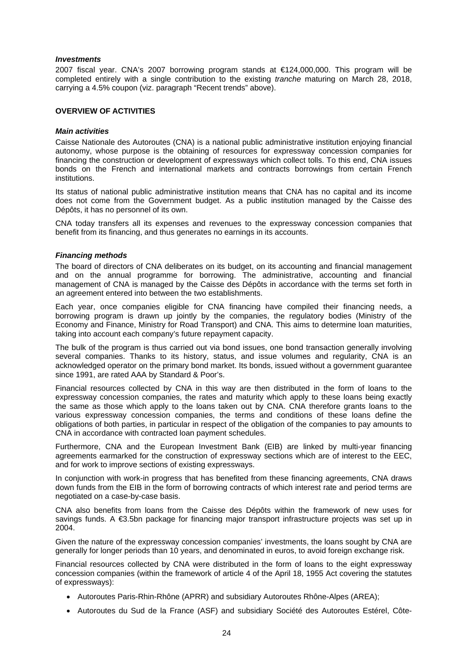### *Investments*

2007 fiscal year. CNA's 2007 borrowing program stands at €124,000,000. This program will be completed entirely with a single contribution to the existing *tranche* maturing on March 28, 2018, carrying a 4.5% coupon (viz. paragraph "Recent trends" above).

## **OVERVIEW OF ACTIVITIES**

### *Main activities*

Caisse Nationale des Autoroutes (CNA) is a national public administrative institution enjoying financial autonomy, whose purpose is the obtaining of resources for expressway concession companies for financing the construction or development of expressways which collect tolls. To this end, CNA issues bonds on the French and international markets and contracts borrowings from certain French institutions.

Its status of national public administrative institution means that CNA has no capital and its income does not come from the Government budget. As a public institution managed by the Caisse des Dépôts, it has no personnel of its own.

CNA today transfers all its expenses and revenues to the expressway concession companies that benefit from its financing, and thus generates no earnings in its accounts.

## *Financing methods*

The board of directors of CNA deliberates on its budget, on its accounting and financial management and on the annual programme for borrowing. The administrative, accounting and financial management of CNA is managed by the Caisse des Dépôts in accordance with the terms set forth in an agreement entered into between the two establishments.

Each year, once companies eligible for CNA financing have compiled their financing needs, a borrowing program is drawn up jointly by the companies, the regulatory bodies (Ministry of the Economy and Finance, Ministry for Road Transport) and CNA. This aims to determine loan maturities, taking into account each company's future repayment capacity.

The bulk of the program is thus carried out via bond issues, one bond transaction generally involving several companies. Thanks to its history, status, and issue volumes and regularity, CNA is an acknowledged operator on the primary bond market. Its bonds, issued without a government guarantee since 1991, are rated AAA by Standard & Poor's.

Financial resources collected by CNA in this way are then distributed in the form of loans to the expressway concession companies, the rates and maturity which apply to these loans being exactly the same as those which apply to the loans taken out by CNA. CNA therefore grants loans to the various expressway concession companies, the terms and conditions of these loans define the obligations of both parties, in particular in respect of the obligation of the companies to pay amounts to CNA in accordance with contracted loan payment schedules.

Furthermore, CNA and the European Investment Bank (EIB) are linked by multi-year financing agreements earmarked for the construction of expressway sections which are of interest to the EEC, and for work to improve sections of existing expressways.

In conjunction with work-in progress that has benefited from these financing agreements, CNA draws down funds from the EIB in the form of borrowing contracts of which interest rate and period terms are negotiated on a case-by-case basis.

CNA also benefits from loans from the Caisse des Dépôts within the framework of new uses for savings funds. A €3.5bn package for financing major transport infrastructure projects was set up in 2004.

Given the nature of the expressway concession companies' investments, the loans sought by CNA are generally for longer periods than 10 years, and denominated in euros, to avoid foreign exchange risk.

Financial resources collected by CNA were distributed in the form of loans to the eight expressway concession companies (within the framework of article 4 of the April 18, 1955 Act covering the statutes of expressways):

- Autoroutes Paris-Rhin-Rhône (APRR) and subsidiary Autoroutes Rhône-Alpes (AREA);
- Autoroutes du Sud de la France (ASF) and subsidiary Société des Autoroutes Estérel, Côte-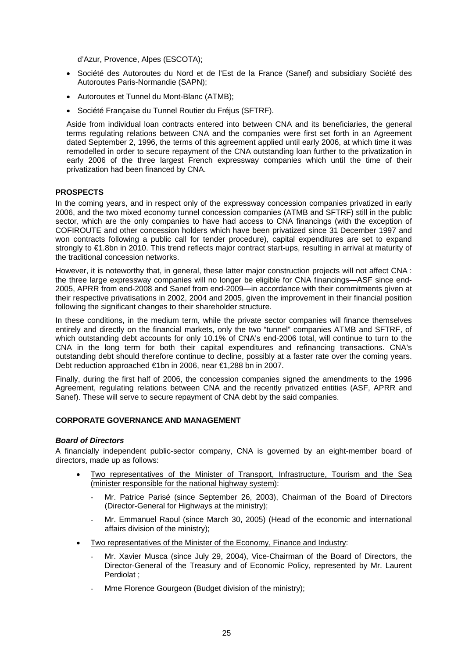d'Azur, Provence, Alpes (ESCOTA);

- Société des Autoroutes du Nord et de l'Est de la France (Sanef) and subsidiary Société des Autoroutes Paris-Normandie (SAPN);
- Autoroutes et Tunnel du Mont-Blanc (ATMB);
- Société Française du Tunnel Routier du Fréjus (SFTRF).

Aside from individual loan contracts entered into between CNA and its beneficiaries, the general terms regulating relations between CNA and the companies were first set forth in an Agreement dated September 2, 1996, the terms of this agreement applied until early 2006, at which time it was remodelled in order to secure repayment of the CNA outstanding loan further to the privatization in early 2006 of the three largest French expressway companies which until the time of their privatization had been financed by CNA.

## **PROSPECTS**

In the coming years, and in respect only of the expressway concession companies privatized in early 2006, and the two mixed economy tunnel concession companies (ATMB and SFTRF) still in the public sector, which are the only companies to have had access to CNA financings (with the exception of COFIROUTE and other concession holders which have been privatized since 31 December 1997 and won contracts following a public call for tender procedure), capital expenditures are set to expand strongly to €1.8bn in 2010. This trend reflects major contract start-ups, resulting in arrival at maturity of the traditional concession networks.

However, it is noteworthy that, in general, these latter major construction projects will not affect CNA : the three large expressway companies will no longer be eligible for CNA financings—ASF since end-2005, APRR from end-2008 and Sanef from end-2009—in accordance with their commitments given at their respective privatisations in 2002, 2004 and 2005, given the improvement in their financial position following the significant changes to their shareholder structure.

In these conditions, in the medium term, while the private sector companies will finance themselves entirely and directly on the financial markets, only the two "tunnel" companies ATMB and SFTRF, of which outstanding debt accounts for only 10.1% of CNA's end-2006 total, will continue to turn to the CNA in the long term for both their capital expenditures and refinancing transactions. CNA's outstanding debt should therefore continue to decline, possibly at a faster rate over the coming years. Debt reduction approached €1bn in 2006, near €1,288 bn in 2007.

Finally, during the first half of 2006, the concession companies signed the amendments to the 1996 Agreement, regulating relations between CNA and the recently privatized entities (ASF, APRR and Sanef). These will serve to secure repayment of CNA debt by the said companies.

## **CORPORATE GOVERNANCE AND MANAGEMENT**

#### *Board of Directors*

A financially independent public-sector company, CNA is governed by an eight-member board of directors, made up as follows:

- Two representatives of the Minister of Transport, Infrastructure, Tourism and the Sea (minister responsible for the national highway system):
	- Mr. Patrice Parisé (since September 26, 2003), Chairman of the Board of Directors (Director-General for Highways at the ministry);
	- Mr. Emmanuel Raoul (since March 30, 2005) (Head of the economic and international affairs division of the ministry);
- Two representatives of the Minister of the Economy, Finance and Industry:
	- Mr. Xavier Musca (since July 29, 2004), Vice-Chairman of the Board of Directors, the Director-General of the Treasury and of Economic Policy, represented by Mr. Laurent Perdiolat ;
	- Mme Florence Gourgeon (Budget division of the ministry);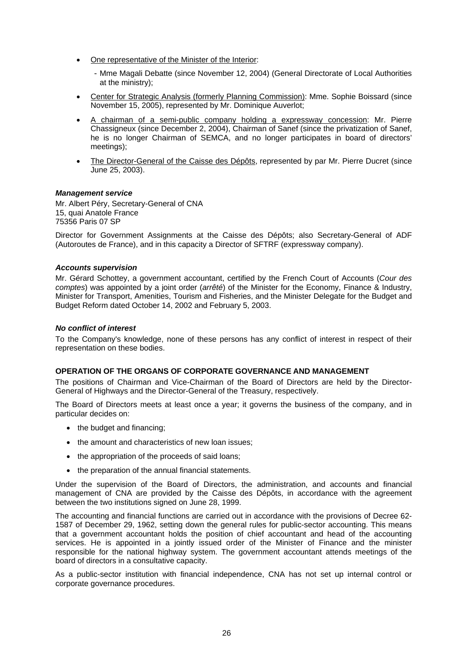- One representative of the Minister of the Interior:
	- Mme Magali Debatte (since November 12, 2004) (General Directorate of Local Authorities at the ministry);
- Center for Strategic Analysis (formerly Planning Commission): Mme. Sophie Boissard (since November 15, 2005), represented by Mr. Dominique Auverlot;
- A chairman of a semi-public company holding a expressway concession: Mr. Pierre Chassigneux (since December 2, 2004), Chairman of Sanef (since the privatization of Sanef, he is no longer Chairman of SEMCA, and no longer participates in board of directors' meetings);
- The Director-General of the Caisse des Dépôts, represented by par Mr. Pierre Ducret (since June 25, 2003).

## *Management service*

Mr. Albert Péry, Secretary-General of CNA 15, quai Anatole France 75356 Paris 07 SP

Director for Government Assignments at the Caisse des Dépôts; also Secretary-General of ADF (Autoroutes de France), and in this capacity a Director of SFTRF (expressway company).

## *Accounts supervision*

Mr. Gérard Schottey, a government accountant, certified by the French Court of Accounts (*Cour des comptes*) was appointed by a joint order (*arrêté*) of the Minister for the Economy, Finance & Industry, Minister for Transport, Amenities, Tourism and Fisheries, and the Minister Delegate for the Budget and Budget Reform dated October 14, 2002 and February 5, 2003.

## *No conflict of interest*

To the Company's knowledge, none of these persons has any conflict of interest in respect of their representation on these bodies.

#### **OPERATION OF THE ORGANS OF CORPORATE GOVERNANCE AND MANAGEMENT**

The positions of Chairman and Vice-Chairman of the Board of Directors are held by the Director-General of Highways and the Director-General of the Treasury, respectively.

The Board of Directors meets at least once a year; it governs the business of the company, and in particular decides on:

- the budget and financing;
- the amount and characteristics of new loan issues:
- the appropriation of the proceeds of said loans;
- the preparation of the annual financial statements.

Under the supervision of the Board of Directors, the administration, and accounts and financial management of CNA are provided by the Caisse des Dépôts, in accordance with the agreement between the two institutions signed on June 28, 1999.

The accounting and financial functions are carried out in accordance with the provisions of Decree 62- 1587 of December 29, 1962, setting down the general rules for public-sector accounting. This means that a government accountant holds the position of chief accountant and head of the accounting services. He is appointed in a jointly issued order of the Minister of Finance and the minister responsible for the national highway system. The government accountant attends meetings of the board of directors in a consultative capacity.

As a public-sector institution with financial independence, CNA has not set up internal control or corporate governance procedures.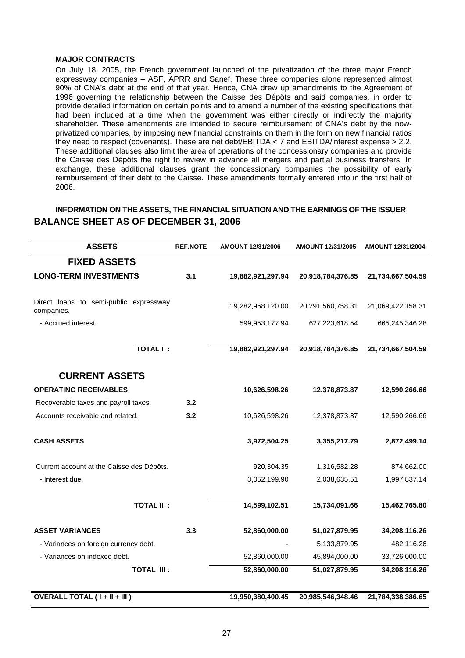## **MAJOR CONTRACTS**

On July 18, 2005, the French government launched of the privatization of the three major French expressway companies – ASF, APRR and Sanef. These three companies alone represented almost 90% of CNA's debt at the end of that year. Hence, CNA drew up amendments to the Agreement of 1996 governing the relationship between the Caisse des Dépôts and said companies, in order to provide detailed information on certain points and to amend a number of the existing specifications that had been included at a time when the government was either directly or indirectly the majority shareholder. These amendments are intended to secure reimbursement of CNA's debt by the nowprivatized companies, by imposing new financial constraints on them in the form on new financial ratios they need to respect (covenants). These are net debt/EBITDA < 7 and EBITDA/interest expense > 2.2. These additional clauses also limit the area of operations of the concessionary companies and provide the Caisse des Dépôts the right to review in advance all mergers and partial business transfers. In exchange, these additional clauses grant the concessionary companies the possibility of early reimbursement of their debt to the Caisse. These amendments formally entered into in the first half of 2006.

## **INFORMATION ON THE ASSETS, THE FINANCIAL SITUATION AND THE EARNINGS OF THE ISSUER BALANCE SHEET AS OF DECEMBER 31, 2006**

| <b>ASSETS</b>                                        | <b>REF.NOTE</b> | AMOUNT 12/31/2006 | AMOUNT 12/31/2005 | AMOUNT 12/31/2004 |
|------------------------------------------------------|-----------------|-------------------|-------------------|-------------------|
| <b>FIXED ASSETS</b>                                  |                 |                   |                   |                   |
| <b>LONG-TERM INVESTMENTS</b>                         | 3.1             | 19,882,921,297.94 | 20,918,784,376.85 | 21,734,667,504.59 |
| Direct loans to semi-public expressway<br>companies. |                 | 19,282,968,120.00 | 20,291,560,758.31 | 21,069,422,158.31 |
| - Accrued interest.                                  |                 | 599,953,177.94    | 627,223,618.54    | 665,245,346.28    |
| <b>TOTAL I:</b>                                      |                 | 19,882,921,297.94 | 20,918,784,376.85 | 21,734,667,504.59 |
| <b>CURRENT ASSETS</b>                                |                 |                   |                   |                   |
| <b>OPERATING RECEIVABLES</b>                         |                 | 10,626,598.26     | 12,378,873.87     | 12,590,266.66     |
| Recoverable taxes and payroll taxes.                 | 3.2             |                   |                   |                   |
| Accounts receivable and related.                     | 3.2             | 10,626,598.26     | 12,378,873.87     | 12,590,266.66     |
| <b>CASH ASSETS</b>                                   |                 | 3,972,504.25      | 3,355,217.79      | 2,872,499.14      |
| Current account at the Caisse des Dépôts.            |                 | 920,304.35        | 1,316,582.28      | 874,662.00        |
| - Interest due.                                      |                 | 3,052,199.90      | 2,038,635.51      | 1,997,837.14      |
| <b>TOTAL II:</b>                                     |                 | 14,599,102.51     | 15,734,091.66     | 15,462,765.80     |
| <b>ASSET VARIANCES</b>                               | 3.3             | 52,860,000.00     | 51,027,879.95     | 34,208,116.26     |
| - Variances on foreign currency debt.                |                 |                   | 5,133,879.95      | 482,116.26        |
| - Variances on indexed debt.                         |                 | 52,860,000.00     | 45,894,000.00     | 33,726,000.00     |
| <b>TOTAL III:</b>                                    |                 | 52,860,000.00     | 51,027,879.95     | 34,208,116.26     |
| <b>OVERALL TOTAL (I+II+III)</b>                      |                 | 19,950,380,400.45 | 20,985,546,348.46 | 21,784,338,386.65 |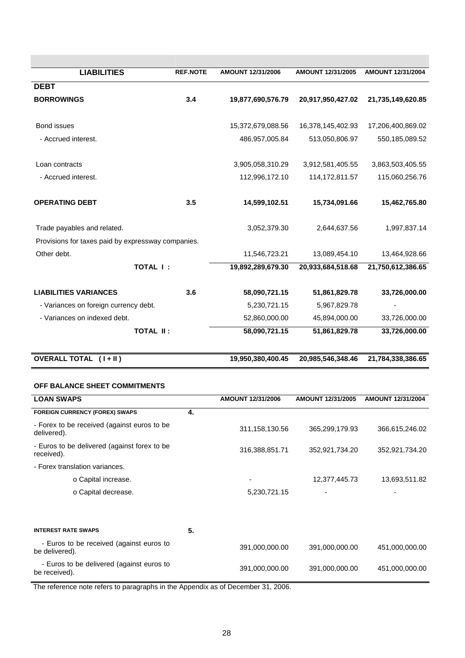| <b>LIABILITIES</b>                                 | <b>REF.NOTE</b>  | AMOUNT 12/31/2006 | AMOUNT 12/31/2005 | AMOUNT 12/31/2004 |
|----------------------------------------------------|------------------|-------------------|-------------------|-------------------|
| <b>DEBT</b>                                        |                  |                   |                   |                   |
| <b>BORROWINGS</b>                                  | 3.4              | 19,877,690,576.79 | 20,917,950,427.02 | 21,735,149,620.85 |
|                                                    |                  |                   |                   |                   |
| Bond issues                                        |                  | 15,372,679,088.56 | 16,378,145,402.93 | 17,206,400,869.02 |
| - Accrued interest.                                |                  | 486,957,005.84    | 513,050,806.97    | 550,185,089.52    |
| Loan contracts                                     |                  | 3,905,058,310.29  | 3,912,581,405.55  | 3,863,503,405.55  |
| - Accrued interest.                                |                  | 112,996,172.10    | 114, 172, 811.57  | 115,060,256.76    |
| <b>OPERATING DEBT</b>                              | 3.5              | 14,599,102.51     | 15,734,091.66     | 15,462,765.80     |
| Trade payables and related.                        |                  | 3,052,379.30      | 2,644,637.56      | 1,997,837.14      |
| Provisions for taxes paid by expressway companies. |                  |                   |                   |                   |
| Other debt.                                        |                  | 11,546,723.21     | 13,089,454.10     | 13,464,928.66     |
|                                                    | TOTAL I:         | 19,892,289,679.30 | 20,933,684,518.68 | 21,750,612,386.65 |
| <b>LIABILITIES VARIANCES</b>                       | 3.6              | 58,090,721.15     | 51,861,829.78     | 33,726,000.00     |
| - Variances on foreign currency debt.              |                  | 5,230,721.15      | 5,967,829.78      |                   |
| - Variances on indexed debt.                       |                  | 52,860,000.00     | 45,894,000.00     | 33,726,000.00     |
|                                                    | <b>TOTAL II:</b> | 58,090,721.15     | 51,861,829.78     | 33,726,000.00     |
| OVERALL TOTAL (I+II)                               |                  | 19,950,380,400.45 | 20,985,546,348.46 | 21,784,338,386.65 |

## **OFF BALANCE SHEET COMMITMENTS**

| <b>LOAN SWAPS</b>                                          |    | AMOUNT 12/31/2006 | <b>AMOUNT 12/31/2005</b> | <b>AMOUNT 12/31/2004</b> |
|------------------------------------------------------------|----|-------------------|--------------------------|--------------------------|
| <b>FOREIGN CURRENCY (FOREX) SWAPS</b>                      | 4. |                   |                          |                          |
| - Forex to be received (against euros to be<br>delivered). |    | 311, 158, 130.56  | 365,299,179.93           | 366,615,246.02           |
| - Euros to be delivered (against forex to be<br>received). |    | 316,388,851.71    | 352,921,734.20           | 352,921,734.20           |
| - Forex translation variances.                             |    |                   |                          |                          |
| o Capital increase.                                        |    |                   | 12,377,445.73            | 13,693,511.82            |
| o Capital decrease.                                        |    | 5,230,721.15      |                          |                          |
| <b>INTEREST RATE SWAPS</b>                                 | 5. |                   |                          |                          |
| - Euros to be received (against euros to<br>be delivered). |    | 391,000,000.00    | 391,000,000.00           | 451,000,000.00           |
| - Euros to be delivered (against euros to<br>be received). |    | 391,000,000.00    | 391,000,000.00           | 451,000,000.00           |

The reference note refers to paragraphs in the Appendix as of December 31, 2006.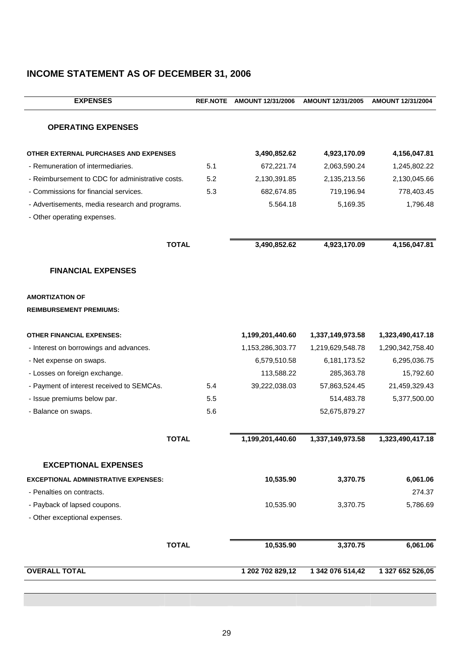| <b>EXPENSES</b>                                  |     | REF.NOTE AMOUNT 12/31/2006 | AMOUNT 12/31/2005 | AMOUNT 12/31/2004 |
|--------------------------------------------------|-----|----------------------------|-------------------|-------------------|
| <b>OPERATING EXPENSES</b>                        |     |                            |                   |                   |
| OTHER EXTERNAL PURCHASES AND EXPENSES            |     | 3,490,852.62               | 4,923,170.09      | 4,156,047.81      |
| - Remuneration of intermediaries.                | 5.1 | 672,221.74                 | 2,063,590.24      | 1,245,802.22      |
| - Reimbursement to CDC for administrative costs. | 5.2 | 2,130,391.85               | 2,135,213.56      | 2,130,045.66      |
| - Commissions for financial services.            | 5.3 | 682,674.85                 | 719,196.94        | 778,403.45        |
| - Advertisements, media research and programs.   |     | 5.564.18                   | 5,169.35          | 1,796.48          |
| - Other operating expenses.                      |     |                            |                   |                   |
| <b>TOTAL</b>                                     |     | 3,490,852.62               | 4,923,170.09      | 4,156,047.81      |
| <b>FINANCIAL EXPENSES</b>                        |     |                            |                   |                   |
| <b>AMORTIZATION OF</b>                           |     |                            |                   |                   |
| <b>REIMBURSEMENT PREMIUMS:</b>                   |     |                            |                   |                   |
| <b>OTHER FINANCIAL EXPENSES:</b>                 |     | 1,199,201,440.60           | 1,337,149,973.58  | 1,323,490,417.18  |
| - Interest on borrowings and advances.           |     | 1,153,286,303.77           | 1,219,629,548.78  | 1,290,342,758.40  |
| - Net expense on swaps.                          |     | 6,579,510.58               | 6,181,173.52      | 6,295,036.75      |
| - Losses on foreign exchange.                    |     | 113,588.22                 | 285,363.78        | 15,792.60         |
| - Payment of interest received to SEMCAs.        | 5.4 | 39,222,038.03              | 57,863,524.45     | 21,459,329.43     |
| - Issue premiums below par.                      | 5.5 |                            | 514,483.78        | 5,377,500.00      |
| - Balance on swaps.                              | 5.6 |                            | 52,675,879.27     |                   |
| <b>TOTAL</b>                                     |     | 1,199,201,440.60           | 1,337,149,973.58  | 1,323,490,417.18  |
| <b>EXCEPTIONAL EXPENSES</b>                      |     |                            |                   |                   |
| <b>EXCEPTIONAL ADMINISTRATIVE EXPENSES:</b>      |     | 10,535.90                  | 3,370.75          | 6,061.06          |
| - Penalties on contracts.                        |     |                            |                   | 274.37            |
| - Payback of lapsed coupons.                     |     | 10,535.90                  | 3,370.75          | 5,786.69          |
| - Other exceptional expenses.                    |     |                            |                   |                   |
| <b>TOTAL</b>                                     |     | 10,535.90                  | 3,370.75          | 6,061.06          |
| <b>OVERALL TOTAL</b>                             |     | 1 202 702 829,12           | 1 342 076 514,42  | 1 327 652 526,05  |

# **INCOME STATEMENT AS OF DECEMBER 31, 2006**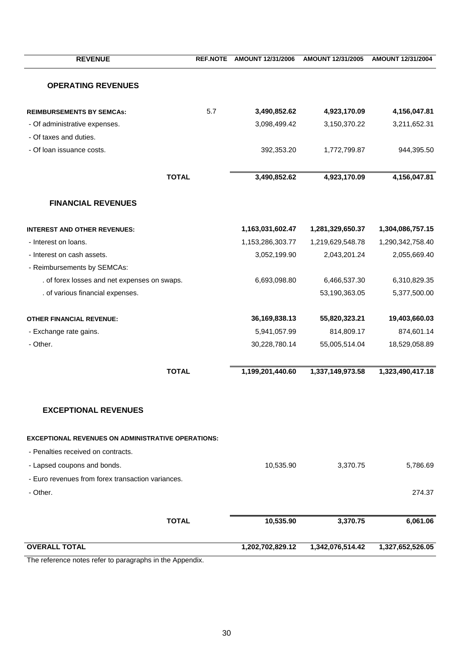| <b>REVENUE</b>                                            | <b>REF.NOTE</b> | AMOUNT 12/31/2006 | AMOUNT 12/31/2005 | AMOUNT 12/31/2004 |
|-----------------------------------------------------------|-----------------|-------------------|-------------------|-------------------|
| <b>OPERATING REVENUES</b>                                 |                 |                   |                   |                   |
| <b>REIMBURSEMENTS BY SEMCAs:</b>                          | 5.7             | 3,490,852.62      | 4,923,170.09      | 4,156,047.81      |
| - Of administrative expenses.                             |                 | 3,098,499.42      | 3,150,370.22      | 3,211,652.31      |
| - Of taxes and duties.                                    |                 |                   |                   |                   |
| - Of loan issuance costs.                                 |                 | 392,353.20        | 1,772,799.87      | 944,395.50        |
| <b>TOTAL</b>                                              |                 | 3,490,852.62      | 4,923,170.09      | 4,156,047.81      |
| <b>FINANCIAL REVENUES</b>                                 |                 |                   |                   |                   |
| <b>INTEREST AND OTHER REVENUES:</b>                       |                 | 1,163,031,602.47  | 1,281,329,650.37  | 1,304,086,757.15  |
| - Interest on loans.                                      |                 | 1,153,286,303.77  | 1,219,629,548.78  | 1,290,342,758.40  |
| - Interest on cash assets.                                |                 | 3,052,199.90      | 2,043,201.24      | 2,055,669.40      |
| - Reimbursements by SEMCAs:                               |                 |                   |                   |                   |
| . of forex losses and net expenses on swaps.              |                 | 6,693,098.80      | 6,466,537.30      | 6,310,829.35      |
| . of various financial expenses.                          |                 |                   | 53,190,363.05     | 5,377,500.00      |
| <b>OTHER FINANCIAL REVENUE:</b>                           |                 | 36, 169, 838. 13  | 55,820,323.21     | 19,403,660.03     |
| - Exchange rate gains.                                    |                 | 5,941,057.99      | 814,809.17        | 874,601.14        |
| - Other.                                                  |                 | 30,228,780.14     | 55,005,514.04     | 18,529,058.89     |
| <b>TOTAL</b>                                              |                 | 1,199,201,440.60  | 1,337,149,973.58  | 1,323,490,417.18  |
| <b>EXCEPTIONAL REVENUES</b>                               |                 |                   |                   |                   |
| <b>EXCEPTIONAL REVENUES ON ADMINISTRATIVE OPERATIONS:</b> |                 |                   |                   |                   |
| - Penalties received on contracts.                        |                 |                   |                   |                   |
| - Lapsed coupons and bonds.                               |                 | 10,535.90         | 3,370.75          | 5,786.69          |
| - Euro revenues from forex transaction variances.         |                 |                   |                   |                   |
| - Other.                                                  |                 |                   |                   | 274.37            |
| <b>TOTAL</b>                                              |                 | 10,535.90         | 3,370.75          | 6,061.06          |
|                                                           |                 |                   |                   |                   |
| <b>OVERALL TOTAL</b>                                      |                 | 1,202,702,829.12  | 1,342,076,514.42  | 1,327,652,526.05  |

The reference notes refer to paragraphs in the Appendix.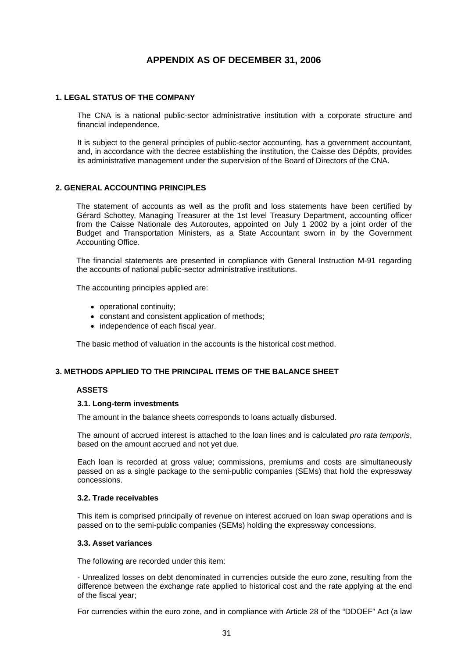## **APPENDIX AS OF DECEMBER 31, 2006**

## **1. LEGAL STATUS OF THE COMPANY**

The CNA is a national public-sector administrative institution with a corporate structure and financial independence.

It is subject to the general principles of public-sector accounting, has a government accountant, and, in accordance with the decree establishing the institution, the Caisse des Dépôts, provides its administrative management under the supervision of the Board of Directors of the CNA.

## **2. GENERAL ACCOUNTING PRINCIPLES**

The statement of accounts as well as the profit and loss statements have been certified by Gérard Schottey, Managing Treasurer at the 1st level Treasury Department, accounting officer from the Caisse Nationale des Autoroutes, appointed on July 1 2002 by a joint order of the Budget and Transportation Ministers, as a State Accountant sworn in by the Government Accounting Office.

The financial statements are presented in compliance with General Instruction M-91 regarding the accounts of national public-sector administrative institutions.

The accounting principles applied are:

- operational continuity;
- constant and consistent application of methods;
- independence of each fiscal year.

The basic method of valuation in the accounts is the historical cost method.

## **3. METHODS APPLIED TO THE PRINCIPAL ITEMS OF THE BALANCE SHEET**

## **ASSETS**

#### **3.1. Long-term investments**

The amount in the balance sheets corresponds to loans actually disbursed.

The amount of accrued interest is attached to the loan lines and is calculated *pro rata temporis*, based on the amount accrued and not yet due.

Each loan is recorded at gross value; commissions, premiums and costs are simultaneously passed on as a single package to the semi-public companies (SEMs) that hold the expressway concessions.

#### **3.2. Trade receivables**

This item is comprised principally of revenue on interest accrued on loan swap operations and is passed on to the semi-public companies (SEMs) holding the expressway concessions.

#### **3.3. Asset variances**

The following are recorded under this item:

- Unrealized losses on debt denominated in currencies outside the euro zone, resulting from the difference between the exchange rate applied to historical cost and the rate applying at the end of the fiscal year;

For currencies within the euro zone, and in compliance with Article 28 of the "DDOEF" Act (a law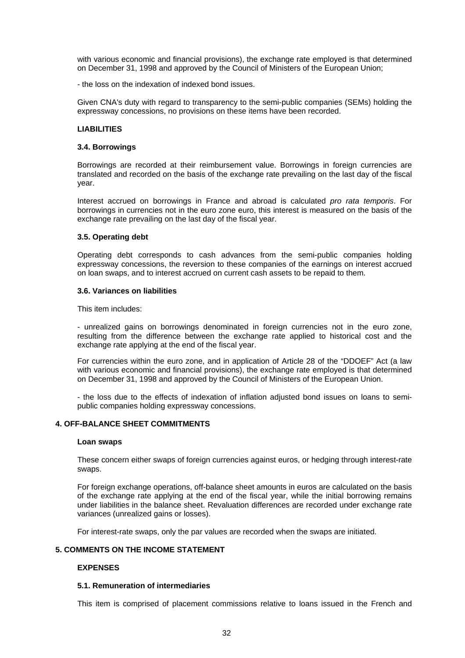with various economic and financial provisions), the exchange rate employed is that determined on December 31, 1998 and approved by the Council of Ministers of the European Union;

- the loss on the indexation of indexed bond issues.

Given CNA's duty with regard to transparency to the semi-public companies (SEMs) holding the expressway concessions, no provisions on these items have been recorded.

## **LIABILITIES**

### **3.4. Borrowings**

Borrowings are recorded at their reimbursement value. Borrowings in foreign currencies are translated and recorded on the basis of the exchange rate prevailing on the last day of the fiscal year.

Interest accrued on borrowings in France and abroad is calculated *pro rata temporis*. For borrowings in currencies not in the euro zone euro, this interest is measured on the basis of the exchange rate prevailing on the last day of the fiscal year.

## **3.5. Operating debt**

Operating debt corresponds to cash advances from the semi-public companies holding expressway concessions, the reversion to these companies of the earnings on interest accrued on loan swaps, and to interest accrued on current cash assets to be repaid to them.

#### **3.6. Variances on liabilities**

This item includes:

- unrealized gains on borrowings denominated in foreign currencies not in the euro zone, resulting from the difference between the exchange rate applied to historical cost and the exchange rate applying at the end of the fiscal year.

For currencies within the euro zone, and in application of Article 28 of the "DDOEF" Act (a law with various economic and financial provisions), the exchange rate employed is that determined on December 31, 1998 and approved by the Council of Ministers of the European Union.

- the loss due to the effects of indexation of inflation adjusted bond issues on loans to semipublic companies holding expressway concessions.

## **4. OFF-BALANCE SHEET COMMITMENTS**

#### **Loan swaps**

These concern either swaps of foreign currencies against euros, or hedging through interest-rate swaps.

For foreign exchange operations, off-balance sheet amounts in euros are calculated on the basis of the exchange rate applying at the end of the fiscal year, while the initial borrowing remains under liabilities in the balance sheet. Revaluation differences are recorded under exchange rate variances (unrealized gains or losses).

For interest-rate swaps, only the par values are recorded when the swaps are initiated.

#### **5. COMMENTS ON THE INCOME STATEMENT**

## **EXPENSES**

#### **5.1. Remuneration of intermediaries**

This item is comprised of placement commissions relative to loans issued in the French and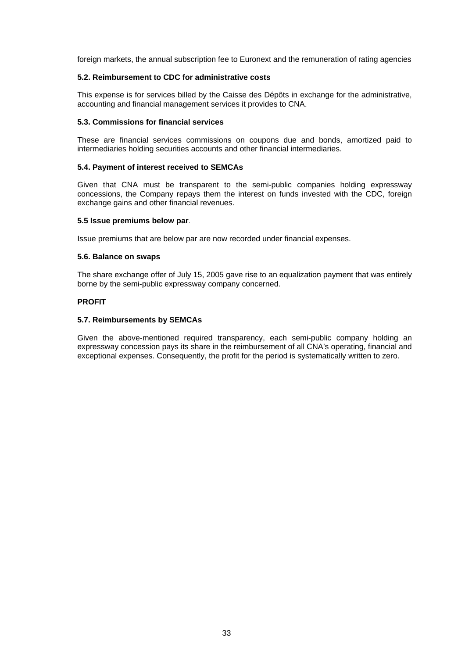foreign markets, the annual subscription fee to Euronext and the remuneration of rating agencies

## **5.2. Reimbursement to CDC for administrative costs**

This expense is for services billed by the Caisse des Dépôts in exchange for the administrative, accounting and financial management services it provides to CNA.

### **5.3. Commissions for financial services**

These are financial services commissions on coupons due and bonds, amortized paid to intermediaries holding securities accounts and other financial intermediaries.

## **5.4. Payment of interest received to SEMCAs**

Given that CNA must be transparent to the semi-public companies holding expressway concessions, the Company repays them the interest on funds invested with the CDC, foreign exchange gains and other financial revenues.

#### **5.5 Issue premiums below par**.

Issue premiums that are below par are now recorded under financial expenses.

#### **5.6. Balance on swaps**

The share exchange offer of July 15, 2005 gave rise to an equalization payment that was entirely borne by the semi-public expressway company concerned.

## **PROFIT**

#### **5.7. Reimbursements by SEMCAs**

Given the above-mentioned required transparency, each semi-public company holding an expressway concession pays its share in the reimbursement of all CNA's operating, financial and exceptional expenses. Consequently, the profit for the period is systematically written to zero.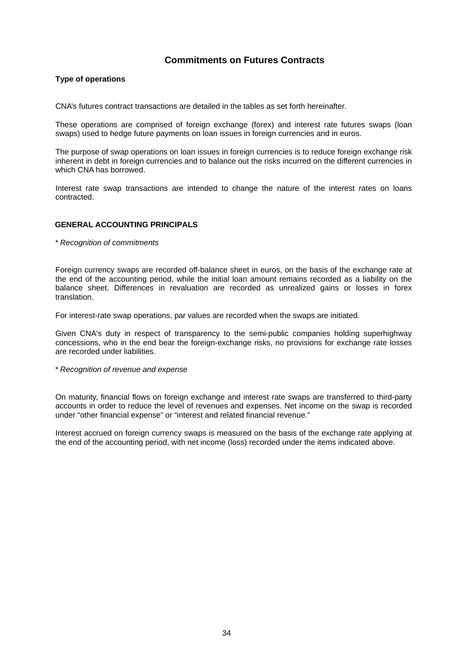## **Commitments on Futures Contracts**

## **Type of operations**

CNA's futures contract transactions are detailed in the tables as set forth hereinafter.

These operations are comprised of foreign exchange (forex) and interest rate futures swaps (loan swaps) used to hedge future payments on loan issues in foreign currencies and in euros.

The purpose of swap operations on loan issues in foreign currencies is to reduce foreign exchange risk inherent in debt in foreign currencies and to balance out the risks incurred on the different currencies in which CNA has borrowed.

Interest rate swap transactions are intended to change the nature of the interest rates on loans contracted.

#### **GENERAL ACCOUNTING PRINCIPALS**

*\* Recognition of commitments* 

Foreign currency swaps are recorded off-balance sheet in euros, on the basis of the exchange rate at the end of the accounting period, while the initial loan amount remains recorded as a liability on the balance sheet. Differences in revaluation are recorded as unrealized gains or losses in forex translation.

For interest-rate swap operations, par values are recorded when the swaps are initiated.

Given CNA's duty in respect of transparency to the semi-public companies holding superhighway concessions, who in the end bear the foreign-exchange risks, no provisions for exchange rate losses are recorded under liabilities.

*\* Recognition of revenue and expense* 

On maturity, financial flows on foreign exchange and interest rate swaps are transferred to third-party accounts in order to reduce the level of revenues and expenses. Net income on the swap is recorded under "other financial expense" or "interest and related financial revenue."

Interest accrued on foreign currency swaps is measured on the basis of the exchange rate applying at the end of the accounting period, with net income (loss) recorded under the items indicated above.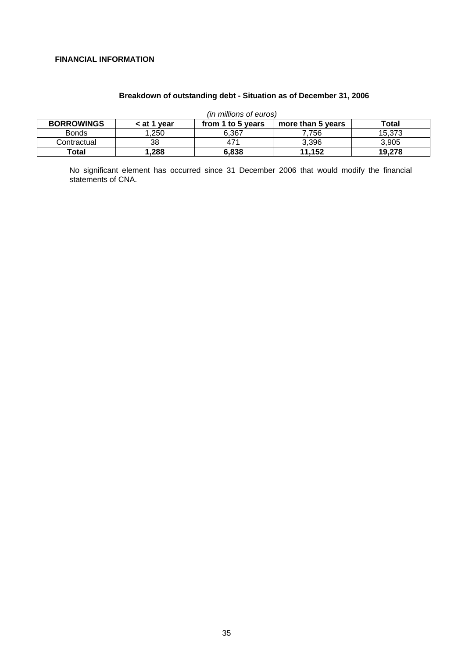## **FINANCIAL INFORMATION**

| (in millions of euros) |             |                   |                   |        |  |  |  |
|------------------------|-------------|-------------------|-------------------|--------|--|--|--|
| <b>BORROWINGS</b>      | < at 1 year | from 1 to 5 years | more than 5 years | Total  |  |  |  |
| <b>Bonds</b>           | .250        | 6.367             | 7.756             | 15.373 |  |  |  |
| Contractual            | 38          | 471               | 3,396             | 3,905  |  |  |  |
| Total                  | 288. ا      | 6.838             | 11.152            | 19.278 |  |  |  |

## **Breakdown of outstanding debt - Situation as of December 31, 2006**

No significant element has occurred since 31 December 2006 that would modify the financial statements of CNA.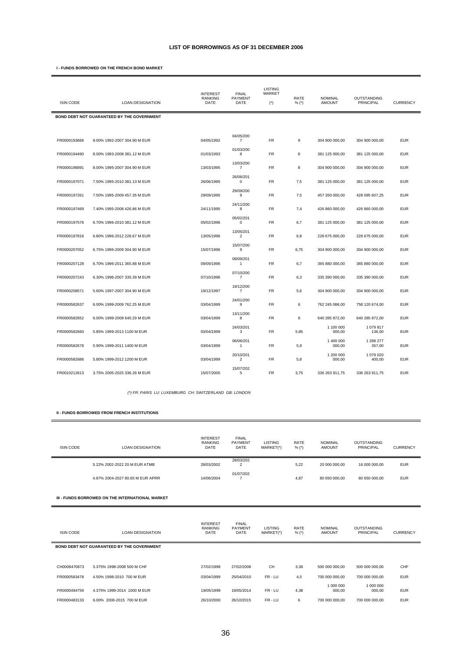#### **I - FUNDS BORROWED ON THE FRENCH BOND MARKET**

| <b>ISIN CODE</b> | <b>LOAN DESIGNATION</b>                    | <b>INTEREST</b><br><b>RANKING</b><br>DATE | <b>FINAL</b><br><b>PAYMENT</b><br>DATE | <b>LISTING</b><br>MARKET<br>$($ <sup>*</sup> $)$ | RATE<br>$% (*)$ | <b>NOMINAL</b><br><b>AMOUNT</b> | <b>OUTSTANDING</b><br><b>PRINCIPAL</b> | <b>CURRENCY</b> |
|------------------|--------------------------------------------|-------------------------------------------|----------------------------------------|--------------------------------------------------|-----------------|---------------------------------|----------------------------------------|-----------------|
|                  | BOND DEBT NOT GUARANTEED BY THE GOVERNMENT |                                           |                                        |                                                  |                 |                                 |                                        |                 |
| FR0000193666     | 9.00% 1992-2007 304.90 M EUR               | 04/05/1992                                | 04/05/200<br>$\overline{7}$            | FR                                               | 9               | 304 900 000,00                  | 304 900 000,00                         | <b>EUR</b>      |
| FR0000194490     | 8.00% 1993-2008 381.12 M EUR               | 01/03/1993                                | 01/03/200<br>8                         | <b>FR</b>                                        | 8               | 381 125 000.00                  | 381 125 000,00                         | <b>EUR</b>      |
| FR0000196891     | 8.00% 1995-2007 304.90 M EUR               | 13/03/1995                                | 13/03/200<br>$\overline{7}$            | <b>FR</b>                                        | 8               | 304 900 000.00                  | 304 900 000,00                         | <b>EUR</b>      |
| FR0000197071     | 7.50% 1995-2010 381.13 M EUR               | 26/06/1995                                | 26/06/201<br>$\mathbf 0$               | <b>FR</b>                                        | 7,5             | 381 125 000.00                  | 381 125 000,00                         | <b>EUR</b>      |
| FR0000197261     | 7.50% 1995-2009 457.35 M EUR               | 29/09/1995                                | 29/09/200<br>9                         | FR                                               | 7,5             | 457 350 000,00                  | 428 095 607,25                         | <b>EUR</b>      |
| FR0000197469     | 7.40% 1995-2008 426.86 M EUR               | 24/11/1995                                | 24/11/200<br>8                         | FR                                               | 7,4             | 426 860 000,00                  | 426 860 000,00                         | <b>EUR</b>      |
| FR0000197576     | 6.70% 1996-2010 381.12 M EUR               | 05/02/1996                                | 05/02/201<br>$\mathbf 0$               | FR                                               | 6,7             | 381 125 000,00                  | 381 125 000,00                         | <b>EUR</b>      |
| FR0000197816     | 6.80% 1996-2012 228.67 M EUR               | 13/05/1996                                | 13/05/201<br>$\overline{2}$            | <b>FR</b>                                        | 6,8             | 228 675 000,00                  | 228 675 000,00                         | <b>EUR</b>      |
| FR0000207052     | 6.75% 1996-2009 304.90 M EUR               | 15/07/1996                                | 15/07/200<br>9                         | <b>FR</b>                                        | 6,75            | 304 900 000,00                  | 304 900 000,00                         | <b>EUR</b>      |
| FR0000207128     | 6.70% 1996-2011 365.88 M EUR               | 09/09/1996                                | 09/09/201<br>$\overline{1}$            | FR                                               | 6,7             | 365 880 000,00                  | 365 880 000,00                         | <b>EUR</b>      |
| FR0000207243     | 6.30% 1996-2007 335.39 M EUR               | 07/10/1996                                | 07/10/200<br>$\overline{7}$            | <b>FR</b>                                        | 6,3             | 335 390 000.00                  | 335 390 000.00                         | <b>EUR</b>      |
| FR0000208571     | 5.60% 1997-2007 304.90 M EUR               | 19/12/1997                                | 19/12/200<br>7                         | FR                                               | 5,6             | 304 900 000,00                  | 304 900 000,00                         | <b>EUR</b>      |
| FR0000582637     | 6.00% 1999-2009 762.25 M EUR               | 03/04/1999                                | 24/01/200<br>9                         | FR                                               | 6               | 762 245 086,00                  | 758 120 674,00                         | <b>EUR</b>      |
| FR0000582652     | 6.00% 1999-2008 640.29 M EUR               | 03/04/1999                                | 13/11/200<br>8                         | FR                                               | 6               | 640 285 872,00                  | 640 285 872,00                         | <b>EUR</b>      |
| FR0000582660     | 5.85% 1999-2013 1100 M EUR                 | 03/04/1999                                | 24/03/201<br>3                         | FR                                               | 5,85            | 1 100 000<br>000,00             | 1079817<br>136,00                      | <b>EUR</b>      |
| FR0000582678     | 5.90% 1999-2011 1400 M EUR                 | 03/04/1999                                | 06/06/201<br>$\mathbf{1}$              | <b>FR</b>                                        | 5,9             | 1 400 000<br>000,00             | 1 288 277<br>357,00                    | <b>EUR</b>      |
| FR0000582686     | 5.80% 1999-2012 1200 M EUR                 | 03/04/1999                                | 20/10/201<br>$\overline{2}$            | <b>FR</b>                                        | 5,8             | 1 200 000<br>000,00             | 1 079 020<br>400,00                    | <b>EUR</b>      |
| FR0010212613     | 3.75% 2005-2025 336.26 M EUR               | 15/07/2005                                | 15/07/202<br>5                         | <b>FR</b>                                        | 3,75            | 336 263 911,75                  | 336 263 911,75                         | <b>EUR</b>      |

 *(\*) FR: PARIS LU: LUXEMBURG CH: SWITZERLAND GB: LONDON* 

#### **II - FUNDS BORROWED FROM FRENCH INSTITUTIONS**

| <b>ISIN CODE</b> | <b>LOAN DESIGNATION</b>          | <b>INTEREST</b><br><b>RANKING</b><br>DATE | <b>FINAL</b><br><b>PAYMENT</b><br>DATE | <b>LISTING</b><br>MARKET(*) | RATE<br>$%$ (*) | <b>NOMINAL</b><br>AMOUNT | <b>OUTSTANDING</b><br><b>PRINCIPAL</b> | <b>CURRENCY</b> |
|------------------|----------------------------------|-------------------------------------------|----------------------------------------|-----------------------------|-----------------|--------------------------|----------------------------------------|-----------------|
|                  | 5.22% 2002-2022 20 M EUR ATMB    | 28/03/2002                                | 28/03/202<br>∠                         |                             | 5,22            | 20 000 000.00            | 16 000 000.00                          | <b>EUR</b>      |
|                  | 4.87% 2004-2027 80.65 M EUR APRR | 14/06/2004                                | 01/07/202                              |                             | 4,87            | 80 650 000.00            | 80 650 000.00                          | <b>EUR</b>      |

 **III - FUNDS BORROWED ON THE INTERNATIONAL MARKET** 

| <b>ISIN CODE</b> | <b>LOAN DESIGNATION</b>                           | <b>INTEREST</b><br><b>RANKING</b><br>DATE | <b>FINAL</b><br><b>PAYMENT</b><br>DATE | <b>LISTING</b><br>MARKET(*) | RATE<br>$% (*)$ | <b>NOMINAL</b><br><b>AMOUNT</b> | <b>OUTSTANDING</b><br><b>PRINCIPAL</b> | <b>CURRENCY</b> |
|------------------|---------------------------------------------------|-------------------------------------------|----------------------------------------|-----------------------------|-----------------|---------------------------------|----------------------------------------|-----------------|
|                  | <b>BOND DEBT NOT GUARANTEED BY THE GOVERNMENT</b> |                                           |                                        |                             |                 |                                 |                                        |                 |
|                  |                                                   |                                           |                                        |                             |                 |                                 |                                        |                 |
| CH0008470673     | 3.375% 1998-2008 500 M CHF                        | 27/02/1998                                | 27/02/2008                             | <b>CH</b>                   | 3,38            | 500 000 000,00                  | 500 000 000.00                         | CHF             |
| FR0000583478     | 4.50% 1998-2010 700 M EUR                         | 03/04/1999                                | 25/04/2010                             | FR-LU                       | 4,5             | 700 000 000,00                  | 700 000 000.00                         | <b>EUR</b>      |
| FR0000494759     | 4.375% 1999-2014 1000 M EUR                       | 19/05/1999                                | 19/05/2014                             | FR-LU                       | 4,38            | 1 000 000<br>000,00             | 1 000 000<br>000,00                    | <b>EUR</b>      |
| FR0000483133     | 6.00% 2000-2015 700 M EUR                         | 26/10/2000                                | 26/10/2015                             | FR-LU                       | 6               | 700 000 000.00                  | 700 000 000,00                         | <b>EUR</b>      |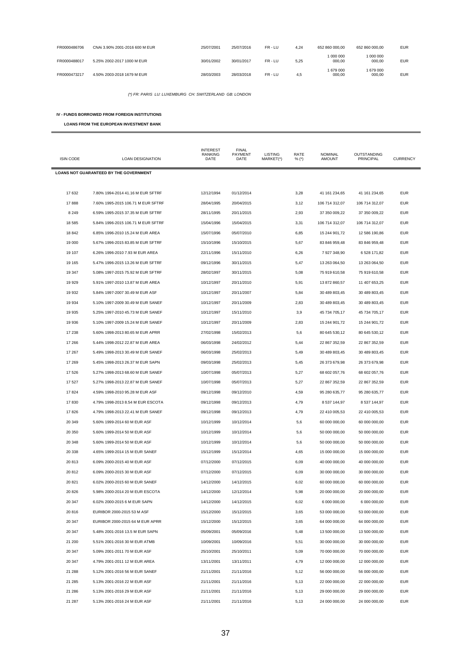| FR0000486706 | CNAi 3.90% 2001-2016 600 M EUR | 25/07/2001 | 25/07/2016 | FR-LU | 4.24 | 652 860 000.00      | 652 860 000.00    | <b>EUR</b> |
|--------------|--------------------------------|------------|------------|-------|------|---------------------|-------------------|------------|
| FR0000488017 | 5.25% 2002-2017 1000 M EUR     | 30/01/2002 | 30/01/2017 | FR-LU | 5.25 | 1 000 000<br>000.00 | 000 000<br>000.00 | <b>EUR</b> |
| FR0000473217 | 4.50% 2003-2018 1679 M EUR     | 28/03/2003 | 28/03/2018 | FR-LU | 4.5  | 1679000<br>000.00   | 679 000<br>000.00 | <b>EUR</b> |

 *(\*) FR: PARIS LU: LUXEMBURG CH: SWITZERLAND GB: LONDON* 

#### **IV - FUNDS BORROWED FROM FOREIGN INSTITUTIONS**

 **LOANS FROM THE EUROPEAN INVESTMENT BANK** 

| <b>ISIN CODE</b> | <b>LOAN DESIGNATION</b>                | <b>INTEREST</b><br><b>RANKING</b><br>DATE | <b>FINAL</b><br>PAYMENT<br>DATE | <b>LISTING</b><br>MARKET(*) | RATE<br>$% (*)$ | <b>NOMINAL</b><br><b>AMOUNT</b> | OUTSTANDING<br><b>PRINCIPAL</b> | <b>CURRENCY</b> |
|------------------|----------------------------------------|-------------------------------------------|---------------------------------|-----------------------------|-----------------|---------------------------------|---------------------------------|-----------------|
|                  | LOANS NOT GUARANTEED BY THE GOVERNMENT |                                           |                                 |                             |                 |                                 |                                 |                 |
|                  |                                        |                                           |                                 |                             |                 |                                 |                                 |                 |
| 17 632           | 7.80% 1994-2014 41.16 M EUR SFTRF      | 12/12/1994                                | 01/12/2014                      |                             | 3,28            | 41 161 234.65                   | 41 161 234,65                   | <b>EUR</b>      |
| 17888            | 7.60% 1995-2015 106.71 M EUR SFTRF     | 28/04/1995                                | 20/04/2015                      |                             | 3,12            | 106 714 312,07                  | 106 714 312,07                  | <b>EUR</b>      |
| 8 2 4 9          | 6.59% 1995-2015 37.35 M EUR SFTRF      | 28/11/1995                                | 20/11/2015                      |                             | 2,93            | 37 350 009,22                   | 37 350 009,22                   | <b>EUR</b>      |
| 18 585           | 5.84% 1996-2015 106.71 M EUR SFTRF     | 15/04/1996                                | 15/04/2015                      |                             | 3,31            | 106 714 312,07                  | 106 714 312,07                  | <b>EUR</b>      |
| 18 842           | 6.85% 1996-2010 15.24 M EUR AREA       | 15/07/1996                                | 05/07/2010                      |                             | 6,85            | 15 244 901,72                   | 12 586 190,86                   | <b>EUR</b>      |
| 19 000           | 5.67% 1996-2015 83.85 M EUR SFTRF      | 15/10/1996                                | 15/10/2015                      |                             | 5,67            | 83 846 959,48                   | 83 846 959,48                   | <b>EUR</b>      |
| 19 107           | 6.26% 1996-2010 7.93 M EUR AREA        | 22/11/1996                                | 15/11/2010                      |                             | 6,26            | 7 927 348,90                    | 6 528 171,82                    | <b>EUR</b>      |
| 19 165           | 5.47% 1996-2015 13.26 M EUR SFTRF      | 09/12/1996                                | 30/11/2015                      |                             | 5,47            | 13 263 064,50                   | 13 263 064,50                   | <b>EUR</b>      |
| 19 347           | 5.08% 1997-2015 75.92 M EUR SFTRF      | 28/02/1997                                | 30/11/2015                      |                             | 5,08            | 75 919 610,58                   | 75 919 610,58                   | <b>EUR</b>      |
| 19 929           | 5.91% 1997-2010 13.87 M EUR AREA       | 10/12/1997                                | 20/11/2010                      |                             | 5,91            | 13 872 860,57                   | 11 407 653,25                   | <b>EUR</b>      |
| 19 932           | 5.84% 1997-2007 30.49 M EUR ASF        | 10/12/1997                                | 20/11/2007                      |                             | 5,84            | 30 489 803,45                   | 30 489 803,45                   | <b>EUR</b>      |
| 19 934           | 5.10% 1997-2009 30.49 M EUR SANEF      | 10/12/1997                                | 20/11/2009                      |                             | 2,83            | 30 489 803,45                   | 30 489 803,45                   | <b>EUR</b>      |
| 19 935           | 5.25% 1997-2010 45.73 M EUR SANEF      | 10/12/1997                                | 15/11/2010                      |                             | 3,9             | 45 734 705,17                   | 45 734 705,17                   | <b>EUR</b>      |
| 19 936           | 5.10% 1997-2009 15.24 M EUR SANEF      | 10/12/1997                                | 20/11/2009                      |                             | 2,83            | 15 244 901,72                   | 15 244 901,72                   | <b>EUR</b>      |
| 17 238           | 5.60% 1998-2013 80.65 M EUR APRR       | 27/02/1998                                | 15/02/2013                      |                             | 5,6             | 80 645 530,12                   | 80 645 530.12                   | <b>EUR</b>      |
| 17 266           | 5.44% 1998-2012 22.87 M EUR AREA       | 06/03/1998                                | 24/02/2012                      |                             | 5,44            | 22 867 352,59                   | 22 867 352,59                   | <b>EUR</b>      |
| 17 267           | 5.49% 1998-2013 30.49 M EUR SANEF      | 06/03/1998                                | 25/02/2013                      |                             | 5,49            | 30 489 803,45                   | 30 489 803,45                   | <b>EUR</b>      |
| 17 269           | 5.45% 1998-2013 26.37 M EUR SAPN       | 09/03/1998                                | 25/02/2013                      |                             | 5,45            | 26 373 679,98                   | 26 373 679,98                   | <b>EUR</b>      |
| 17 526           | 5.27% 1998-2013 68.60 M EUR SANEF      | 10/07/1998                                | 05/07/2013                      |                             | 5,27            | 68 602 057,76                   | 68 602 057,76                   | <b>EUR</b>      |
| 17 527           | 5.27% 1998-2013 22.87 M EUR SANEF      | 10/07/1998                                | 05/07/2013                      |                             | 5,27            | 22 867 352,59                   | 22 867 352,59                   | <b>EUR</b>      |
| 17824            | 4.59% 1998-2010 95.28 M EUR ASF        | 09/12/1998                                | 09/12/2010                      |                             | 4,59            | 95 280 635,77                   | 95 280 635,77                   | <b>EUR</b>      |
| 17830            | 4.79% 1998-2013 8.54 M EUR ESCOTA      | 09/12/1998                                | 09/12/2013                      |                             | 4,79            | 8 537 144,97                    | 8 537 144,97                    | <b>EUR</b>      |
| 17826            | 4.79% 1998-2013 22.41 M EUR SANEF      | 09/12/1998                                | 09/12/2013                      |                             | 4,79            | 22 410 005,53                   | 22 410 005,53                   | <b>EUR</b>      |
| 20 349           | 5.60% 1999-2014 60 M EUR ASF           | 10/12/1999                                | 10/12/2014                      |                             | 5,6             | 60 000 000,00                   | 60 000 000,00                   | <b>EUR</b>      |
| 20 350           | 5.60% 1999-2014 50 M EUR ASF           | 10/12/1999                                | 10/12/2014                      |                             | 5,6             | 50 000 000,00                   | 50 000 000,00                   | <b>EUR</b>      |
| 20 348           | 5.60% 1999-2014 50 M EUR ASF           | 10/12/1999                                | 10/12/2014                      |                             | 5,6             | 50 000 000,00                   | 50 000 000,00                   | <b>EUR</b>      |
| 20 338           | 4.65% 1999-2014 15 M EUR SANEF         | 15/12/1999                                | 15/12/2014                      |                             | 4,65            | 15 000 000,00                   | 15 000 000,00                   | <b>EUR</b>      |
| 20 813           | 6.09% 2000-2015 40 M EUR ASF           | 07/12/2000                                | 07/12/2015                      |                             | 6,09            | 40 000 000,00                   | 40 000 000,00                   | <b>EUR</b>      |
| 20 812           | 6.09% 2000-2015 30 M EUR ASF           | 07/12/2000                                | 07/12/2015                      |                             | 6,09            | 30 000 000,00                   | 30 000 000,00                   | <b>EUR</b>      |
| 20 821           | 6.02% 2000-2015 60 M EUR SANEF         | 14/12/2000                                | 14/12/2015                      |                             | 6,02            | 60 000 000,00                   | 60 000 000,00                   | <b>EUR</b>      |
| 20 826           | 5.98% 2000-2014 20 M EUR ESCOTA        | 14/12/2000                                | 12/12/2014                      |                             | 5,98            | 20 000 000,00                   | 20 000 000,00                   | <b>EUR</b>      |
| 20 347           | 6.02% 2000-2015 6 M EUR SAPN           | 14/12/2000                                | 14/12/2015                      |                             | 6,02            | 6 000 000,00                    | 6 000 000,00                    | <b>EUR</b>      |
| 20 816           | EURIBOR 2000-2015 53 M ASF             | 15/12/2000                                | 15/12/2015                      |                             | 3,65            | 53 000 000,00                   | 53 000 000,00                   | <b>EUR</b>      |
| 20 347           | EURIBOR 2000-2015 64 M EUR APRR        | 15/12/2000                                | 15/12/2015                      |                             | 3,65            | 64 000 000,00                   | 64 000 000,00                   | <b>EUR</b>      |
| 20 347           | 5.48% 2001-2016 13.5 M EUR SAPN        | 05/09/2001                                | 05/09/2016                      |                             | 5,48            | 13 500 000,00                   | 13 500 000,00                   | <b>EUR</b>      |
| 21 200           | 5.51% 2001-2016 30 M EUR ATMB          | 10/09/2001                                | 10/09/2016                      |                             | 5,51            | 30 000 000,00                   | 30 000 000,00                   | <b>EUR</b>      |
| 20 347           | 5.09% 2001-2011 70 M EUR ASF           | 25/10/2001                                | 25/10/2011                      |                             | 5,09            | 70 000 000,00                   | 70 000 000,00                   | <b>EUR</b>      |
| 20 347           | 4.79% 2001-2011 12 M EUR AREA          | 13/11/2001                                | 13/11/2011                      |                             | 4,79            | 12 000 000,00                   | 12 000 000,00                   | <b>EUR</b>      |
| 21 288           | 5.12% 2001-2016 56 M EUR SANEF         | 21/11/2001                                | 21/11/2016                      |                             | 5,12            | 56 000 000,00                   | 56 000 000,00                   | <b>EUR</b>      |
| 21 285           | 5.13% 2001-2016 22 M EUR ASF           | 21/11/2001                                | 21/11/2016                      |                             | 5,13            | 22 000 000,00                   | 22 000 000,00                   | <b>EUR</b>      |
| 21 28 6          | 5.13% 2001-2016 29 M EUR ASF           | 21/11/2001                                | 21/11/2016                      |                             | 5,13            | 29 000 000,00                   | 29 000 000,00                   | <b>EUR</b>      |
| 21 287           | 5.13% 2001-2016 24 M EUR ASF           | 21/11/2001                                | 21/11/2016                      |                             | 5,13            | 24 000 000,00                   | 24 000 000,00                   | <b>EUR</b>      |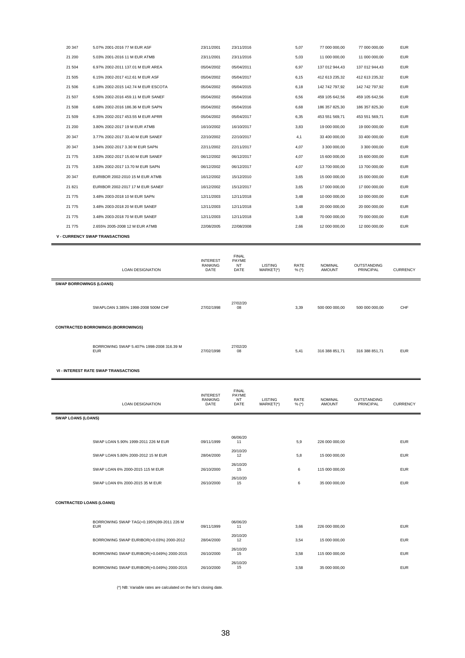## 38

#### (\*) NB: Variable rates are calculated on the list's closing date.

|                                 | SWAPLOAN 3.385% 1998-2008 500M CHF                     | 27/02/1998                                | 27/02/20<br>08                      |                             | 3,39            | 500 000 000,00                  | 500 000 000,00           | CHF             |
|---------------------------------|--------------------------------------------------------|-------------------------------------------|-------------------------------------|-----------------------------|-----------------|---------------------------------|--------------------------|-----------------|
|                                 | <b>CONTRACTED BORROWINGS (BORROWINGS)</b>              |                                           |                                     |                             |                 |                                 |                          |                 |
|                                 | BORROWING SWAP 5.407% 1998-2008 316.39 M<br><b>EUR</b> | 27/02/1998                                | 27/02/20<br>08                      |                             | 5.41            | 316 388 851,71                  | 316 388 851,71           | <b>EUR</b>      |
|                                 | <b>VI - INTEREST RATE SWAP TRANSACTIONS</b>            |                                           |                                     |                             |                 |                                 |                          |                 |
|                                 | LOAN DESIGNATION                                       | <b>INTEREST</b><br><b>RANKING</b><br>DATE | <b>FINAL</b><br>PAYME<br>NT<br>DATE | <b>LISTING</b><br>MARKET(*) | RATE<br>$% (*)$ | <b>NOMINAL</b><br><b>AMOUNT</b> | OUTSTANDING<br>PRINCIPAL | <b>CURRENCY</b> |
| <b>SWAP LOANS (LOANS)</b>       |                                                        |                                           |                                     |                             |                 |                                 |                          |                 |
|                                 | SWAP LOAN 5.90% 1999-2011 226 M EUR                    | 09/11/1999                                | 06/06/20<br>11                      |                             | 5,9             | 226 000 000,00                  |                          | <b>EUR</b>      |
|                                 | SWAP LOAN 5.80% 2000-2012 15 M EUR                     | 28/04/2000                                | 20/10/20<br>12                      |                             | 5,8             | 15 000 000,00                   |                          | <b>EUR</b>      |
|                                 | SWAP LOAN 6% 2000-2015 115 M EUR                       | 26/10/2000                                | 26/10/20<br>15                      |                             | 6               | 115 000 000,00                  |                          | <b>EUR</b>      |
|                                 | SWAP LOAN 6% 2000-2015 35 M EUR                        | 26/10/2000                                | 26/10/20<br>15                      |                             | 6               | 35 000 000,00                   |                          | <b>EUR</b>      |
| <b>CONTRACTED LOANS (LOANS)</b> |                                                        |                                           |                                     |                             |                 |                                 |                          |                 |
|                                 | BORROWING SWAP TAG(+0.195%)99-2011 226 M<br><b>EUR</b> | 09/11/1999                                | 06/06/20<br>11                      |                             | 3,66            | 226 000 000,00                  |                          | <b>EUR</b>      |
|                                 | BORROWING SWAP EURIBOR(+0.03%) 2000-2012               | 28/04/2000                                | 20/10/20<br>12                      |                             | 3,54            | 15 000 000,00                   |                          | <b>EUR</b>      |
|                                 | BORROWING SWAP EURIBOR(+0.049%) 2000-2015              | 26/10/2000                                | 26/10/20<br>15                      |                             | 3,58            | 115 000 000,00                  |                          | <b>EUR</b>      |
|                                 | BORROWING SWAP EURIBOR(+0.049%) 2000-2015              | 26/10/2000                                | 26/10/20<br>15                      |                             | 3,58            | 35 000 000,00                   |                          | <b>EUR</b>      |

**SWAP BORROWINGS (LOANS)** 

LOAN DESIGNATION

| 20 347  | 5.07% 2001-2016 77 M EUR ASF          | 23/11/2001 | 23/11/2016 | 5.07 | 77 000 000,00  | 77 000 000,00  | <b>EUR</b> |
|---------|---------------------------------------|------------|------------|------|----------------|----------------|------------|
| 21 200  | 5.03% 2001-2016 11 M EUR ATMB         | 23/11/2001 | 23/11/2016 | 5,03 | 11 000 000,00  | 11 000 000,00  | <b>EUR</b> |
| 21 504  | 6.97% 2002-2011 137.01 M EUR AREA     | 05/04/2002 | 05/04/2011 | 6.97 | 137 012 944,43 | 137 012 944,43 | <b>EUR</b> |
| 21 505  | 6.15% 2002-2017 412.61 M EUR ASF      | 05/04/2002 | 05/04/2017 | 6,15 | 412 613 235.32 | 412 613 235.32 | <b>EUR</b> |
| 21 50 6 | 6.18% 2002-2015 142.74 M EUR ESCOTA   | 05/04/2002 | 05/04/2015 | 6,18 | 142 742 797,92 | 142 742 797,92 | <b>EUR</b> |
| 21 507  | 6.56% 2002-2016 459.11 M EUR SANEF    | 05/04/2002 | 05/04/2016 | 6,56 | 459 105 642,56 | 459 105 642,56 | <b>EUR</b> |
| 21 508  | 6.68% 2002-2016 186.36 M EUR SAPN     | 05/04/2002 | 05/04/2016 | 6,68 | 186 357 825,30 | 186 357 825,30 | <b>EUR</b> |
| 21 509  | 6.35% 2002-2017 453.55 M EUR APRR     | 05/04/2002 | 05/04/2017 | 6,35 | 453 551 569.71 | 453 551 569,71 | <b>EUR</b> |
| 21 200  | 3.80% 2002-2017 19 M EUR ATMB         | 16/10/2002 | 16/10/2017 | 3,83 | 19 000 000,00  | 19 000 000,00  | <b>EUR</b> |
| 20 347  | 3.77% 2002-2017 33.40 M EUR SANEF     | 22/10/2002 | 22/10/2017 | 4,1  | 33 400 000,00  | 33 400 000,00  | <b>EUR</b> |
| 20 347  | 3.94% 2002-2017 3.30 M EUR SAPN       | 22/11/2002 | 22/11/2017 | 4,07 | 3 300 000,00   | 3 300 000,00   | <b>EUR</b> |
| 21 775  | 3.83% 2002-2017 15.60 M EUR SANEF     | 06/12/2002 | 06/12/2017 | 4,07 | 15 600 000,00  | 15 600 000,00  | <b>EUR</b> |
| 21 775  | 3.83% 2002-2017 13.70 M EUR SAPN      | 06/12/2002 | 06/12/2017 | 4,07 | 13 700 000,00  | 13 700 000,00  | <b>EUR</b> |
| 20 347  | EURIBOR 2002-2010 15 M EUR ATMB       | 16/12/2002 | 15/12/2010 | 3.65 | 15 000 000.00  | 15 000 000,00  | <b>EUR</b> |
| 21 821  | EURIBOR 2002-2017 17 M EUR SANEF      | 16/12/2002 | 15/12/2017 | 3.65 | 17 000 000,00  | 17 000 000,00  | <b>EUR</b> |
| 21 775  | 3.48% 2003-2018 10 M EUR SAPN         | 12/11/2003 | 12/11/2018 | 3.48 | 10 000 000,00  | 10 000 000,00  | <b>EUR</b> |
| 21 775  | 3.48% 2003-2018 20 M EUR SANEF        | 12/11/2003 | 12/11/2018 | 3.48 | 20 000 000.00  | 20 000 000,00  | <b>EUR</b> |
| 21 775  | 3.48% 2003-2018 70 M EUR SANEF        | 12/11/2003 | 12/11/2018 | 3.48 | 70 000 000.00  | 70 000 000,00  | <b>EUR</b> |
| 21 775  | 2.655% 2005-2008 12 M EUR ATMB        | 22/08/2005 | 22/08/2008 | 2.66 | 12 000 000.00  | 12 000 000,00  | <b>EUR</b> |
|         | <b>V - CURRENCY SWAP TRANSACTIONS</b> |            |            |      |                |                |            |
|         |                                       |            |            |      |                |                |            |

FINAL PAYME NT DATE

LISTING MARKET(\*)

RATE % (\*)

NOMINAL AMOUNT

OUTSTANDING PRINCIPAL CURRENCY

INTEREST RANKING DATE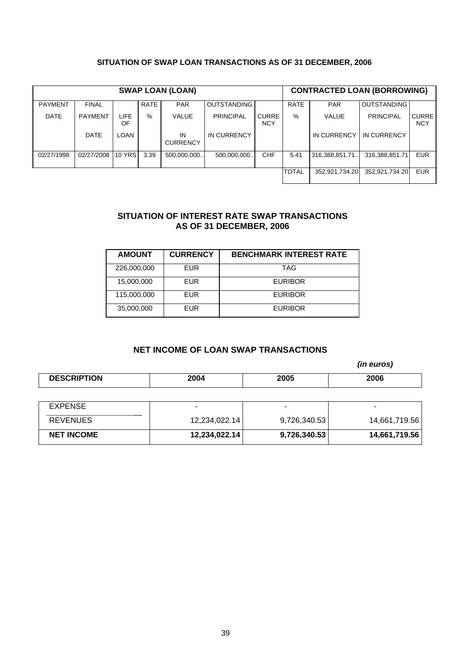## **SITUATION OF SWAP LOAN TRANSACTIONS AS OF 31 DECEMBER, 2006**

|                | <b>SWAP LOAN (LOAN)</b> |               |      |                       |                    |                            | <b>CONTRACTED LOAN (BORROWING)</b> |                 |                    |                            |
|----------------|-------------------------|---------------|------|-----------------------|--------------------|----------------------------|------------------------------------|-----------------|--------------------|----------------------------|
| <b>PAYMENT</b> | <b>FINAL</b>            |               | RATE | <b>PAR</b>            | <b>OUTSTANDING</b> |                            | <b>RATE</b>                        | <b>PAR</b>      | <b>OUTSTANDING</b> |                            |
| <b>DATE</b>    | <b>PAYMENT</b>          | LIFE<br>OF    | $\%$ | VALUE                 | PRINCIPAL          | <b>CURRE</b><br><b>NCY</b> | $\%$                               | VALUE           | <b>PRINCIPAL</b>   | <b>CURRE</b><br><b>NCY</b> |
|                | <b>DATE</b>             | LOAN          |      | IN<br><b>CURRENCY</b> | IN CURRENCY        |                            |                                    | IN CURRENCY     | IN CURRENCY        |                            |
| 02/27/1998     | 02/27/2008              | <b>10 YRS</b> | 3.39 | 500.000.000.          | 500.000.000.       | <b>CHF</b>                 | 5.41                               | 316,388,851.71. | 316,388,851.71     | <b>EUR</b>                 |
|                |                         |               |      |                       |                    |                            | <b>TOTAL</b>                       | 352,921,734.20  | 352,921,734.20     | <b>EUR</b>                 |

## **SITUATION OF INTEREST RATE SWAP TRANSACTIONS AS OF 31 DECEMBER, 2006**

| <b>AMOUNT</b> | <b>CURRENCY</b> | <b>BENCHMARK INTEREST RATE</b> |
|---------------|-----------------|--------------------------------|
| 226,000,000   | <b>EUR</b>      | TAG                            |
| 15,000,000    | <b>EUR</b>      | <b>EURIBOR</b>                 |
| 115,000,000   | <b>EUR</b>      | <b>EURIBOR</b>                 |
| 35,000,000    | <b>EUR</b>      | <b>EURIBOR</b>                 |

## **NET INCOME OF LOAN SWAP TRANSACTIONS**

*(in euros)* 

| <b>DESCRIPTION</b> | ∧חמר<br>00″.<br>___ | 2005<br>- - - | 2006<br>___ |
|--------------------|---------------------|---------------|-------------|
|                    |                     |               |             |

| <b>NET INCOME</b> | 12,234,022.14 | 9,726,340.53             | 14,661,719.56            |
|-------------------|---------------|--------------------------|--------------------------|
| REVENUES          | 12,234,022.14 | 9,726,340.53             | 14,661,719.56            |
| <b>EXPENSE</b>    |               | $\overline{\phantom{a}}$ | $\overline{\phantom{0}}$ |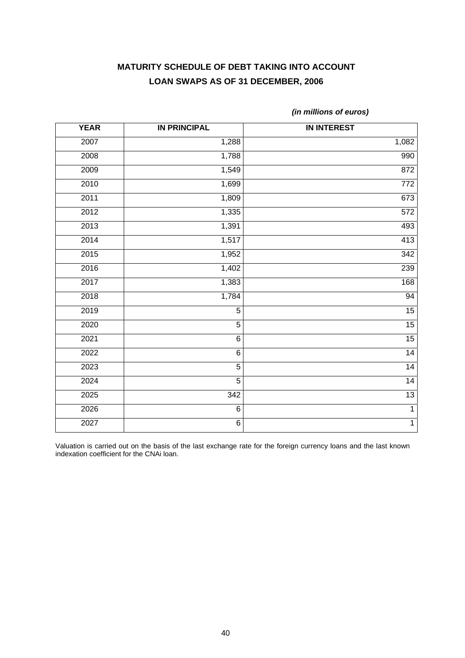# **MATURITY SCHEDULE OF DEBT TAKING INTO ACCOUNT LOAN SWAPS AS OF 31 DECEMBER, 2006**

| <b>YEAR</b> | <b>IN PRINCIPAL</b> | <b>IN INTEREST</b> |
|-------------|---------------------|--------------------|
| 2007        | 1,288               | 1,082              |
| 2008        | 1,788               | 990                |
| 2009        | 1,549               | 872                |
| 2010        | 1,699               | $\overline{772}$   |
| 2011        | 1,809               | 673                |
| 2012        | 1,335               | 572                |
| 2013        | 1,391               | 493                |
| 2014        | 1,517               | 413                |
| 2015        | 1,952               | $\frac{1}{342}$    |
| 2016        | 1,402               | 239                |
| 2017        | 1,383               | 168                |
| 2018        | 1,784               | 94                 |
| 2019        | $\overline{5}$      | 15                 |
| 2020        | $\overline{5}$      | 15                 |
| 2021        | $\overline{6}$      | 15                 |
| 2022        | $\overline{6}$      | 14                 |
| 2023        | $\overline{5}$      | $\overline{14}$    |
| 2024        | $\overline{5}$      | 14                 |
| 2025        | 342                 | 13                 |
| 2026        | $\,6\,$             | $\overline{1}$     |
| 2027        | $\overline{6}$      | $\overline{1}$     |

*(in millions of euros)* 

Valuation is carried out on the basis of the last exchange rate for the foreign currency loans and the last known indexation coefficient for the CNAi loan.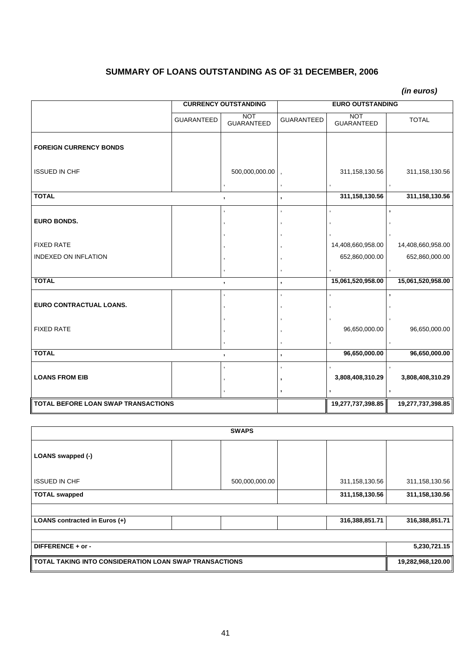## **SUMMARY OF LOANS OUTSTANDING AS OF 31 DECEMBER, 2006**

*(in euros)* 

|                                     | <b>CURRENCY OUTSTANDING</b> |                                 | <b>EURO OUTSTANDING</b>  |                                 |                   |
|-------------------------------------|-----------------------------|---------------------------------|--------------------------|---------------------------------|-------------------|
|                                     | <b>GUARANTEED</b>           | <b>NOT</b><br><b>GUARANTEED</b> | <b>GUARANTEED</b>        | <b>NOT</b><br><b>GUARANTEED</b> | <b>TOTAL</b>      |
| <b>FOREIGN CURRENCY BONDS</b>       |                             |                                 |                          |                                 |                   |
| <b>ISSUED IN CHF</b>                |                             | 500,000,000.00                  |                          | 311,158,130.56                  | 311,158,130.56    |
|                                     |                             |                                 |                          |                                 |                   |
| <b>TOTAL</b>                        |                             | $\cdot$                         | $\overline{\phantom{a}}$ | 311,158,130.56                  | 311,158,130.56    |
|                                     |                             |                                 |                          |                                 |                   |
| <b>EURO BONDS.</b>                  |                             |                                 |                          |                                 |                   |
|                                     |                             |                                 |                          |                                 |                   |
| <b>FIXED RATE</b>                   |                             |                                 |                          | 14,408,660,958.00               | 14,408,660,958.00 |
| <b>INDEXED ON INFLATION</b>         |                             |                                 |                          | 652,860,000.00                  | 652,860,000.00    |
|                                     |                             |                                 |                          |                                 |                   |
| <b>TOTAL</b>                        |                             | $\pmb{\mathfrak{z}}$            | $\overline{\phantom{a}}$ | 15,061,520,958.00               | 15,061,520,958.00 |
|                                     |                             |                                 |                          |                                 |                   |
| <b>EURO CONTRACTUAL LOANS.</b>      |                             |                                 |                          |                                 |                   |
|                                     |                             |                                 |                          |                                 |                   |
| <b>FIXED RATE</b>                   |                             |                                 |                          | 96,650,000.00                   | 96,650,000.00     |
|                                     |                             |                                 |                          |                                 |                   |
| <b>TOTAL</b>                        |                             |                                 | $\overline{\phantom{a}}$ | 96,650,000.00                   | 96,650,000.00     |
|                                     |                             |                                 |                          |                                 |                   |
| <b>LOANS FROM EIB</b>               |                             |                                 |                          | 3,808,408,310.29                | 3,808,408,310.29  |
|                                     |                             |                                 |                          |                                 |                   |
| TOTAL BEFORE LOAN SWAP TRANSACTIONS |                             |                                 | 19,277,737,398.85        | 19,277,737,398.85               |                   |

| <b>SWAPS</b>                                                  |                   |                  |                |  |  |  |
|---------------------------------------------------------------|-------------------|------------------|----------------|--|--|--|
| LOANS swapped (-)                                             |                   |                  |                |  |  |  |
| <b>ISSUED IN CHF</b>                                          | 500,000,000.00    | 311, 158, 130.56 | 311,158,130.56 |  |  |  |
| <b>TOTAL swapped</b>                                          | 311,158,130.56    |                  |                |  |  |  |
|                                                               |                   |                  |                |  |  |  |
| LOANS contracted in Euros (+)                                 |                   | 316,388,851.71   | 316,388,851.71 |  |  |  |
|                                                               |                   |                  |                |  |  |  |
| DIFFERENCE + or -                                             | 5,230,721.15      |                  |                |  |  |  |
| <b>TOTAL TAKING INTO CONSIDERATION LOAN SWAP TRANSACTIONS</b> | 19,282,968,120.00 |                  |                |  |  |  |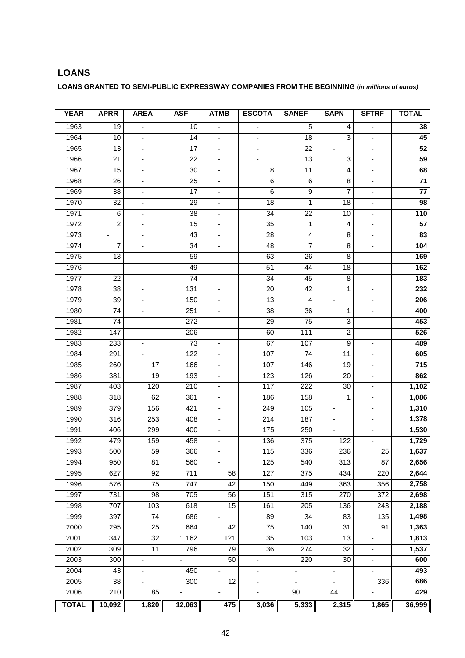# **LOANS**

## **LOANS GRANTED TO SEMI-PUBLIC EXPRESSWAY COMPANIES FROM THE BEGINNING (***in millions of euros)*

| <b>YEAR</b>  | <b>APRR</b>              | <b>AREA</b>                  | <b>ASF</b>       | <b>ATMB</b>                  | <b>ESCOTA</b>                | <b>SANEF</b>     | <b>SAPN</b>                  | <b>SFTRF</b>             | <b>TOTAL</b>    |
|--------------|--------------------------|------------------------------|------------------|------------------------------|------------------------------|------------------|------------------------------|--------------------------|-----------------|
| 1963         | 19                       | $\qquad \qquad \blacksquare$ | 10               | $\overline{\phantom{a}}$     | $\qquad \qquad \blacksquare$ | $\mathbf 5$      | 4                            | $\overline{\phantom{a}}$ | 38              |
| 1964         | 10                       | $\blacksquare$               | $\overline{14}$  | $\blacksquare$               | $\blacksquare$               | $\overline{18}$  | 3                            | $\overline{\phantom{a}}$ | 45              |
| 1965         | $\overline{13}$          |                              | $\overline{17}$  |                              |                              | $\overline{22}$  |                              |                          | 52              |
| 1966         | 21                       | ÷,                           | $\overline{22}$  | $\blacksquare$               | ÷,                           | 13               | 3                            | $\blacksquare$           | 59              |
| 1967         | 15                       | $\qquad \qquad \blacksquare$ | $\overline{30}$  | $\overline{\phantom{a}}$     | 8                            | 11               | 4                            | $\overline{\phantom{a}}$ | 68              |
| 1968         | 26                       | $\overline{\phantom{0}}$     | $\overline{25}$  | $\blacksquare$               | 6                            | $\,6$            | 8                            | $\overline{\phantom{a}}$ | $\overline{71}$ |
| 1969         | 38                       | $\qquad \qquad \blacksquare$ | $\overline{17}$  | $\overline{\phantom{a}}$     | 6                            | $\boldsymbol{9}$ | $\overline{7}$               | $\blacksquare$           | $\overline{77}$ |
| 1970         | $\overline{32}$          | $\overline{\phantom{a}}$     | 29               | $\blacksquare$               | 18                           | 1                | 18                           | $\blacksquare$           | 98              |
| 1971         | 6                        | ÷,                           | 38               | $\blacksquare$               | $\overline{34}$              | $\overline{22}$  | $\overline{10}$              | $\frac{1}{2}$            | 110             |
| 1972         | $\overline{c}$           | ٠                            | 15               | $\overline{\phantom{a}}$     | 35                           | 1                | 4                            | $\overline{\phantom{a}}$ | $\overline{57}$ |
| 1973         | $\overline{\phantom{a}}$ | ÷,                           | 43               | $\overline{\phantom{0}}$     | 28                           | 4                | 8                            | $\blacksquare$           | 83              |
| 1974         | $\overline{7}$           | $\overline{\phantom{a}}$     | $\overline{34}$  | $\blacksquare$               | 48                           | $\overline{7}$   | 8                            | ÷,                       | 104             |
| 1975         | 13                       | $\overline{\phantom{0}}$     | 59               | $\overline{\phantom{a}}$     | 63                           | $\overline{26}$  | 8                            | $\blacksquare$           | 169             |
| 1976         | $\overline{\phantom{a}}$ | $\overline{\phantom{0}}$     | 49               | $\overline{\phantom{a}}$     | 51                           | 44               | 18                           | $\overline{\phantom{a}}$ | 162             |
| 1977         | 22                       | $\overline{\phantom{a}}$     | $\overline{74}$  | $\blacksquare$               | $\overline{34}$              | 45               | 8                            | ä,                       | 183             |
| 1978         | $\overline{38}$          | ÷,                           | $\overline{131}$ | $\qquad \qquad \blacksquare$ | $\overline{20}$              | $\overline{42}$  | 1                            | $\overline{\phantom{a}}$ | 232             |
| 1979         | 39                       | $\overline{\phantom{a}}$     | 150              | $\overline{\phantom{a}}$     | 13                           | $\overline{4}$   | $\blacksquare$               | $\blacksquare$           | 206             |
| 1980         | 74                       | $\overline{\phantom{0}}$     | 251              | $\overline{\phantom{a}}$     | 38                           | 36               | 1                            | $\overline{\phantom{a}}$ | 400             |
| 1981         | $\overline{74}$          | $\overline{\phantom{a}}$     | 272              | $\blacksquare$               | 29                           | 75               | 3                            | $\overline{\phantom{a}}$ | 453             |
| 1982         | 147                      | $\qquad \qquad \blacksquare$ | 206              | $\overline{\phantom{a}}$     | 60                           | 111              | $\boldsymbol{2}$             | $\blacksquare$           | 526             |
| 1983         | 233                      | $\blacksquare$               | 73               | $\blacksquare$               | 67                           | 107              | $\boldsymbol{9}$             | $\blacksquare$           | 489             |
| 1984         | 291                      | $\overline{a}$               | 122              | ä,                           | 107                          | 74               | $\overline{11}$              | $\blacksquare$           | 605             |
| 1985         | 260                      | 17                           | 166              | $\overline{\phantom{a}}$     | 107                          | 146              | 19                           | $\overline{\phantom{a}}$ | $\frac{1}{715}$ |
| 1986         | 381                      | 19                           | 193              | -                            | 123                          | 126              | 20                           | $\overline{\phantom{a}}$ | 862             |
| 1987         | 403                      | 120                          | $\overline{210}$ | ÷,                           | 117                          | $\overline{222}$ | $\overline{30}$              | ä,                       | 1,102           |
| 1988         | 318                      | 62                           | 361              | $\overline{\phantom{a}}$     | 186                          | 158              | 1                            | $\blacksquare$           | 1,086           |
| 1989         | 379                      | 156                          | 421              | $\overline{\phantom{a}}$     | 249                          | 105              | $\qquad \qquad \blacksquare$ | $\overline{\phantom{a}}$ | 1,310           |
| 1990         | 316                      | 253                          | 408              | $\blacksquare$               | $\overline{214}$             | 187              | $\blacksquare$               | ÷,                       | 1,378           |
| 1991         | 406                      | 299                          | 400              | $\overline{\phantom{0}}$     | 175                          | 250              | $\blacksquare$               | $\blacksquare$           | 1,530           |
| 1992         | 479                      | 159                          | 458              | $\qquad \qquad \blacksquare$ | 136                          | 375              | 122                          | $\blacksquare$           | 1,729           |
| 1993         | 500                      | 59                           | 366              | $\overline{\phantom{a}}$     | 115                          | 336              | 236                          | 25                       | 1,637           |
| 1994         | 950                      | 81                           | 560              | $\overline{\phantom{a}}$     | 125                          | 540              | 313                          | 87                       | 2,656           |
| 1995         | 627                      | 92                           | 711              | 58                           | 127                          | 375              | 434                          | 220                      | 2,644           |
| 1996         | 576                      | 75                           | $\overline{747}$ | 42                           | 150                          | 449              | 363                          | 356                      | 2,758           |
| 1997         | 731                      | 98                           | 705              | 56                           | 151                          | 315              | 270                          | $\overline{372}$         | 2,698           |
| 1998         | 707                      | 103                          | 618              | 15                           | 161                          | 205              | 136                          | 243                      | 2,188           |
| 1999         | 397                      | $\overline{74}$              | 686              | $\overline{\phantom{a}}$     | 89                           | $\overline{34}$  | 83                           | 135                      | 1,498           |
| 2000         | 295                      | $\overline{25}$              | 664              | 42                           | 75                           | 140              | $\overline{31}$              | 91                       | 1,363           |
| 2001         | 347                      | $\overline{32}$              | 1,162            | 121                          | 35                           | 103              | 13                           | $\overline{\phantom{0}}$ | 1,813           |
| 2002         | 309                      | 11                           | 796              | 79                           | 36                           | 274              | 32                           | $\overline{\phantom{a}}$ | 1,537           |
| 2003         | 300                      | $\blacksquare$               | $\blacksquare$   | 50                           | $\qquad \qquad \blacksquare$ | 220              | 30                           | $\blacksquare$           | 600             |
| 2004         | 43                       | $\blacksquare$               | 450              | $\overline{\phantom{0}}$     | $\blacksquare$               | $\blacksquare$   | $\qquad \qquad \blacksquare$ | $\overline{\phantom{a}}$ | 493             |
| 2005         | 38                       | $\qquad \qquad \blacksquare$ | 300              | 12                           | $\overline{\phantom{a}}$     | $\blacksquare$   | $\blacksquare$               | 336                      | 686             |
| 2006         | 210                      | 85                           | ä,               | $\blacksquare$               | $\overline{\phantom{a}}$     | 90               | 44                           | $\blacksquare$           | 429             |
| <b>TOTAL</b> | 10,092                   | 1,820                        | 12,063           | 475                          | 3,036                        | 5,333            | 2,315                        | 1,865                    | 36,999          |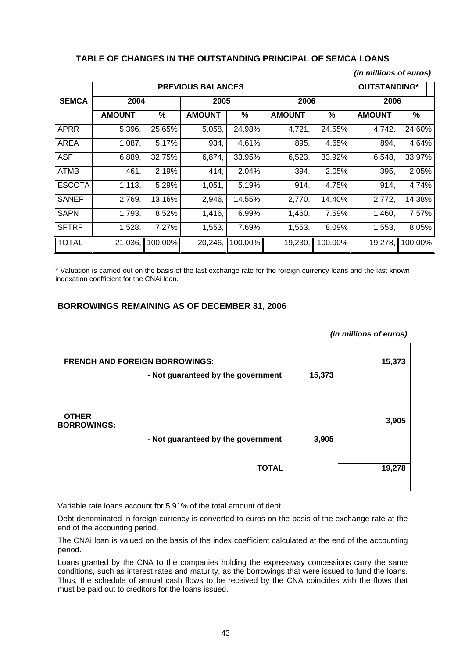## **TABLE OF CHANGES IN THE OUTSTANDING PRINCIPAL OF SEMCA LOANS**

|  | (in millions of euros) |
|--|------------------------|
|--|------------------------|

|               |               |         | <b>OUTSTANDING*</b> |         |               |                 |               |              |
|---------------|---------------|---------|---------------------|---------|---------------|-----------------|---------------|--------------|
| <b>SEMCA</b>  | 2004          |         | 2005                |         | 2006          |                 | 2006          |              |
|               | <b>AMOUNT</b> | %       | <b>AMOUNT</b>       | %       | <b>AMOUNT</b> | %               | <b>AMOUNT</b> | %            |
| <b>APRR</b>   | 5,396,        | 25.65%  | 5,058,              | 24.98%  | 4,721,        | 24.55%          | 4,742,        | 24.60%       |
| <b>AREA</b>   | 1,087,        | 5.17%   | 934,                | 4.61%   | 895,          | 4.65%           | 894,          | 4.64%        |
| <b>ASF</b>    | 6,889,        | 32.75%  | 6,874,              | 33.95%  | 6,523,        | 33.92%          | 6,548,        | 33.97%       |
| <b>ATMB</b>   | 461,          | 2.19%   | 414,                | 2.04%   | 394,          | 2.05%           | 395,          | 2.05%        |
| <b>ESCOTA</b> | 1,113,        | 5.29%   | 1,051,              | 5.19%   | 914,          | 4.75%           | 914,          | 4.74%        |
| <b>SANEF</b>  | 2,769,        | 13.16%  | 2,946,              | 14.55%  | 2,770,        | 14.40%          | 2,772,        | 14.38%       |
| <b>SAPN</b>   | 1,793,        | 8.52%   | 1,416,              | 6.99%   | 1,460,        | 7.59%           | 1,460,        | 7.57%        |
| <b>SFTRF</b>  | 1,528,        | 7.27%   | 1,553,              | 7.69%   | 1,553,        | 8.09%           | 1,553,        | 8.05%        |
| <b>TOTAL</b>  | 21,036,       | 100.00% | 20,246,             | 100.00% |               | 19,230, 100.00% | 19,278,       | $ 100.00\% $ |

\* Valuation is carried out on the basis of the last exchange rate for the foreign currency loans and the last known indexation coefficient for the CNAi loan.

## **BORROWINGS REMAINING AS OF DECEMBER 31, 2006**

|                                    |                                       |        | (in millions of euros) |
|------------------------------------|---------------------------------------|--------|------------------------|
|                                    | <b>FRENCH AND FOREIGN BORROWINGS:</b> |        | 15,373                 |
|                                    | - Not guaranteed by the government    | 15,373 |                        |
| <b>OTHER</b><br><b>BORROWINGS:</b> | - Not guaranteed by the government    | 3,905  | 3,905                  |
|                                    | <b>TOTAL</b>                          |        | 19,278                 |
|                                    |                                       |        |                        |

Variable rate loans account for 5.91% of the total amount of debt.

Debt denominated in foreign currency is converted to euros on the basis of the exchange rate at the end of the accounting period.

The CNAi loan is valued on the basis of the index coefficient calculated at the end of the accounting period.

Loans granted by the CNA to the companies holding the expressway concessions carry the same conditions, such as interest rates and maturity, as the borrowings that were issued to fund the loans. Thus, the schedule of annual cash flows to be received by the CNA coincides with the flows that must be paid out to creditors for the loans issued.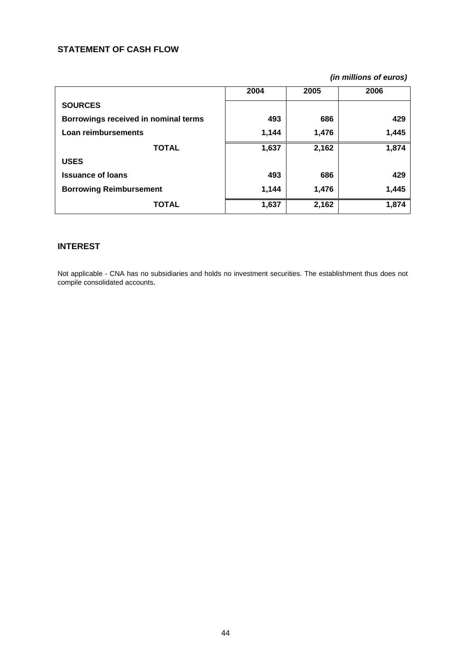## **STATEMENT OF CASH FLOW**

|                                      |       |       | (in millions of euros) |
|--------------------------------------|-------|-------|------------------------|
|                                      | 2004  | 2005  | 2006                   |
| <b>SOURCES</b>                       |       |       |                        |
| Borrowings received in nominal terms | 493   | 686   | 429                    |
| Loan reimbursements                  | 1,144 | 1,476 | 1,445                  |
| <b>TOTAL</b>                         | 1,637 | 2,162 | 1,874                  |
| <b>USES</b>                          |       |       |                        |
| <b>Issuance of loans</b>             | 493   | 686   | 429                    |
| <b>Borrowing Reimbursement</b>       | 1,144 | 1,476 | 1,445                  |
| <b>TOTAL</b>                         | 1,637 | 2,162 | 1,874                  |

## **INTEREST**

Not applicable - CNA has no subsidiaries and holds no investment securities. The establishment thus does not compile consolidated accounts.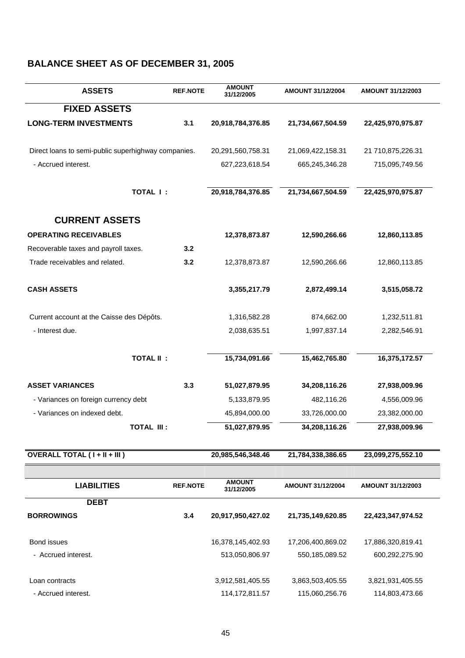# **BALANCE SHEET AS OF DECEMBER 31, 2005**

| <b>ASSETS</b>                                       | <b>REF.NOTE</b> | <b>AMOUNT</b><br>31/12/2005 | <b>AMOUNT 31/12/2004</b> | AMOUNT 31/12/2003 |
|-----------------------------------------------------|-----------------|-----------------------------|--------------------------|-------------------|
| <b>FIXED ASSETS</b>                                 |                 |                             |                          |                   |
| <b>LONG-TERM INVESTMENTS</b>                        | 3.1             | 20,918,784,376.85           | 21,734,667,504.59        | 22,425,970,975.87 |
| Direct loans to semi-public superhighway companies. |                 | 20,291,560,758.31           | 21,069,422,158.31        | 21 710,875,226.31 |
| - Accrued interest.                                 |                 | 627,223,618.54              | 665,245,346.28           | 715,095,749.56    |
| TOTAL I:                                            |                 | 20,918,784,376.85           | 21,734,667,504.59        | 22,425,970,975.87 |
| <b>CURRENT ASSETS</b>                               |                 |                             |                          |                   |
| <b>OPERATING RECEIVABLES</b>                        |                 | 12,378,873.87               | 12,590,266.66            | 12,860,113.85     |
| Recoverable taxes and payroll taxes.                | 3.2             |                             |                          |                   |
| Trade receivables and related.                      | 3.2             | 12,378,873.87               | 12,590,266.66            | 12,860,113.85     |
| <b>CASH ASSETS</b>                                  |                 | 3,355,217.79                | 2,872,499.14             | 3,515,058.72      |
| Current account at the Caisse des Dépôts.           |                 | 1,316,582.28                | 874,662.00               | 1,232,511.81      |
| - Interest due.                                     |                 | 2,038,635.51                | 1,997,837.14             | 2,282,546.91      |
| <b>TOTAL II:</b>                                    |                 | 15,734,091.66               | 15,462,765.80            | 16,375,172.57     |
| <b>ASSET VARIANCES</b>                              | 3.3             | 51,027,879.95               | 34,208,116.26            | 27,938,009.96     |
| - Variances on foreign currency debt                |                 | 5,133,879.95                | 482,116.26               | 4,556,009.96      |
| - Variances on indexed debt.                        |                 | 45,894,000.00               | 33,726,000.00            | 23,382,000.00     |
| <b>TOTAL III:</b>                                   |                 | 51,027,879.95               | 34,208,116.26            | 27,938,009.96     |
| <b>OVERALL TOTAL (I+II+III)</b>                     |                 | 20,985,546,348.46           | 21,784,338,386.65        | 23,099,275,552.10 |
|                                                     |                 |                             |                          |                   |
| <b>LIABILITIES</b>                                  | <b>REF.NOTE</b> | <b>AMOUNT</b><br>31/12/2005 | <b>AMOUNT 31/12/2004</b> | AMOUNT 31/12/2003 |
| <b>DEBT</b>                                         |                 |                             |                          |                   |
| <b>BORROWINGS</b>                                   | 3.4             | 20,917,950,427.02           | 21,735,149,620.85        | 22,423,347,974.52 |
| Bond issues                                         |                 | 16,378,145,402.93           | 17,206,400,869.02        | 17,886,320,819.41 |
| - Accrued interest.                                 |                 | 513,050,806.97              | 550,185,089.52           | 600,292,275.90    |
| Loan contracts                                      |                 | 3,912,581,405.55            | 3,863,503,405.55         | 3,821,931,405.55  |
| - Accrued interest.                                 |                 | 114,172,811.57              | 115,060,256.76           | 114,803,473.66    |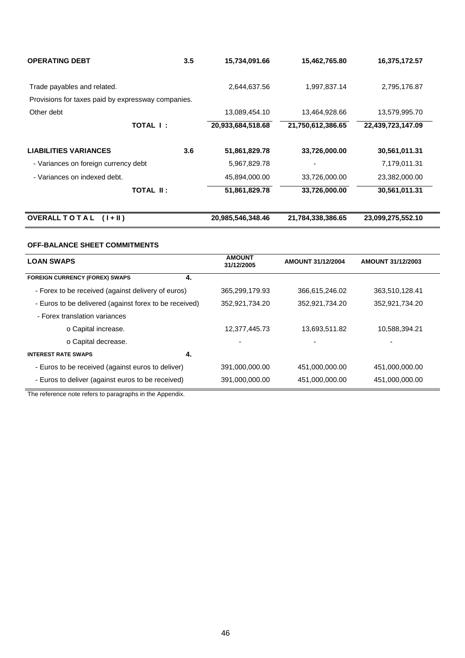| <b>OPERATING DEBT</b>                              | $3.5^{\circ}$ | 15,734,091.66     | 15,462,765.80     | 16,375,172.57     |
|----------------------------------------------------|---------------|-------------------|-------------------|-------------------|
| Trade payables and related.                        |               | 2,644,637.56      | 1,997,837.14      | 2,795,176.87      |
| Provisions for taxes paid by expressway companies. |               |                   |                   |                   |
| Other debt                                         |               | 13,089,454.10     | 13,464,928.66     | 13,579,995.70     |
|                                                    | TOTAL I:      | 20,933,684,518.68 | 21,750,612,386.65 | 22,439,723,147.09 |
| <b>LIABILITIES VARIANCES</b>                       | 3.6           | 51,861,829.78     | 33,726,000.00     | 30,561,011.31     |
| - Variances on foreign currency debt               |               | 5,967,829.78      |                   | 7,179,011.31      |
| - Variances on indexed debt.                       |               | 45,894,000.00     | 33,726,000.00     | 23,382,000.00     |
|                                                    | TOTAL II:     | 51,861,829.78     | 33,726,000.00     | 30,561,011.31     |
| <b>OVERALL TO TAL</b><br>$(1+1)$                   |               | 20,985,546,348.46 | 21,784,338,386.65 | 23,099,275,552.10 |

## **OFF-BALANCE SHEET COMMITMENTS**

l.

| <b>LOAN SWAPS</b>                                      | <b>AMOUNT</b><br>31/12/2005 | <b>AMOUNT 31/12/2004</b> | AMOUNT 31/12/2003 |
|--------------------------------------------------------|-----------------------------|--------------------------|-------------------|
| <b>FOREIGN CURRENCY (FOREX) SWAPS</b><br>4.            |                             |                          |                   |
| - Forex to be received (against delivery of euros)     | 365,299,179.93              | 366,615,246.02           | 363,510,128.41    |
| - Euros to be delivered (against forex to be received) | 352,921,734.20              | 352,921,734.20           | 352,921,734.20    |
| - Forex translation variances                          |                             |                          |                   |
| o Capital increase.                                    | 12,377,445.73               | 13,693,511.82            | 10,588,394.21     |
| o Capital decrease.                                    |                             |                          |                   |
| 4.<br><b>INTEREST RATE SWAPS</b>                       |                             |                          |                   |
| - Euros to be received (against euros to deliver)      | 391,000,000.00              | 451,000,000.00           | 451,000,000.00    |
| - Euros to deliver (against euros to be received)      | 391,000,000.00              | 451,000,000.00           | 451,000,000.00    |

The reference note refers to paragraphs in the Appendix.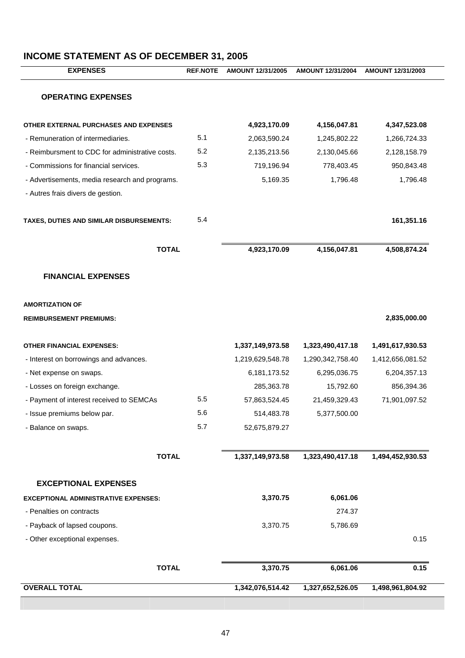| <b>EXPENSES</b>                                 | <b>REF.NOTE</b> | AMOUNT 12/31/2005 | AMOUNT 12/31/2004 | AMOUNT 12/31/2003 |
|-------------------------------------------------|-----------------|-------------------|-------------------|-------------------|
| <b>OPERATING EXPENSES</b>                       |                 |                   |                   |                   |
| OTHER EXTERNAL PURCHASES AND EXPENSES           |                 | 4,923,170.09      | 4,156,047.81      | 4,347,523.08      |
| - Remuneration of intermediaries.               | 5.1             | 2,063,590.24      | 1,245,802.22      | 1,266,724.33      |
| - Reimbursment to CDC for administrative costs. | 5.2             | 2,135,213.56      | 2,130,045.66      | 2,128,158.79      |
| - Commissions for financial services.           | 5.3             | 719,196.94        | 778,403.45        | 950,843.48        |
| - Advertisements, media research and programs.  |                 | 5,169.35          | 1,796.48          | 1,796.48          |
| - Autres frais divers de gestion.               |                 |                   |                   |                   |
| TAXES, DUTIES AND SIMILAR DISBURSEMENTS:        | 5.4             |                   |                   | 161,351.16        |
| <b>TOTAL</b>                                    |                 | 4,923,170.09      | 4,156,047.81      | 4,508,874.24      |
| <b>FINANCIAL EXPENSES</b>                       |                 |                   |                   |                   |
| <b>AMORTIZATION OF</b>                          |                 |                   |                   |                   |
| <b>REIMBURSEMENT PREMIUMS:</b>                  |                 |                   |                   | 2,835,000.00      |
| <b>OTHER FINANCIAL EXPENSES:</b>                |                 | 1,337,149,973.58  | 1,323,490,417.18  | 1,491,617,930.53  |
| - Interest on borrowings and advances.          |                 | 1,219,629,548.78  | 1,290,342,758.40  | 1,412,656,081.52  |
| - Net expense on swaps.                         |                 | 6,181,173.52      | 6,295,036.75      | 6,204,357.13      |
| - Losses on foreign exchange.                   |                 | 285,363.78        | 15,792.60         | 856,394.36        |
| - Payment of interest received to SEMCAs        | 5.5             | 57,863,524.45     | 21,459,329.43     | 71,901,097.52     |
| - Issue premiums below par.                     | 5.6             | 514,483.78        | 5,377,500.00      |                   |
| - Balance on swaps.                             | 5.7             | 52,675,879.27     |                   |                   |
| <b>TOTAL</b>                                    |                 | 1,337,149,973.58  | 1,323,490,417.18  | 1,494,452,930.53  |
| <b>EXCEPTIONAL EXPENSES</b>                     |                 |                   |                   |                   |
| <b>EXCEPTIONAL ADMINISTRATIVE EXPENSES:</b>     |                 | 3,370.75          | 6,061.06          |                   |
| - Penalties on contracts                        |                 |                   | 274.37            |                   |
| - Payback of lapsed coupons.                    |                 | 3,370.75          | 5,786.69          |                   |
| - Other exceptional expenses.                   |                 |                   |                   | 0.15              |
| <b>TOTAL</b>                                    |                 | 3,370.75          | 6,061.06          | 0.15              |
| <b>OVERALL TOTAL</b>                            |                 | 1,342,076,514.42  | 1,327,652,526.05  | 1,498,961,804.92  |

## **INCOME STATEMENT AS OF DECEMBER 31, 2005**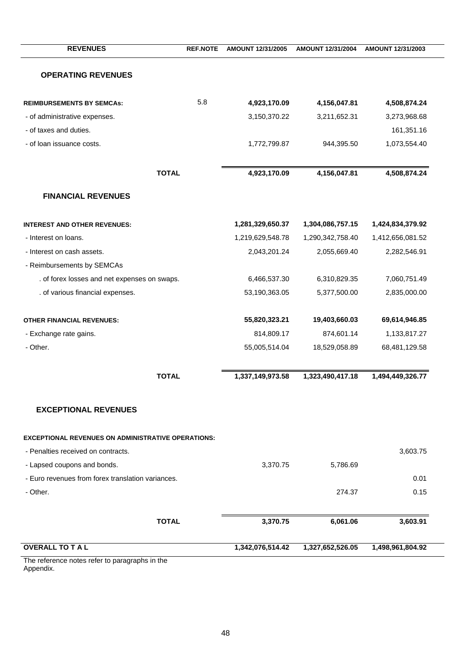| <b>REVENUES</b>                                           | <b>REF.NOTE</b> | AMOUNT 12/31/2005 | AMOUNT 12/31/2004 | AMOUNT 12/31/2003 |
|-----------------------------------------------------------|-----------------|-------------------|-------------------|-------------------|
| <b>OPERATING REVENUES</b>                                 |                 |                   |                   |                   |
| <b>REIMBURSEMENTS BY SEMCAs:</b>                          | 5.8             | 4,923,170.09      | 4,156,047.81      | 4,508,874.24      |
| - of administrative expenses.                             |                 | 3,150,370.22      | 3,211,652.31      | 3,273,968.68      |
| - of taxes and duties.                                    |                 |                   |                   | 161,351.16        |
| - of loan issuance costs.                                 |                 | 1,772,799.87      | 944,395.50        | 1,073,554.40      |
| <b>TOTAL</b>                                              |                 | 4,923,170.09      | 4,156,047.81      | 4,508,874.24      |
| <b>FINANCIAL REVENUES</b>                                 |                 |                   |                   |                   |
| <b>INTEREST AND OTHER REVENUES:</b>                       |                 | 1,281,329,650.37  | 1,304,086,757.15  | 1,424,834,379.92  |
| - Interest on loans.                                      |                 | 1,219,629,548.78  | 1,290,342,758.40  | 1,412,656,081.52  |
| - Interest on cash assets.                                |                 | 2,043,201.24      | 2,055,669.40      | 2,282,546.91      |
| - Reimbursements by SEMCAs                                |                 |                   |                   |                   |
| . of forex losses and net expenses on swaps.              |                 | 6,466,537.30      | 6,310,829.35      | 7,060,751.49      |
| . of various financial expenses.                          |                 | 53,190,363.05     | 5,377,500.00      | 2,835,000.00      |
| <b>OTHER FINANCIAL REVENUES:</b>                          |                 | 55,820,323.21     | 19,403,660.03     | 69,614,946.85     |
| - Exchange rate gains.                                    |                 | 814,809.17        | 874,601.14        | 1,133,817.27      |
| - Other.                                                  |                 | 55,005,514.04     | 18,529,058.89     | 68,481,129.58     |
| <b>TOTAL</b>                                              |                 | 1,337,149,973.58  | 1,323,490,417.18  | 1,494,449,326.77  |
| <b>EXCEPTIONAL REVENUES</b>                               |                 |                   |                   |                   |
| <b>EXCEPTIONAL REVENUES ON ADMINISTRATIVE OPERATIONS:</b> |                 |                   |                   |                   |
| - Penalties received on contracts.                        |                 |                   |                   | 3,603.75          |
| - Lapsed coupons and bonds.                               |                 | 3,370.75          | 5,786.69          |                   |
| - Euro revenues from forex translation variances.         |                 |                   |                   | 0.01              |
| - Other.                                                  |                 |                   | 274.37            | 0.15              |
| <b>TOTAL</b>                                              |                 | 3,370.75          | 6,061.06          | 3,603.91          |
| <b>OVERALL TO TAL</b>                                     |                 | 1,342,076,514.42  | 1,327,652,526.05  | 1,498,961,804.92  |
| The reference notes refer to paragraphs in the            |                 |                   |                   |                   |

paragrap ہ Appendix.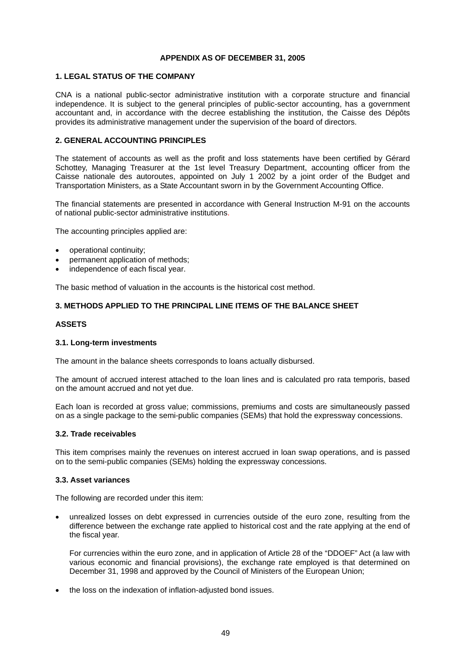## **APPENDIX AS OF DECEMBER 31, 2005**

## **1. LEGAL STATUS OF THE COMPANY**

CNA is a national public-sector administrative institution with a corporate structure and financial independence. It is subject to the general principles of public-sector accounting, has a government accountant and, in accordance with the decree establishing the institution, the Caisse des Dépôts provides its administrative management under the supervision of the board of directors.

## **2. GENERAL ACCOUNTING PRINCIPLES**

The statement of accounts as well as the profit and loss statements have been certified by Gérard Schottey, Managing Treasurer at the 1st level Treasury Department, accounting officer from the Caisse nationale des autoroutes, appointed on July 1 2002 by a joint order of the Budget and Transportation Ministers, as a State Accountant sworn in by the Government Accounting Office.

The financial statements are presented in accordance with General Instruction M-91 on the accounts of national public-sector administrative institutions.

The accounting principles applied are:

- operational continuity;
- permanent application of methods;
- independence of each fiscal year.

The basic method of valuation in the accounts is the historical cost method.

## **3. METHODS APPLIED TO THE PRINCIPAL LINE ITEMS OF THE BALANCE SHEET**

## **ASSETS**

#### **3.1. Long-term investments**

The amount in the balance sheets corresponds to loans actually disbursed.

The amount of accrued interest attached to the loan lines and is calculated pro rata temporis, based on the amount accrued and not yet due.

Each loan is recorded at gross value; commissions, premiums and costs are simultaneously passed on as a single package to the semi-public companies (SEMs) that hold the expressway concessions.

#### **3.2. Trade receivables**

This item comprises mainly the revenues on interest accrued in loan swap operations, and is passed on to the semi-public companies (SEMs) holding the expressway concessions.

#### **3.3. Asset variances**

The following are recorded under this item:

• unrealized losses on debt expressed in currencies outside of the euro zone, resulting from the difference between the exchange rate applied to historical cost and the rate applying at the end of the fiscal year.

For currencies within the euro zone, and in application of Article 28 of the "DDOEF" Act (a law with various economic and financial provisions), the exchange rate employed is that determined on December 31, 1998 and approved by the Council of Ministers of the European Union;

• the loss on the indexation of inflation-adjusted bond issues.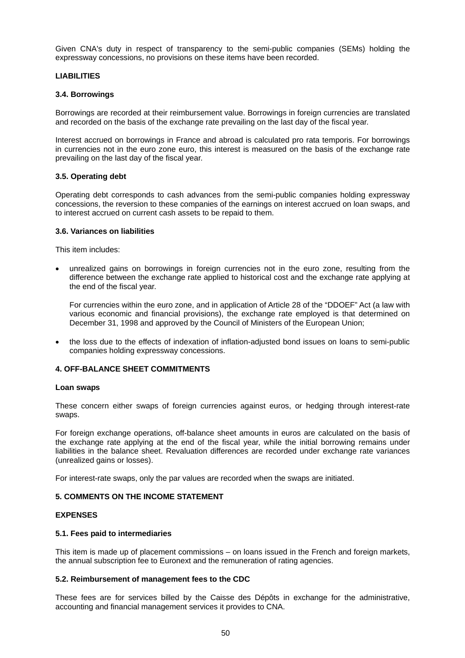Given CNA's duty in respect of transparency to the semi-public companies (SEMs) holding the expressway concessions, no provisions on these items have been recorded.

## **LIABILITIES**

## **3.4. Borrowings**

Borrowings are recorded at their reimbursement value. Borrowings in foreign currencies are translated and recorded on the basis of the exchange rate prevailing on the last day of the fiscal year.

Interest accrued on borrowings in France and abroad is calculated pro rata temporis. For borrowings in currencies not in the euro zone euro, this interest is measured on the basis of the exchange rate prevailing on the last day of the fiscal year.

## **3.5. Operating debt**

Operating debt corresponds to cash advances from the semi-public companies holding expressway concessions, the reversion to these companies of the earnings on interest accrued on loan swaps, and to interest accrued on current cash assets to be repaid to them.

## **3.6. Variances on liabilities**

This item includes:

unrealized gains on borrowings in foreign currencies not in the euro zone, resulting from the difference between the exchange rate applied to historical cost and the exchange rate applying at the end of the fiscal year.

For currencies within the euro zone, and in application of Article 28 of the "DDOEF" Act (a law with various economic and financial provisions), the exchange rate employed is that determined on December 31, 1998 and approved by the Council of Ministers of the European Union;

• the loss due to the effects of indexation of inflation-adjusted bond issues on loans to semi-public companies holding expressway concessions.

## **4. OFF-BALANCE SHEET COMMITMENTS**

#### **Loan swaps**

These concern either swaps of foreign currencies against euros, or hedging through interest-rate swaps.

For foreign exchange operations, off-balance sheet amounts in euros are calculated on the basis of the exchange rate applying at the end of the fiscal year, while the initial borrowing remains under liabilities in the balance sheet. Revaluation differences are recorded under exchange rate variances (unrealized gains or losses).

For interest-rate swaps, only the par values are recorded when the swaps are initiated.

#### **5. COMMENTS ON THE INCOME STATEMENT**

## **EXPENSES**

#### **5.1. Fees paid to intermediaries**

This item is made up of placement commissions – on loans issued in the French and foreign markets, the annual subscription fee to Euronext and the remuneration of rating agencies.

#### **5.2. Reimbursement of management fees to the CDC**

These fees are for services billed by the Caisse des Dépôts in exchange for the administrative, accounting and financial management services it provides to CNA.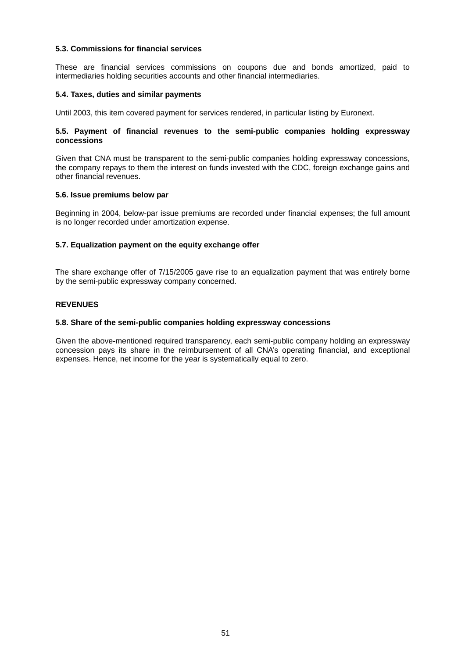## **5.3. Commissions for financial services**

These are financial services commissions on coupons due and bonds amortized, paid to intermediaries holding securities accounts and other financial intermediaries.

### **5.4. Taxes, duties and similar payments**

Until 2003, this item covered payment for services rendered, in particular listing by Euronext.

### **5.5. Payment of financial revenues to the semi-public companies holding expressway concessions**

Given that CNA must be transparent to the semi-public companies holding expressway concessions, the company repays to them the interest on funds invested with the CDC, foreign exchange gains and other financial revenues.

#### **5.6. Issue premiums below par**

Beginning in 2004, below-par issue premiums are recorded under financial expenses; the full amount is no longer recorded under amortization expense.

## **5.7. Equalization payment on the equity exchange offer**

The share exchange offer of 7/15/2005 gave rise to an equalization payment that was entirely borne by the semi-public expressway company concerned.

## **REVENUES**

#### **5.8. Share of the semi-public companies holding expressway concessions**

Given the above-mentioned required transparency, each semi-public company holding an expressway concession pays its share in the reimbursement of all CNA's operating financial, and exceptional expenses. Hence, net income for the year is systematically equal to zero.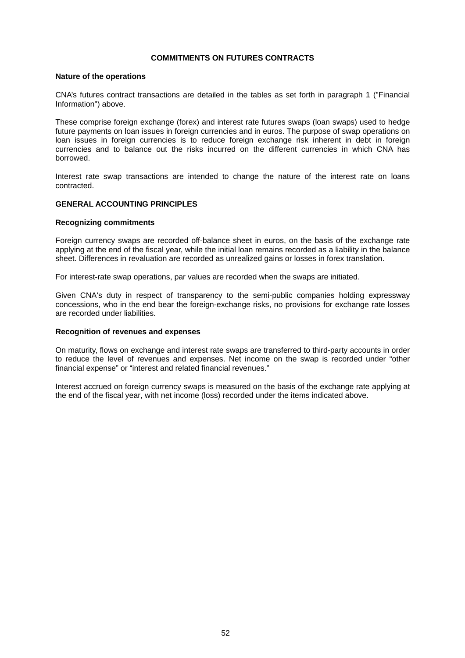### **COMMITMENTS ON FUTURES CONTRACTS**

#### **Nature of the operations**

CNA's futures contract transactions are detailed in the tables as set forth in paragraph 1 ("Financial Information") above.

These comprise foreign exchange (forex) and interest rate futures swaps (loan swaps) used to hedge future payments on loan issues in foreign currencies and in euros. The purpose of swap operations on loan issues in foreign currencies is to reduce foreign exchange risk inherent in debt in foreign currencies and to balance out the risks incurred on the different currencies in which CNA has borrowed.

Interest rate swap transactions are intended to change the nature of the interest rate on loans contracted.

## **GENERAL ACCOUNTING PRINCIPLES**

#### **Recognizing commitments**

Foreign currency swaps are recorded off-balance sheet in euros, on the basis of the exchange rate applying at the end of the fiscal year, while the initial loan remains recorded as a liability in the balance sheet. Differences in revaluation are recorded as unrealized gains or losses in forex translation.

For interest-rate swap operations, par values are recorded when the swaps are initiated.

Given CNA's duty in respect of transparency to the semi-public companies holding expressway concessions, who in the end bear the foreign-exchange risks, no provisions for exchange rate losses are recorded under liabilities.

#### **Recognition of revenues and expenses**

On maturity, flows on exchange and interest rate swaps are transferred to third-party accounts in order to reduce the level of revenues and expenses. Net income on the swap is recorded under "other financial expense" or "interest and related financial revenues."

Interest accrued on foreign currency swaps is measured on the basis of the exchange rate applying at the end of the fiscal year, with net income (loss) recorded under the items indicated above.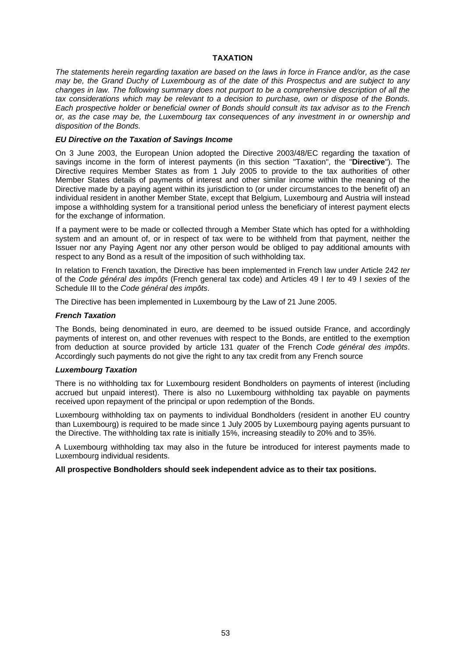## **TAXATION**

*The statements herein regarding taxation are based on the laws in force in France and/or, as the case may be, the Grand Duchy of Luxembourg as of the date of this Prospectus and are subject to any changes in law. The following summary does not purport to be a comprehensive description of all the tax considerations which may be relevant to a decision to purchase, own or dispose of the Bonds. Each prospective holder or beneficial owner of Bonds should consult its tax advisor as to the French or, as the case may be, the Luxembourg tax consequences of any investment in or ownership and disposition of the Bonds.* 

#### *EU Directive on the Taxation of Savings Income*

On 3 June 2003, the European Union adopted the Directive 2003/48/EC regarding the taxation of savings income in the form of interest payments (in this section "Taxation", the "**Directive**"). The Directive requires Member States as from 1 July 2005 to provide to the tax authorities of other Member States details of payments of interest and other similar income within the meaning of the Directive made by a paying agent within its jurisdiction to (or under circumstances to the benefit of) an individual resident in another Member State, except that Belgium, Luxembourg and Austria will instead impose a withholding system for a transitional period unless the beneficiary of interest payment elects for the exchange of information.

If a payment were to be made or collected through a Member State which has opted for a withholding system and an amount of, or in respect of tax were to be withheld from that payment, neither the Issuer nor any Paying Agent nor any other person would be obliged to pay additional amounts with respect to any Bond as a result of the imposition of such withholding tax.

In relation to French taxation, the Directive has been implemented in French law under Article 242 *ter* of the *Code général des impôts* (French general tax code) and Articles 49 I *ter* to 49 I *sexies* of the Schedule III to the *Code général des impôts*.

The Directive has been implemented in Luxembourg by the Law of 21 June 2005.

#### *French Taxation*

The Bonds, being denominated in euro, are deemed to be issued outside France, and accordingly payments of interest on, and other revenues with respect to the Bonds, are entitled to the exemption from deduction at source provided by article 131 *quater* of the French *Code général des impôts*. Accordingly such payments do not give the right to any tax credit from any French source

#### *Luxembourg Taxation*

There is no withholding tax for Luxembourg resident Bondholders on payments of interest (including accrued but unpaid interest). There is also no Luxembourg withholding tax payable on payments received upon repayment of the principal or upon redemption of the Bonds.

Luxembourg withholding tax on payments to individual Bondholders (resident in another EU country than Luxembourg) is required to be made since 1 July 2005 by Luxembourg paying agents pursuant to the Directive. The withholding tax rate is initially 15%, increasing steadily to 20% and to 35%.

A Luxembourg withholding tax may also in the future be introduced for interest payments made to Luxembourg individual residents.

#### **All prospective Bondholders should seek independent advice as to their tax positions.**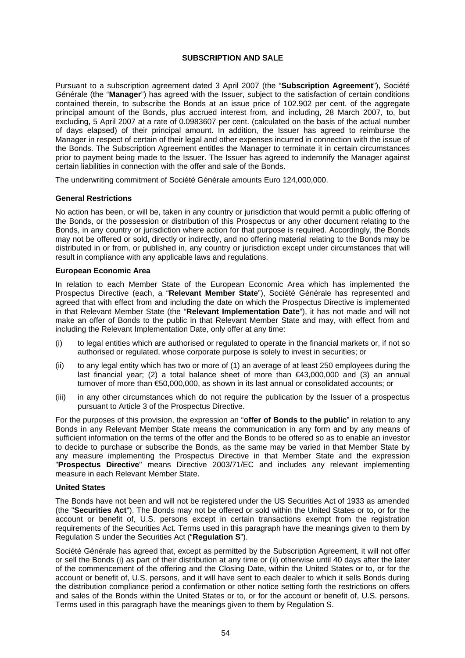## **SUBSCRIPTION AND SALE**

Pursuant to a subscription agreement dated 3 April 2007 (the "**Subscription Agreement**"), Société Générale (the "**Manager**") has agreed with the Issuer, subject to the satisfaction of certain conditions contained therein, to subscribe the Bonds at an issue price of 102.902 per cent. of the aggregate principal amount of the Bonds, plus accrued interest from, and including, 28 March 2007, to, but excluding, 5 April 2007 at a rate of 0.0983607 per cent. (calculated on the basis of the actual number of days elapsed) of their principal amount. In addition, the Issuer has agreed to reimburse the Manager in respect of certain of their legal and other expenses incurred in connection with the issue of the Bonds. The Subscription Agreement entitles the Manager to terminate it in certain circumstances prior to payment being made to the Issuer. The Issuer has agreed to indemnify the Manager against certain liabilities in connection with the offer and sale of the Bonds.

The underwriting commitment of Société Générale amounts Euro 124,000,000.

## **General Restrictions**

No action has been, or will be, taken in any country or jurisdiction that would permit a public offering of the Bonds, or the possession or distribution of this Prospectus or any other document relating to the Bonds, in any country or jurisdiction where action for that purpose is required. Accordingly, the Bonds may not be offered or sold, directly or indirectly, and no offering material relating to the Bonds may be distributed in or from, or published in, any country or jurisdiction except under circumstances that will result in compliance with any applicable laws and regulations.

## **European Economic Area**

In relation to each Member State of the European Economic Area which has implemented the Prospectus Directive (each, a "**Relevant Member State**"), Société Générale has represented and agreed that with effect from and including the date on which the Prospectus Directive is implemented in that Relevant Member State (the "**Relevant Implementation Date**"), it has not made and will not make an offer of Bonds to the public in that Relevant Member State and may, with effect from and including the Relevant Implementation Date, only offer at any time:

- (i) to legal entities which are authorised or regulated to operate in the financial markets or, if not so authorised or regulated, whose corporate purpose is solely to invest in securities; or
- (ii) to any legal entity which has two or more of (1) an average of at least 250 employees during the last financial year; (2) a total balance sheet of more than  $\epsilon$ 43,000,000 and (3) an annual turnover of more than €50,000,000, as shown in its last annual or consolidated accounts; or
- (iii) in any other circumstances which do not require the publication by the Issuer of a prospectus pursuant to Article 3 of the Prospectus Directive.

For the purposes of this provision, the expression an "**offer of Bonds to the public**" in relation to any Bonds in any Relevant Member State means the communication in any form and by any means of sufficient information on the terms of the offer and the Bonds to be offered so as to enable an investor to decide to purchase or subscribe the Bonds, as the same may be varied in that Member State by any measure implementing the Prospectus Directive in that Member State and the expression "**Prospectus Directive**" means Directive 2003/71/EC and includes any relevant implementing measure in each Relevant Member State.

#### **United States**

The Bonds have not been and will not be registered under the US Securities Act of 1933 as amended (the "**Securities Act**"). The Bonds may not be offered or sold within the United States or to, or for the account or benefit of, U.S. persons except in certain transactions exempt from the registration requirements of the Securities Act. Terms used in this paragraph have the meanings given to them by Regulation S under the Securities Act ("**Regulation S**").

Société Générale has agreed that, except as permitted by the Subscription Agreement, it will not offer or sell the Bonds (i) as part of their distribution at any time or (ii) otherwise until 40 days after the later of the commencement of the offering and the Closing Date, within the United States or to, or for the account or benefit of, U.S. persons, and it will have sent to each dealer to which it sells Bonds during the distribution compliance period a confirmation or other notice setting forth the restrictions on offers and sales of the Bonds within the United States or to, or for the account or benefit of, U.S. persons. Terms used in this paragraph have the meanings given to them by Regulation S.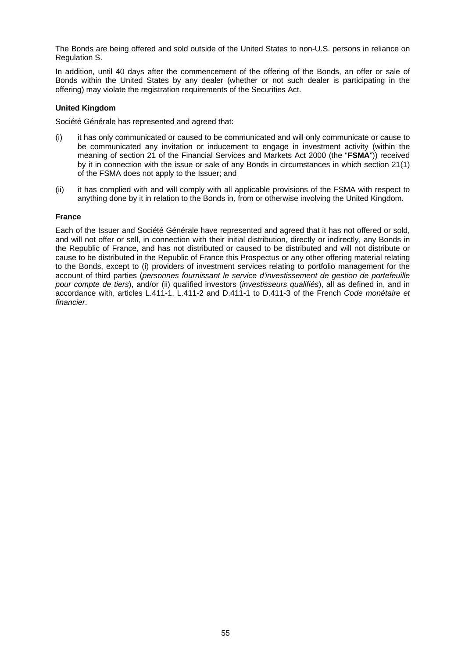The Bonds are being offered and sold outside of the United States to non-U.S. persons in reliance on Regulation S.

In addition, until 40 days after the commencement of the offering of the Bonds, an offer or sale of Bonds within the United States by any dealer (whether or not such dealer is participating in the offering) may violate the registration requirements of the Securities Act.

## **United Kingdom**

Société Générale has represented and agreed that:

- (i) it has only communicated or caused to be communicated and will only communicate or cause to be communicated any invitation or inducement to engage in investment activity (within the meaning of section 21 of the Financial Services and Markets Act 2000 (the "**FSMA**")) received by it in connection with the issue or sale of any Bonds in circumstances in which section 21(1) of the FSMA does not apply to the Issuer; and
- (ii) it has complied with and will comply with all applicable provisions of the FSMA with respect to anything done by it in relation to the Bonds in, from or otherwise involving the United Kingdom.

## **France**

Each of the Issuer and Société Générale have represented and agreed that it has not offered or sold, and will not offer or sell, in connection with their initial distribution, directly or indirectly, any Bonds in the Republic of France, and has not distributed or caused to be distributed and will not distribute or cause to be distributed in the Republic of France this Prospectus or any other offering material relating to the Bonds, except to (i) providers of investment services relating to portfolio management for the account of third parties (*personnes fournissant le service d'investissement de gestion de portefeuille pour compte de tiers*), and/or (ii) qualified investors (*investisseurs qualifiés*), all as defined in, and in accordance with, articles L.411-1, L.411-2 and D.411-1 to D.411-3 of the French *Code monétaire et financier*.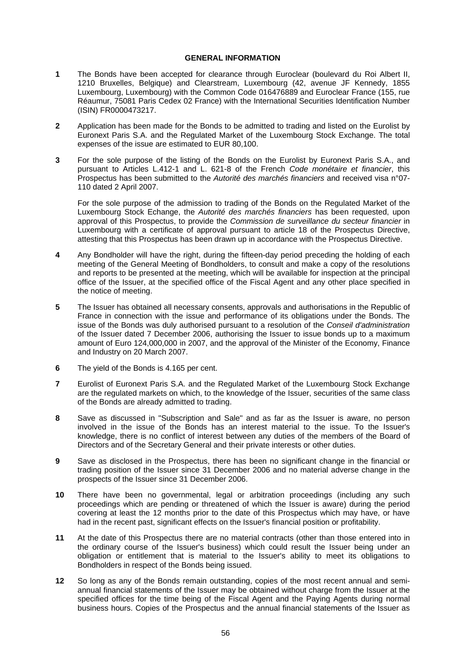### **GENERAL INFORMATION**

- **1** The Bonds have been accepted for clearance through Euroclear (boulevard du Roi Albert II, 1210 Bruxelles, Belgique) and Clearstream, Luxembourg (42, avenue JF Kennedy, 1855 Luxembourg, Luxembourg) with the Common Code 016476889 and Euroclear France (155, rue Réaumur, 75081 Paris Cedex 02 France) with the International Securities Identification Number (ISIN) FR0000473217.
- **2** Application has been made for the Bonds to be admitted to trading and listed on the Eurolist by Euronext Paris S.A. and the Regulated Market of the Luxembourg Stock Exchange. The total expenses of the issue are estimated to EUR 80,100.
- **3** For the sole purpose of the listing of the Bonds on the Eurolist by Euronext Paris S.A., and pursuant to Articles L.412-1 and L. 621-8 of the French *Code monétaire et financier*, this Prospectus has been submitted to the *Autorité des marchés financiers* and received visa n°07- 110 dated 2 April 2007.

For the sole purpose of the admission to trading of the Bonds on the Regulated Market of the Luxembourg Stock Echange, the *Autorité des marchés financiers* has been requested, upon approval of this Prospectus, to provide the *Commission de surveillance du secteur financier* in Luxembourg with a certificate of approval pursuant to article 18 of the Prospectus Directive, attesting that this Prospectus has been drawn up in accordance with the Prospectus Directive.

- **4** Any Bondholder will have the right, during the fifteen-day period preceding the holding of each meeting of the General Meeting of Bondholders, to consult and make a copy of the resolutions and reports to be presented at the meeting, which will be available for inspection at the principal office of the Issuer, at the specified office of the Fiscal Agent and any other place specified in the notice of meeting.
- **5** The Issuer has obtained all necessary consents, approvals and authorisations in the Republic of France in connection with the issue and performance of its obligations under the Bonds. The issue of the Bonds was duly authorised pursuant to a resolution of the *Conseil d'administration* of the Issuer dated 7 December 2006, authorising the Issuer to issue bonds up to a maximum amount of Euro 124,000,000 in 2007, and the approval of the Minister of the Economy, Finance and Industry on 20 March 2007.
- **6** The yield of the Bonds is 4.165 per cent.
- **7** Eurolist of Euronext Paris S.A. and the Regulated Market of the Luxembourg Stock Exchange are the regulated markets on which, to the knowledge of the Issuer, securities of the same class of the Bonds are already admitted to trading.
- **8** Save as discussed in "Subscription and Sale" and as far as the Issuer is aware, no person involved in the issue of the Bonds has an interest material to the issue. To the Issuer's knowledge, there is no conflict of interest between any duties of the members of the Board of Directors and of the Secretary General and their private interests or other duties.
- **9** Save as disclosed in the Prospectus, there has been no significant change in the financial or trading position of the Issuer since 31 December 2006 and no material adverse change in the prospects of the Issuer since 31 December 2006.
- **10** There have been no governmental, legal or arbitration proceedings (including any such proceedings which are pending or threatened of which the Issuer is aware) during the period covering at least the 12 months prior to the date of this Prospectus which may have, or have had in the recent past, significant effects on the Issuer's financial position or profitability.
- **11** At the date of this Prospectus there are no material contracts (other than those entered into in the ordinary course of the Issuer's business) which could result the Issuer being under an obligation or entitlement that is material to the Issuer's ability to meet its obligations to Bondholders in respect of the Bonds being issued.
- **12** So long as any of the Bonds remain outstanding, copies of the most recent annual and semiannual financial statements of the Issuer may be obtained without charge from the Issuer at the specified offices for the time being of the Fiscal Agent and the Paying Agents during normal business hours. Copies of the Prospectus and the annual financial statements of the Issuer as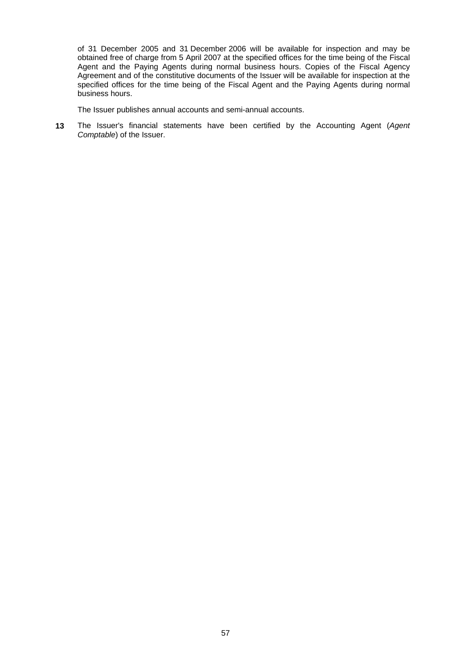of 31 December 2005 and 31 December 2006 will be available for inspection and may be obtained free of charge from 5 April 2007 at the specified offices for the time being of the Fiscal Agent and the Paying Agents during normal business hours. Copies of the Fiscal Agency Agreement and of the constitutive documents of the Issuer will be available for inspection at the specified offices for the time being of the Fiscal Agent and the Paying Agents during normal business hours.

The Issuer publishes annual accounts and semi-annual accounts.

**13** The Issuer's financial statements have been certified by the Accounting Agent (*Agent Comptable*) of the Issuer.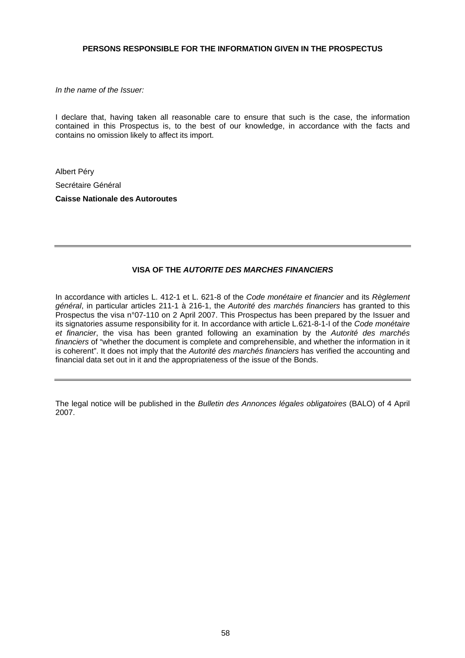## **PERSONS RESPONSIBLE FOR THE INFORMATION GIVEN IN THE PROSPECTUS**

*In the name of the Issuer:* 

I declare that, having taken all reasonable care to ensure that such is the case, the information contained in this Prospectus is, to the best of our knowledge, in accordance with the facts and contains no omission likely to affect its import.

Albert Péry Secrétaire Général **Caisse Nationale des Autoroutes** 

## **VISA OF THE** *AUTORITE DES MARCHES FINANCIERS*

In accordance with articles L. 412-1 et L. 621-8 of the *Code monétaire et financier* and its *Règlement général*, in particular articles 211-1 à 216-1, the *Autorité des marchés financiers* has granted to this Prospectus the visa n°07-110 on 2 April 2007. This Prospectus has been prepared by the Issuer and its signatories assume responsibility for it. In accordance with article L.621-8-1-I of the *Code monétaire et financier*, the visa has been granted following an examination by the *Autorité des marchés financiers* of "whether the document is complete and comprehensible, and whether the information in it is coherent". It does not imply that the *Autorité des marchés financiers* has verified the accounting and financial data set out in it and the appropriateness of the issue of the Bonds.

The legal notice will be published in the *Bulletin des Annonces légales obligatoires* (BALO) of 4 April 2007.